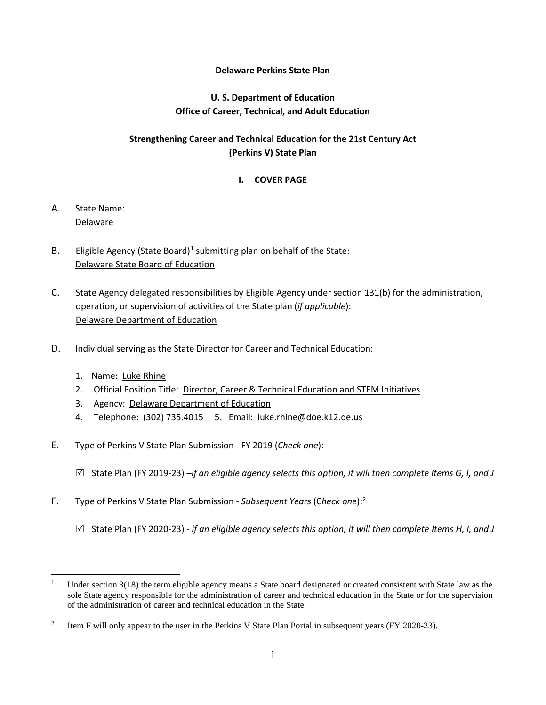#### **Delaware Perkins State Plan**

## **U. S. Department of Education Office of Career, Technical, and Adult Education**

## **Strengthening Career and Technical Education for the 21st Century Act (Perkins V) State Plan**

## **I. COVER PAGE**

- A. State Name: Delaware
- B. Eligible Agency (State Board)<sup>[1](#page-0-0)</sup> submitting plan on behalf of the State: Delaware State Board of Education
- C. State Agency delegated responsibilities by Eligible Agency under section 131(b) for the administration, operation, or supervision of activities of the State plan (*if applicable*): Delaware Department of Education
- D. Individual serving as the State Director for Career and Technical Education:
	- 1. Name: Luke Rhine
	- 2. Official Position Title: Director, Career & Technical Education and STEM Initiatives
	- 3. Agency: Delaware Department of Education
	- 4. Telephone: (302) 735.4015 5. Email: luke.rhine@doe.k12.de.us
- E. Type of Perkins V State Plan Submission FY 2019 (*Check one*):
	- State Plan (FY 2019-23) *–if an eligible agency selects this option, it will then complete Items G, I, and J*
- F. Type of Perkins V State Plan Submission *Subsequent Years* (C*heck one*):[2](#page-0-1)
	- State Plan (FY 2020-23) *if an eligible agency selects this option, it will then complete Items H, I, and J*

<span id="page-0-0"></span><sup>&</sup>lt;sup>1</sup> Under section  $3(18)$  the term eligible agency means a State board designated or created consistent with State law as the sole State agency responsible for the administration of career and technical education in the State or for the supervision of the administration of career and technical education in the State.

<span id="page-0-1"></span><sup>&</sup>lt;sup>2</sup> Item F will only appear to the user in the Perkins V State Plan Portal in subsequent years (FY 2020-23).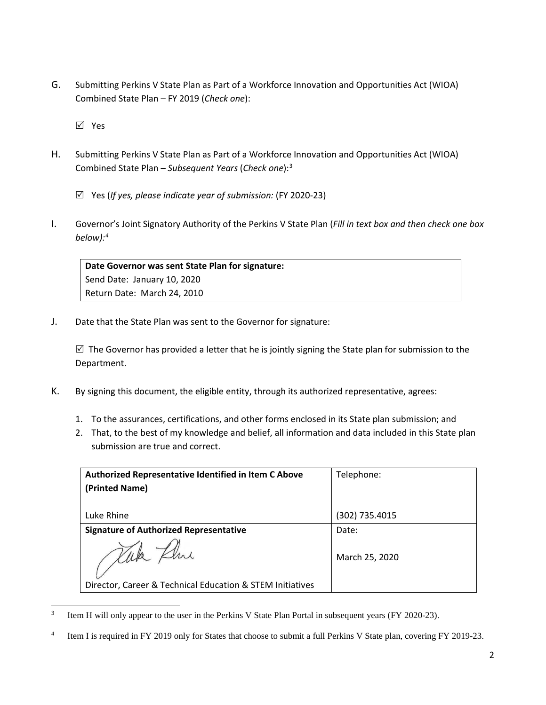G. Submitting Perkins V State Plan as Part of a Workforce Innovation and Opportunities Act (WIOA) Combined State Plan – FY 2019 (*Check one*):

Yes

- H. Submitting Perkins V State Plan as Part of a Workforce Innovation and Opportunities Act (WIOA) Combined State Plan – *Subsequent Years* (*Check one*):[3](#page-1-0)
	- Yes (*If yes, please indicate year of submission:* (FY 2020-23)
- I. Governor's Joint Signatory Authority of the Perkins V State Plan (*Fill in text box and then check one box below):[4](#page-1-1)*

**Date Governor was sent State Plan for signature:**  Send Date: January 10, 2020 Return Date: March 24, 2010

J. Date that the State Plan was sent to the Governor for signature:

 $\boxtimes$  The Governor has provided a letter that he is jointly signing the State plan for submission to the Department.

- K. By signing this document, the eligible entity, through its authorized representative, agrees:
	- 1. To the assurances, certifications, and other forms enclosed in its State plan submission; and
	- 2. That, to the best of my knowledge and belief, all information and data included in this State plan submission are true and correct.

| Authorized Representative Identified in Item C Above      | Telephone:     |
|-----------------------------------------------------------|----------------|
| (Printed Name)                                            |                |
|                                                           |                |
| Luke Rhine                                                | (302) 735.4015 |
| <b>Signature of Authorized Representative</b>             | Date:          |
|                                                           | March 25, 2020 |
| Director, Career & Technical Education & STEM Initiatives |                |

<span id="page-1-0"></span><sup>&</sup>lt;sup>3</sup> Item H will only appear to the user in the Perkins V State Plan Portal in subsequent years (FY 2020-23).

<span id="page-1-1"></span>Item I is required in FY 2019 only for States that choose to submit a full Perkins V State plan, covering FY 2019-23.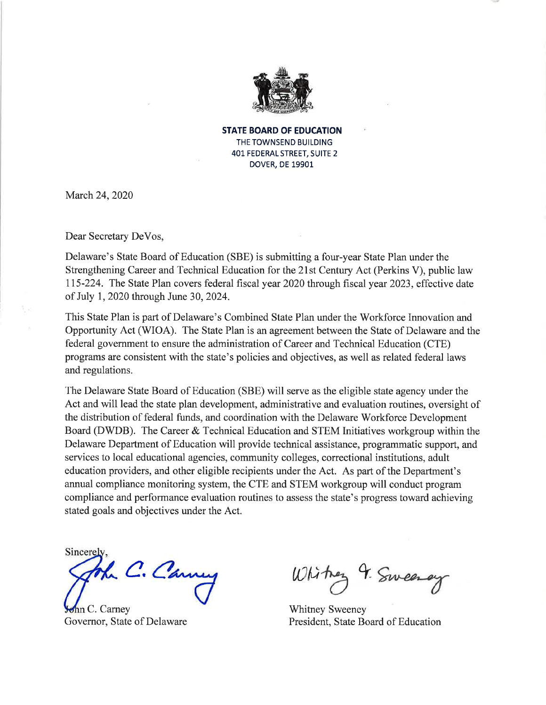

**STATE BOARD OF EDUCATION** THE TOWNSEND BUILDING 401 FEDERAL STREET, SUITE 2 **DOVER, DE 19901** 

March 24, 2020

Dear Secretary DeVos,

Delaware's State Board of Education (SBE) is submitting a four-year State Plan under the Strengthening Career and Technical Education for the 21st Century Act (Perkins V), public law 115-224. The State Plan covers federal fiscal year 2020 through fiscal year 2023, effective date of July 1, 2020 through June 30, 2024.

This State Plan is part of Delaware's Combined State Plan under the Workforce Innovation and Opportunity Act (WIOA). The State Plan is an agreement between the State of Delaware and the federal government to ensure the administration of Career and Technical Education (CTE) programs are consistent with the state's policies and objectives, as well as related federal laws and regulations.

The Delaware State Board of Education (SBE) will serve as the eligible state agency under the Act and will lead the state plan development, administrative and evaluation routines, oversight of the distribution of federal funds, and coordination with the Delaware Workforce Development Board (DWDB). The Career & Technical Education and STEM Initiatives workgroup within the Delaware Department of Education will provide technical assistance, programmatic support, and services to local educational agencies, community colleges, correctional institutions, adult education providers, and other eligible recipients under the Act. As part of the Department's annual compliance monitoring system, the CTE and STEM workgroup will conduct program compliance and performance evaluation routines to assess the state's progress toward achieving stated goals and objectives under the Act.

Sincerely

C. Canu

ohn C. Carney Governor, State of Delaware

White 9. Sweeney

**Whitney Sweeney** President, State Board of Education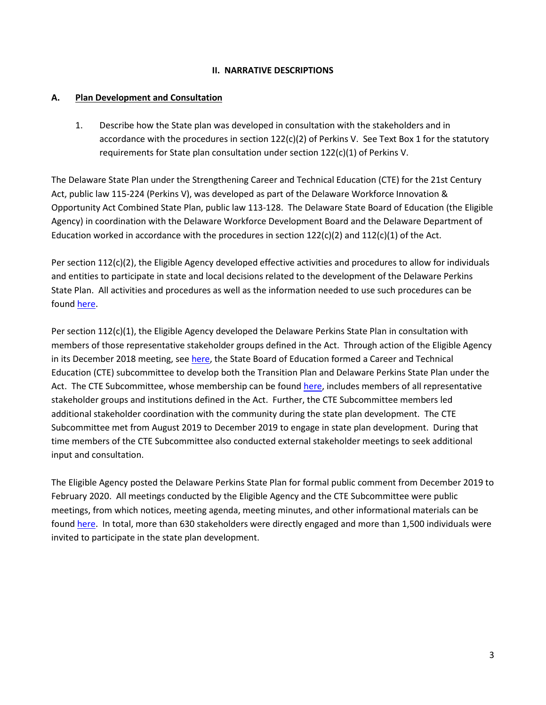### **II. NARRATIVE DESCRIPTIONS**

## **A. Plan Development and Consultation**

1. Describe how the State plan was developed in consultation with the stakeholders and in accordance with the procedures in section 122(c)(2) of Perkins V. See Text Box 1 for the statutory requirements for State plan consultation under section 122(c)(1) of Perkins V.

The Delaware State Plan under the Strengthening Career and Technical Education (CTE) for the 21st Century Act, public law 115-224 (Perkins V), was developed as part of the Delaware Workforce Innovation & Opportunity Act Combined State Plan, public law 113-128. The Delaware State Board of Education (the Eligible Agency) in coordination with the Delaware Workforce Development Board and the Delaware Department of Education worked in accordance with the procedures in section  $122(c)(2)$  and  $112(c)(1)$  of the Act.

Per section 112(c)(2), the Eligible Agency developed effective activities and procedures to allow for individuals and entities to participate in state and local decisions related to the development of the Delaware Perkins State Plan. All activities and procedures as well as the information needed to use such procedures can be foun[d here.](https://www.doe.k12.de.us/Page/3855)

Per section 112(c)(1), the Eligible Agency developed the Delaware Perkins State Plan in consultation with members of those representative stakeholder groups defined in the Act. Through action of the Eligible Agency in its December 2018 meeting, see [here,](https://publicmeetings.delaware.gov/Meeting/61584) the State Board of Education formed a Career and Technical Education (CTE) subcommittee to develop both the Transition Plan and Delaware Perkins State Plan under the Act. The CTE Subcommittee, whose membership can be foun[d here,](https://www.doe.k12.de.us/Page/3855) includes members of all representative stakeholder groups and institutions defined in the Act. Further, the CTE Subcommittee members led additional stakeholder coordination with the community during the state plan development. The CTE Subcommittee met from August 2019 to December 2019 to engage in state plan development. During that time members of the CTE Subcommittee also conducted external stakeholder meetings to seek additional input and consultation.

The Eligible Agency posted the Delaware Perkins State Plan for formal public comment from December 2019 to February 2020. All meetings conducted by the Eligible Agency and the CTE Subcommittee were public meetings, from which notices, meeting agenda, meeting minutes, and other informational materials can be foun[d here.](https://publicmeetings.delaware.gov/Search/?AgencyID=22) In total, more than 630 stakeholders were directly engaged and more than 1,500 individuals were invited to participate in the state plan development.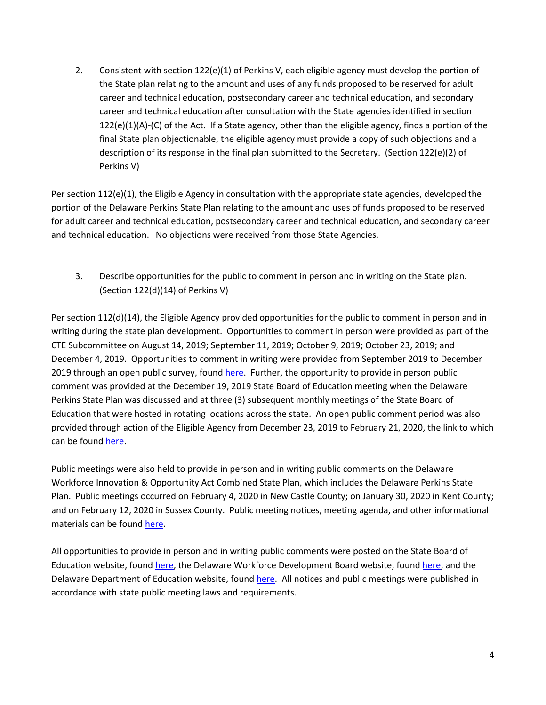2. Consistent with section 122(e)(1) of Perkins V, each eligible agency must develop the portion of the State plan relating to the amount and uses of any funds proposed to be reserved for adult career and technical education, postsecondary career and technical education, and secondary career and technical education after consultation with the State agencies identified in section 122(e)(1)(A)-(C) of the Act. If a State agency, other than the eligible agency, finds a portion of the final State plan objectionable, the eligible agency must provide a copy of such objections and a description of its response in the final plan submitted to the Secretary. (Section 122(e)(2) of Perkins V)

Per section 112(e)(1), the Eligible Agency in consultation with the appropriate state agencies, developed the portion of the Delaware Perkins State Plan relating to the amount and uses of funds proposed to be reserved for adult career and technical education, postsecondary career and technical education, and secondary career and technical education. No objections were received from those State Agencies.

3. Describe opportunities for the public to comment in person and in writing on the State plan. (Section 122(d)(14) of Perkins V)

Per section 112(d)(14), the Eligible Agency provided opportunities for the public to comment in person and in writing during the state plan development. Opportunities to comment in person were provided as part of the CTE Subcommittee on August 14, 2019; September 11, 2019; October 9, 2019; October 23, 2019; and December 4, 2019. Opportunities to comment in writing were provided from September 2019 to December 2019 through an open public survey, foun[d here.](https://www.surveymonkey.com/r/DEStatePerkinsPlanSurveyCTE) Further, the opportunity to provide in person public comment was provided at the December 19, 2019 State Board of Education meeting when the Delaware Perkins State Plan was discussed and at three (3) subsequent monthly meetings of the State Board of Education that were hosted in rotating locations across the state. An open public comment period was also provided through action of the Eligible Agency from December 23, 2019 to February 21, 2020, the link to which can be foun[d here.](https://www.doe.k12.de.us/Page/3855)

Public meetings were also held to provide in person and in writing public comments on the Delaware Workforce Innovation & Opportunity Act Combined State Plan, which includes the Delaware Perkins State Plan. Public meetings occurred on February 4, 2020 in New Castle County; on January 30, 2020 in Kent County; and on February 12, 2020 in Sussex County. Public meeting notices, meeting agenda, and other informational materials can be foun[d here.](https://publicmeetings.delaware.gov/Search/?AgencyID=22)

All opportunities to provide in person and in writing public comments were posted on the State Board of Education website, found [here,](https://www.doe.k12.de.us/Page/3855) the Delaware Workforce Development Board website, foun[d here,](https://wib.delawareworks.com/) and the Delaware Department of Education website, foun[d here.](https://www.doe.k12.de.us/Page/3855) All notices and public meetings were published in accordance with state public meeting laws and requirements.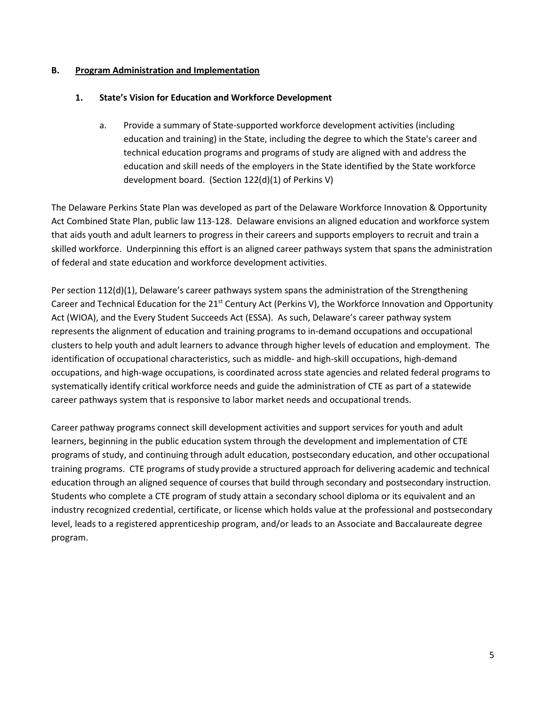### **B. Program Administration and Implementation**

## **1. State's Vision for Education and Workforce Development**

a. Provide a summary of State-supported workforce development activities (including education and training) in the State, including the degree to which the State's career and technical education programs and programs of study are aligned with and address the education and skill needs of the employers in the State identified by the State workforce development board. (Section 122(d)(1) of Perkins V)

The Delaware Perkins State Plan was developed as part of the Delaware Workforce Innovation & Opportunity Act Combined State Plan, public law 113-128. Delaware envisions an aligned education and workforce system that aids youth and adult learners to progress in their careers and supports employers to recruit and train a skilled workforce. Underpinning this effort is an aligned career pathways system that spans the administration of federal and state education and workforce development activities.

Per section 112(d)(1), Delaware's career pathways system spans the administration of the Strengthening Career and Technical Education for the 21<sup>st</sup> Century Act (Perkins V), the Workforce Innovation and Opportunity Act (WIOA), and the Every Student Succeeds Act (ESSA). As such, Delaware's career pathway system represents the alignment of education and training programs to in-demand occupations and occupational clusters to help youth and adult learners to advance through higher levels of education and employment. The identification of occupational characteristics, such as middle- and high-skill occupations, high-demand occupations, and high-wage occupations, is coordinated across state agencies and related federal programs to systematically identify critical workforce needs and guide the administration of CTE as part of a statewide career pathways system that is responsive to labor market needs and occupational trends.

Career pathway programs connect skill development activities and support services for youth and adult learners, beginning in the public education system through the development and implementation of CTE programs of study, and continuing through adult education, postsecondary education, and other occupational training programs. CTE programs of study provide a structured approach for delivering academic and technical education through an aligned sequence of courses that build through secondary and postsecondary instruction. Students who complete a CTE program of study attain a secondary school diploma or its equivalent and an industry recognized credential, certificate, or license which holds value at the professional and postsecondary level, leads to a registered apprenticeship program, and/or leads to an Associate and Baccalaureate degree program.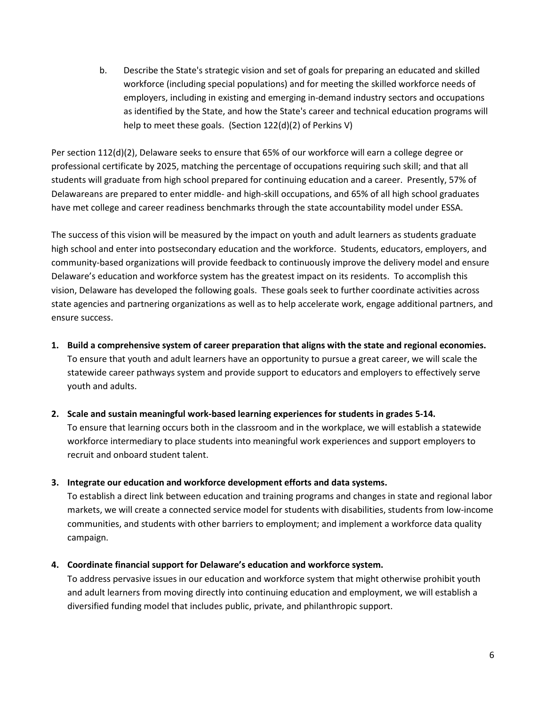b. Describe the State's strategic vision and set of goals for preparing an educated and skilled workforce (including special populations) and for meeting the skilled workforce needs of employers, including in existing and emerging in-demand industry sectors and occupations as identified by the State, and how the State's career and technical education programs will help to meet these goals. (Section 122(d)(2) of Perkins V)

Per section 112(d)(2), Delaware seeks to ensure that 65% of our workforce will earn a college degree or professional certificate by 2025, matching the percentage of occupations requiring such skill; and that all students will graduate from high school prepared for continuing education and a career. Presently, 57% of Delawareans are prepared to enter middle- and high-skill occupations, and 65% of all high school graduates have met college and career readiness benchmarks through the state accountability model under ESSA.

The success of this vision will be measured by the impact on youth and adult learners as students graduate high school and enter into postsecondary education and the workforce. Students, educators, employers, and community-based organizations will provide feedback to continuously improve the delivery model and ensure Delaware's education and workforce system has the greatest impact on its residents. To accomplish this vision, Delaware has developed the following goals. These goals seek to further coordinate activities across state agencies and partnering organizations as well as to help accelerate work, engage additional partners, and ensure success.

**1. Build a comprehensive system of career preparation that aligns with the state and regional economies.**  To ensure that youth and adult learners have an opportunity to pursue a great career, we will scale the statewide career pathways system and provide support to educators and employers to effectively serve youth and adults.

#### **2. Scale and sustain meaningful work-based learning experiences for students in grades 5-14.**

To ensure that learning occurs both in the classroom and in the workplace, we will establish a statewide workforce intermediary to place students into meaningful work experiences and support employers to recruit and onboard student talent.

## **3. Integrate our education and workforce development efforts and data systems.**

To establish a direct link between education and training programs and changes in state and regional labor markets, we will create a connected service model for students with disabilities, students from low-income communities, and students with other barriers to employment; and implement a workforce data quality campaign.

## **4. Coordinate financial support for Delaware's education and workforce system.**

To address pervasive issues in our education and workforce system that might otherwise prohibit youth and adult learners from moving directly into continuing education and employment, we will establish a diversified funding model that includes public, private, and philanthropic support.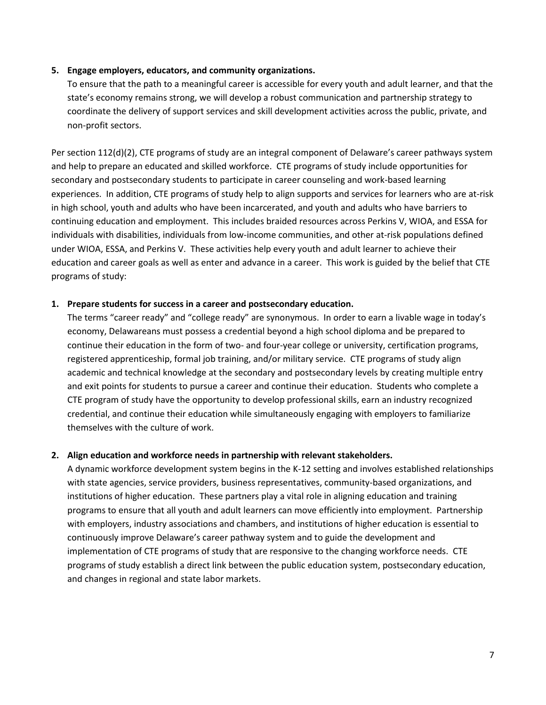#### **5. Engage employers, educators, and community organizations.**

To ensure that the path to a meaningful career is accessible for every youth and adult learner, and that the state's economy remains strong, we will develop a robust communication and partnership strategy to coordinate the delivery of support services and skill development activities across the public, private, and non-profit sectors.

Per section 112(d)(2), CTE programs of study are an integral component of Delaware's career pathways system and help to prepare an educated and skilled workforce. CTE programs of study include opportunities for secondary and postsecondary students to participate in career counseling and work-based learning experiences. In addition, CTE programs of study help to align supports and services for learners who are at-risk in high school, youth and adults who have been incarcerated, and youth and adults who have barriers to continuing education and employment. This includes braided resources across Perkins V, WIOA, and ESSA for individuals with disabilities, individuals from low-income communities, and other at-risk populations defined under WIOA, ESSA, and Perkins V. These activities help every youth and adult learner to achieve their education and career goals as well as enter and advance in a career. This work is guided by the belief that CTE programs of study:

#### **1. Prepare students for success in a career and postsecondary education.**

The terms "career ready" and "college ready" are synonymous. In order to earn a livable wage in today's economy, Delawareans must possess a credential beyond a high school diploma and be prepared to continue their education in the form of two- and four-year college or university, certification programs, registered apprenticeship, formal job training, and/or military service. CTE programs of study align academic and technical knowledge at the secondary and postsecondary levels by creating multiple entry and exit points for students to pursue a career and continue their education. Students who complete a CTE program of study have the opportunity to develop professional skills, earn an industry recognized credential, and continue their education while simultaneously engaging with employers to familiarize themselves with the culture of work.

#### **2. Align education and workforce needs in partnership with relevant stakeholders.**

A dynamic workforce development system begins in the K-12 setting and involves established relationships with state agencies, service providers, business representatives, community-based organizations, and institutions of higher education. These partners play a vital role in aligning education and training programs to ensure that all youth and adult learners can move efficiently into employment. Partnership with employers, industry associations and chambers, and institutions of higher education is essential to continuously improve Delaware's career pathway system and to guide the development and implementation of CTE programs of study that are responsive to the changing workforce needs. CTE programs of study establish a direct link between the public education system, postsecondary education, and changes in regional and state labor markets.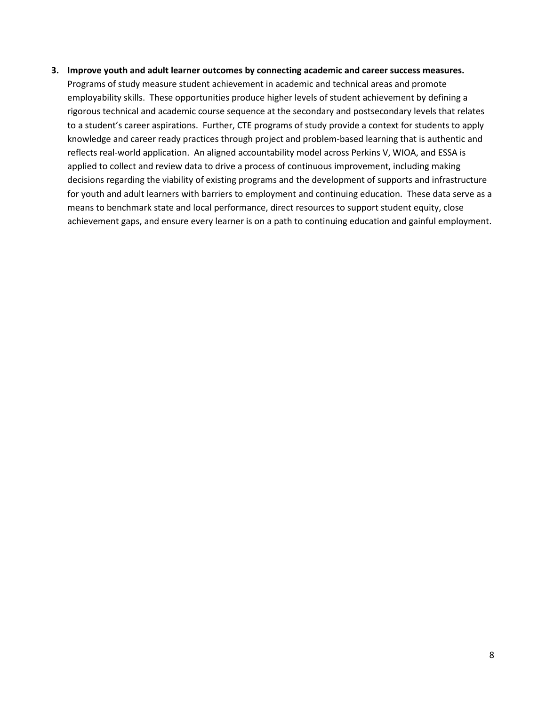#### **3. Improve youth and adult learner outcomes by connecting academic and career success measures.**

Programs of study measure student achievement in academic and technical areas and promote employability skills. These opportunities produce higher levels of student achievement by defining a rigorous technical and academic course sequence at the secondary and postsecondary levels that relates to a student's career aspirations. Further, CTE programs of study provide a context for students to apply knowledge and career ready practices through project and problem-based learning that is authentic and reflects real-world application. An aligned accountability model across Perkins V, WIOA, and ESSA is applied to collect and review data to drive a process of continuous improvement, including making decisions regarding the viability of existing programs and the development of supports and infrastructure for youth and adult learners with barriers to employment and continuing education. These data serve as a means to benchmark state and local performance, direct resources to support student equity, close achievement gaps, and ensure every learner is on a path to continuing education and gainful employment.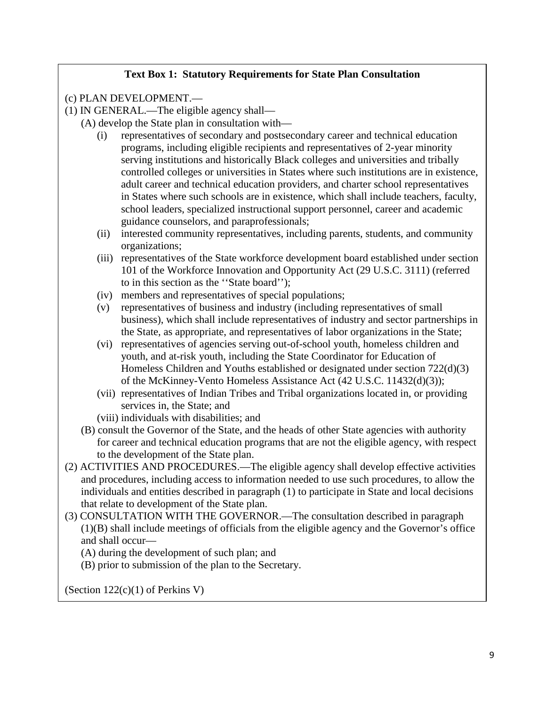# **Text Box 1: Statutory Requirements for State Plan Consultation**

(c) PLAN DEVELOPMENT.—

(1) IN GENERAL.—The eligible agency shall—

- (A) develop the State plan in consultation with—
	- (i) representatives of secondary and postsecondary career and technical education programs, including eligible recipients and representatives of 2-year minority serving institutions and historically Black colleges and universities and tribally controlled colleges or universities in States where such institutions are in existence, adult career and technical education providers, and charter school representatives in States where such schools are in existence, which shall include teachers, faculty, school leaders, specialized instructional support personnel, career and academic guidance counselors, and paraprofessionals;
	- (ii) interested community representatives, including parents, students, and community organizations;
	- (iii) representatives of the State workforce development board established under section 101 of the Workforce Innovation and Opportunity Act (29 U.S.C. 3111) (referred to in this section as the ''State board'');
	- (iv) members and representatives of special populations;
	- (v) representatives of business and industry (including representatives of small business), which shall include representatives of industry and sector partnerships in the State, as appropriate, and representatives of labor organizations in the State;
	- (vi) representatives of agencies serving out-of-school youth, homeless children and youth, and at-risk youth, including the State Coordinator for Education of Homeless Children and Youths established or designated under section 722(d)(3) of the McKinney-Vento Homeless Assistance Act (42 U.S.C. 11432(d)(3));
	- (vii) representatives of Indian Tribes and Tribal organizations located in, or providing services in, the State; and
	- (viii) individuals with disabilities; and
- (B) consult the Governor of the State, and the heads of other State agencies with authority for career and technical education programs that are not the eligible agency, with respect to the development of the State plan.
- (2) ACTIVITIES AND PROCEDURES.—The eligible agency shall develop effective activities and procedures, including access to information needed to use such procedures, to allow the individuals and entities described in paragraph (1) to participate in State and local decisions that relate to development of the State plan.
- (3) CONSULTATION WITH THE GOVERNOR.—The consultation described in paragraph (1)(B) shall include meetings of officials from the eligible agency and the Governor's office and shall occur—
	- (A) during the development of such plan; and
	- (B) prior to submission of the plan to the Secretary.

(Section 122(c)(1) of Perkins V)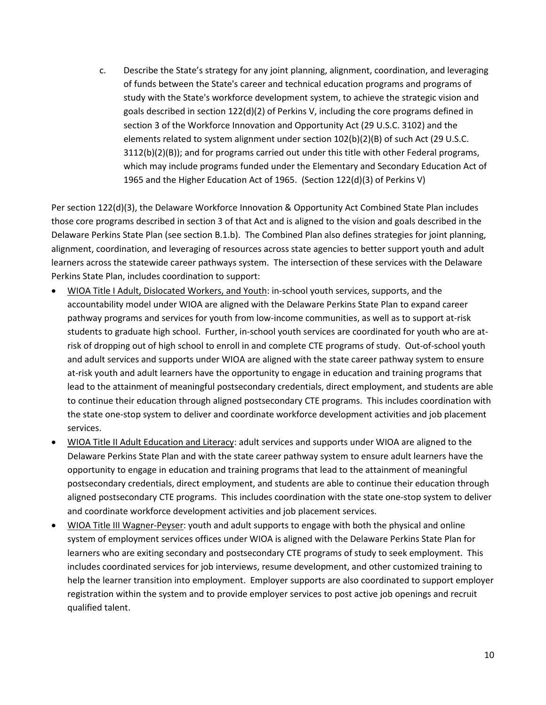c. Describe the State's strategy for any joint planning, alignment, coordination, and leveraging of funds between the State's career and technical education programs and programs of study with the State's workforce development system, to achieve the strategic vision and goals described in section 122(d)(2) of Perkins V, including the core programs defined in section 3 of the Workforce Innovation and Opportunity Act (29 U.S.C. 3102) and the elements related to system alignment under section 102(b)(2)(B) of such Act (29 U.S.C. 3112(b)(2)(B)); and for programs carried out under this title with other Federal programs, which may include programs funded under the Elementary and Secondary Education Act of 1965 and the Higher Education Act of 1965. (Section 122(d)(3) of Perkins V)

Per section 122(d)(3), the Delaware Workforce Innovation & Opportunity Act Combined State Plan includes those core programs described in section 3 of that Act and is aligned to the vision and goals described in the Delaware Perkins State Plan (see section B.1.b). The Combined Plan also defines strategies for joint planning, alignment, coordination, and leveraging of resources across state agencies to better support youth and adult learners across the statewide career pathways system. The intersection of these services with the Delaware Perkins State Plan, includes coordination to support:

- WIOA Title I Adult, Dislocated Workers, and Youth: in-school youth services, supports, and the accountability model under WIOA are aligned with the Delaware Perkins State Plan to expand career pathway programs and services for youth from low-income communities, as well as to support at-risk students to graduate high school. Further, in-school youth services are coordinated for youth who are atrisk of dropping out of high school to enroll in and complete CTE programs of study. Out-of-school youth and adult services and supports under WIOA are aligned with the state career pathway system to ensure at-risk youth and adult learners have the opportunity to engage in education and training programs that lead to the attainment of meaningful postsecondary credentials, direct employment, and students are able to continue their education through aligned postsecondary CTE programs. This includes coordination with the state one-stop system to deliver and coordinate workforce development activities and job placement services.
- WIOA Title II Adult Education and Literacy: adult services and supports under WIOA are aligned to the Delaware Perkins State Plan and with the state career pathway system to ensure adult learners have the opportunity to engage in education and training programs that lead to the attainment of meaningful postsecondary credentials, direct employment, and students are able to continue their education through aligned postsecondary CTE programs. This includes coordination with the state one-stop system to deliver and coordinate workforce development activities and job placement services.
- WIOA Title III Wagner-Peyser: youth and adult supports to engage with both the physical and online system of employment services offices under WIOA is aligned with the Delaware Perkins State Plan for learners who are exiting secondary and postsecondary CTE programs of study to seek employment. This includes coordinated services for job interviews, resume development, and other customized training to help the learner transition into employment. Employer supports are also coordinated to support employer registration within the system and to provide employer services to post active job openings and recruit qualified talent.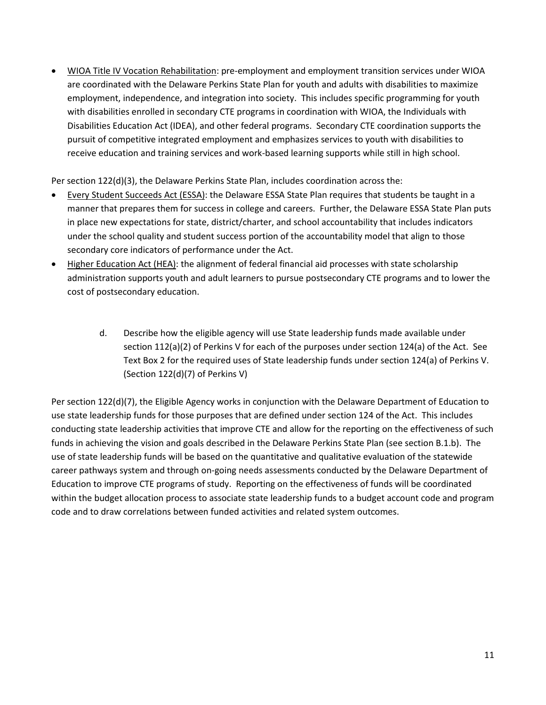• WIOA Title IV Vocation Rehabilitation: pre-employment and employment transition services under WIOA are coordinated with the Delaware Perkins State Plan for youth and adults with disabilities to maximize employment, independence, and integration into society. This includes specific programming for youth with disabilities enrolled in secondary CTE programs in coordination with WIOA, the Individuals with Disabilities Education Act (IDEA), and other federal programs. Secondary CTE coordination supports the pursuit of competitive integrated employment and emphasizes services to youth with disabilities to receive education and training services and work-based learning supports while still in high school.

Per section 122(d)(3), the Delaware Perkins State Plan, includes coordination across the:

- Every Student Succeeds Act (ESSA): the Delaware ESSA State Plan requires that students be taught in a manner that prepares them for success in college and careers. Further, the Delaware ESSA State Plan puts in place new expectations for state, district/charter, and school accountability that includes indicators under the school quality and student success portion of the accountability model that align to those secondary core indicators of performance under the Act.
- Higher Education Act (HEA): the alignment of federal financial aid processes with state scholarship administration supports youth and adult learners to pursue postsecondary CTE programs and to lower the cost of postsecondary education.
	- d. Describe how the eligible agency will use State leadership funds made available under section 112(a)(2) of Perkins V for each of the purposes under section 124(a) of the Act. See Text Box 2 for the required uses of State leadership funds under section 124(a) of Perkins V. (Section 122(d)(7) of Perkins V)

Per section 122(d)(7), the Eligible Agency works in conjunction with the Delaware Department of Education to use state leadership funds for those purposes that are defined under section 124 of the Act. This includes conducting state leadership activities that improve CTE and allow for the reporting on the effectiveness of such funds in achieving the vision and goals described in the Delaware Perkins State Plan (see section B.1.b). The use of state leadership funds will be based on the quantitative and qualitative evaluation of the statewide career pathways system and through on-going needs assessments conducted by the Delaware Department of Education to improve CTE programs of study. Reporting on the effectiveness of funds will be coordinated within the budget allocation process to associate state leadership funds to a budget account code and program code and to draw correlations between funded activities and related system outcomes.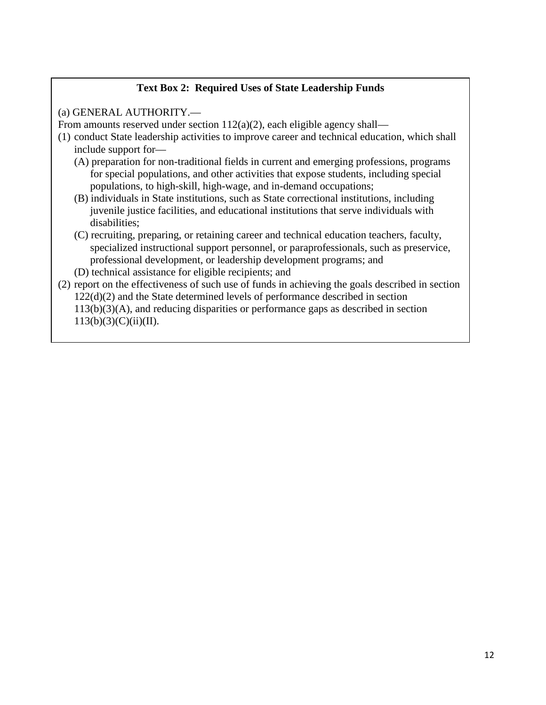# **Text Box 2: Required Uses of State Leadership Funds**

(a) GENERAL AUTHORITY.—

İ

From amounts reserved under section  $112(a)(2)$ , each eligible agency shall—

- (1) conduct State leadership activities to improve career and technical education, which shall include support for—
	- (A) preparation for non-traditional fields in current and emerging professions, programs for special populations, and other activities that expose students, including special populations, to high-skill, high-wage, and in-demand occupations;
	- (B) individuals in State institutions, such as State correctional institutions, including juvenile justice facilities, and educational institutions that serve individuals with disabilities;
	- (C) recruiting, preparing, or retaining career and technical education teachers, faculty, specialized instructional support personnel, or paraprofessionals, such as preservice, professional development, or leadership development programs; and
	- (D) technical assistance for eligible recipients; and
- (2) report on the effectiveness of such use of funds in achieving the goals described in section 122(d)(2) and the State determined levels of performance described in section 113(b)(3)(A), and reducing disparities or performance gaps as described in section  $113(b)(3)(C)(ii)(II).$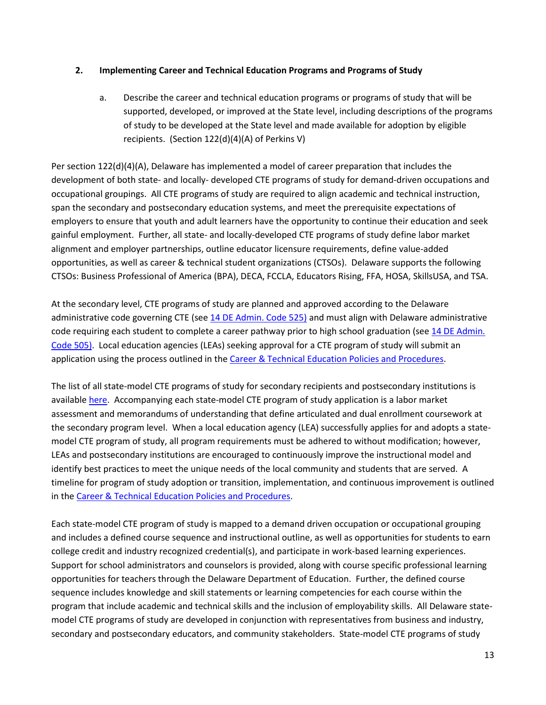### **2. Implementing Career and Technical Education Programs and Programs of Study**

a. Describe the career and technical education programs or programs of study that will be supported, developed, or improved at the State level, including descriptions of the programs of study to be developed at the State level and made available for adoption by eligible recipients. (Section 122(d)(4)(A) of Perkins V)

Per section 122(d)(4)(A), Delaware has implemented a model of career preparation that includes the development of both state- and locally- developed CTE programs of study for demand-driven occupations and occupational groupings. All CTE programs of study are required to align academic and technical instruction, span the secondary and postsecondary education systems, and meet the prerequisite expectations of employers to ensure that youth and adult learners have the opportunity to continue their education and seek gainful employment. Further, all state- and locally-developed CTE programs of study define labor market alignment and employer partnerships, outline educator licensure requirements, define value-added opportunities, as well as career & technical student organizations (CTSOs). Delaware supports the following CTSOs: Business Professional of America (BPA), DECA, FCCLA, Educators Rising, FFA, HOSA, SkillsUSA, and TSA.

At the secondary level, CTE programs of study are planned and approved according to the Delaware administrative code governing CTE (see [14 DE Admin. Code 525\)](http://regulations.delaware.gov/AdminCode/title14/500/525.shtml#TopOfPage) and must align with Delaware administrative code requiring each student to complete a career pathway prior to high school graduation (see 14 DE Admin. [Code 505\)](http://regulations.delaware.gov/AdminCode/title14/500/505.shtml#TopOfPage). Local education agencies (LEAs) seeking approval for a CTE program of study will submit an application using the process outlined in the [Career & Technical Education Policies and Procedures.](http://education.delaware.gov/wp-content/uploads/2019/04/2017_08_de_cte_pos_policyandprocedures.pdf)

The list of all state-model CTE programs of study for secondary recipients and postsecondary institutions is availabl[e here.](https://education.delaware.gov/educators/academic-support/career_and_technical_education/statemodel_programs_of_study) Accompanying each state-model CTE program of study application is a labor market assessment and memorandums of understanding that define articulated and dual enrollment coursework at the secondary program level. When a local education agency (LEA) successfully applies for and adopts a statemodel CTE program of study, all program requirements must be adhered to without modification; however, LEAs and postsecondary institutions are encouraged to continuously improve the instructional model and identify best practices to meet the unique needs of the local community and students that are served. A timeline for program of study adoption or transition, implementation, and continuous improvement is outlined in the [Career & Technical Education Policies and Procedures.](http://education.delaware.gov/wp-content/uploads/2019/04/2017_08_de_cte_pos_policyandprocedures.pdf)

Each state-model CTE program of study is mapped to a demand driven occupation or occupational grouping and includes a defined course sequence and instructional outline, as well as opportunities for students to earn college credit and industry recognized credential(s), and participate in work-based learning experiences. Support for school administrators and counselors is provided, along with course specific professional learning opportunities for teachers through the Delaware Department of Education. Further, the defined course sequence includes knowledge and skill statements or learning competencies for each course within the program that include academic and technical skills and the inclusion of employability skills. All Delaware statemodel CTE programs of study are developed in conjunction with representatives from business and industry, secondary and postsecondary educators, and community stakeholders. State-model CTE programs of study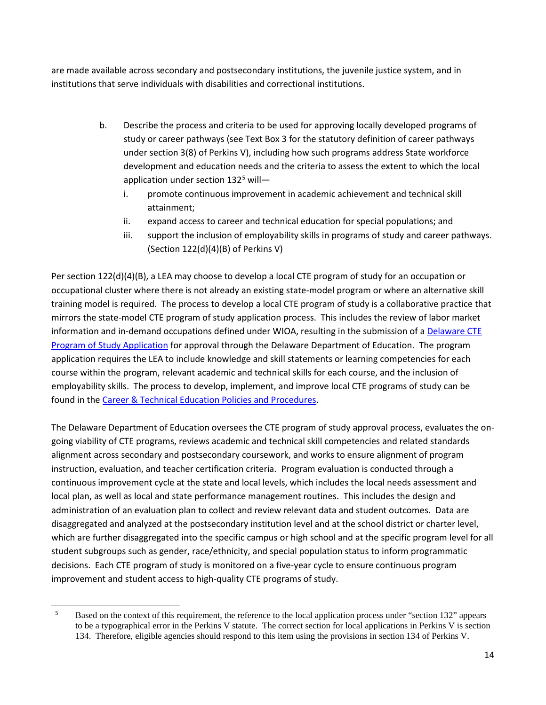are made available across secondary and postsecondary institutions, the juvenile justice system, and in institutions that serve individuals with disabilities and correctional institutions.

- b. Describe the process and criteria to be used for approving locally developed programs of study or career pathways (see Text Box 3 for the statutory definition of career pathways under section 3(8) of Perkins V), including how such programs address State workforce development and education needs and the criteria to assess the extent to which the local application under section  $132<sup>5</sup>$  $132<sup>5</sup>$  $132<sup>5</sup>$  will
	- i. promote continuous improvement in academic achievement and technical skill attainment;
	- ii. expand access to career and technical education for special populations; and
	- iii. support the inclusion of employability skills in programs of study and career pathways. (Section 122(d)(4)(B) of Perkins V)

Per section 122(d)(4)(B), a LEA may choose to develop a local CTE program of study for an occupation or occupational cluster where there is not already an existing state-model program or where an alternative skill training model is required. The process to develop a local CTE program of study is a collaborative practice that mirrors the state-model CTE program of study application process. This includes the review of labor market information and in-demand occupations defined under WIOA, resulting in the submission of a [Delaware CTE](https://education.delaware.gov/educators/academic-support/career_and_technical_education/cte_educator_resources/)  [Program of Study Application](https://education.delaware.gov/educators/academic-support/career_and_technical_education/cte_educator_resources/) for approval through the Delaware Department of Education. The program application requires the LEA to include knowledge and skill statements or learning competencies for each course within the program, relevant academic and technical skills for each course, and the inclusion of employability skills. The process to develop, implement, and improve local CTE programs of study can be found in the [Career & Technical Education Policies and Procedures.](http://education.delaware.gov/wp-content/uploads/2019/04/2017_08_de_cte_pos_policyandprocedures.pdf)

The Delaware Department of Education oversees the CTE program of study approval process, evaluates the ongoing viability of CTE programs, reviews academic and technical skill competencies and related standards alignment across secondary and postsecondary coursework, and works to ensure alignment of program instruction, evaluation, and teacher certification criteria. Program evaluation is conducted through a continuous improvement cycle at the state and local levels, which includes the local needs assessment and local plan, as well as local and state performance management routines. This includes the design and administration of an evaluation plan to collect and review relevant data and student outcomes. Data are disaggregated and analyzed at the postsecondary institution level and at the school district or charter level, which are further disaggregated into the specific campus or high school and at the specific program level for all student subgroups such as gender, race/ethnicity, and special population status to inform programmatic decisions. Each CTE program of study is monitored on a five-year cycle to ensure continuous program improvement and student access to high-quality CTE programs of study.

<span id="page-14-0"></span><sup>&</sup>lt;sup>5</sup> Based on the context of this requirement, the reference to the local application process under "section 132" appears to be a typographical error in the Perkins V statute. The correct section for local applications in Perkins V is section 134. Therefore, eligible agencies should respond to this item using the provisions in section 134 of Perkins V.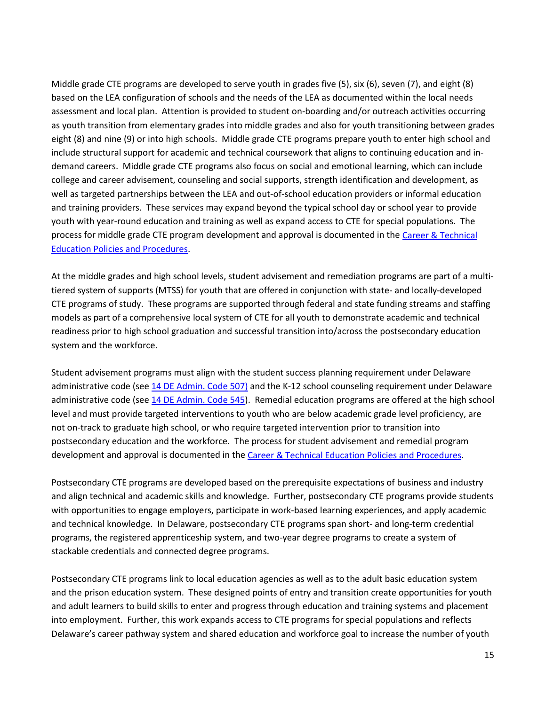Middle grade CTE programs are developed to serve youth in grades five (5), six (6), seven (7), and eight (8) based on the LEA configuration of schools and the needs of the LEA as documented within the local needs assessment and local plan. Attention is provided to student on-boarding and/or outreach activities occurring as youth transition from elementary grades into middle grades and also for youth transitioning between grades eight (8) and nine (9) or into high schools. Middle grade CTE programs prepare youth to enter high school and include structural support for academic and technical coursework that aligns to continuing education and indemand careers. Middle grade CTE programs also focus on social and emotional learning, which can include college and career advisement, counseling and social supports, strength identification and development, as well as targeted partnerships between the LEA and out-of-school education providers or informal education and training providers. These services may expand beyond the typical school day or school year to provide youth with year-round education and training as well as expand access to CTE for special populations. The process for middle grade CTE program development and approval is documented in the Career & Technical [Education Policies and Procedures.](http://education.delaware.gov/wp-content/uploads/2019/04/2017_08_de_cte_pos_policyandprocedures.pdf)

At the middle grades and high school levels, student advisement and remediation programs are part of a multitiered system of supports (MTSS) for youth that are offered in conjunction with state- and locally-developed CTE programs of study. These programs are supported through federal and state funding streams and staffing models as part of a comprehensive local system of CTE for all youth to demonstrate academic and technical readiness prior to high school graduation and successful transition into/across the postsecondary education system and the workforce.

Student advisement programs must align with the student success planning requirement under Delaware administrative code (see [14 DE Admin. Code 507\)](http://regulations.delaware.gov/AdminCode/title14/500/507.shtml#TopOfPage) and the K-12 school counseling requirement under Delaware administrative code (see [14 DE Admin. Code 545\)](http://regulations.delaware.gov/AdminCode/title14/500/545.shtml#TopOfPage). Remedial education programs are offered at the high school level and must provide targeted interventions to youth who are below academic grade level proficiency, are not on-track to graduate high school, or who require targeted intervention prior to transition into postsecondary education and the workforce. The process for student advisement and remedial program development and approval is documented in th[e Career & Technical Education Policies and Procedures.](http://education.delaware.gov/wp-content/uploads/2019/04/2017_08_de_cte_pos_policyandprocedures.pdf)

Postsecondary CTE programs are developed based on the prerequisite expectations of business and industry and align technical and academic skills and knowledge. Further, postsecondary CTE programs provide students with opportunities to engage employers, participate in work-based learning experiences, and apply academic and technical knowledge. In Delaware, postsecondary CTE programs span short- and long-term credential programs, the registered apprenticeship system, and two-year degree programs to create a system of stackable credentials and connected degree programs.

Postsecondary CTE programs link to local education agencies as well as to the adult basic education system and the prison education system. These designed points of entry and transition create opportunities for youth and adult learners to build skills to enter and progress through education and training systems and placement into employment. Further, this work expands access to CTE programs for special populations and reflects Delaware's career pathway system and shared education and workforce goal to increase the number of youth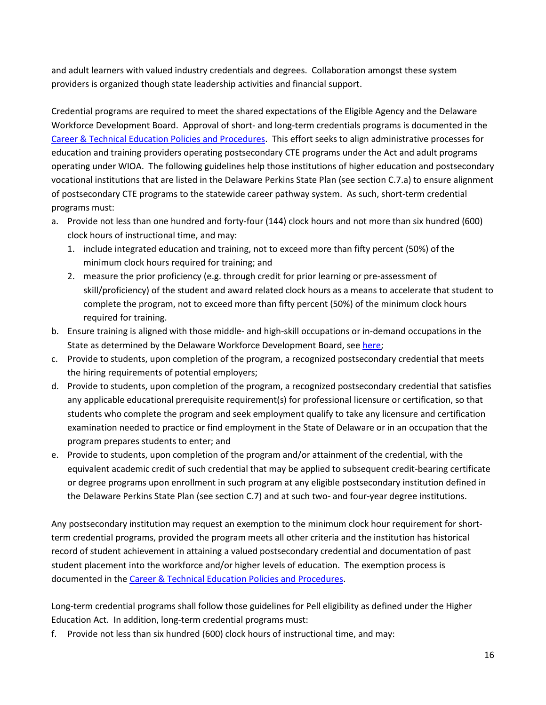and adult learners with valued industry credentials and degrees. Collaboration amongst these system providers is organized though state leadership activities and financial support.

Credential programs are required to meet the shared expectations of the Eligible Agency and the Delaware Workforce Development Board. Approval of short- and long-term credentials programs is documented in the [Career & Technical Education Policies and Procedures.](http://education.delaware.gov/wp-content/uploads/2019/04/2017_08_de_cte_pos_policyandprocedures.pdf) This effort seeks to align administrative processes for education and training providers operating postsecondary CTE programs under the Act and adult programs operating under WIOA. The following guidelines help those institutions of higher education and postsecondary vocational institutions that are listed in the Delaware Perkins State Plan (see section C.7.a) to ensure alignment of postsecondary CTE programs to the statewide career pathway system. As such, short-term credential programs must:

- a. Provide not less than one hundred and forty-four (144) clock hours and not more than six hundred (600) clock hours of instructional time, and may:
	- 1. include integrated education and training, not to exceed more than fifty percent (50%) of the minimum clock hours required for training; and
	- 2. measure the prior proficiency (e.g. through credit for prior learning or pre-assessment of skill/proficiency) of the student and award related clock hours as a means to accelerate that student to complete the program, not to exceed more than fifty percent (50%) of the minimum clock hours required for training.
- b. Ensure training is aligned with those middle- and high-skill occupations or in-demand occupations in the State as determined by the Delaware Workforce Development Board, se[e here;](https://wib.delawareworks.com/)
- c. Provide to students, upon completion of the program, a recognized postsecondary credential that meets the hiring requirements of potential employers;
- d. Provide to students, upon completion of the program, a recognized postsecondary credential that satisfies any applicable educational prerequisite requirement(s) for professional licensure or certification, so that students who complete the program and seek employment qualify to take any licensure and certification examination needed to practice or find employment in the State of Delaware or in an occupation that the program prepares students to enter; and
- e. Provide to students, upon completion of the program and/or attainment of the credential, with the equivalent academic credit of such credential that may be applied to subsequent credit-bearing certificate or degree programs upon enrollment in such program at any eligible postsecondary institution defined in the Delaware Perkins State Plan (see section C.7) and at such two- and four-year degree institutions.

Any postsecondary institution may request an exemption to the minimum clock hour requirement for shortterm credential programs, provided the program meets all other criteria and the institution has historical record of student achievement in attaining a valued postsecondary credential and documentation of past student placement into the workforce and/or higher levels of education. The exemption process is documented in the [Career & Technical Education Policies and Procedures.](http://education.delaware.gov/wp-content/uploads/2019/04/2017_08_de_cte_pos_policyandprocedures.pdf)

Long-term credential programs shall follow those guidelines for Pell eligibility as defined under the Higher Education Act. In addition, long-term credential programs must:

f. Provide not less than six hundred (600) clock hours of instructional time, and may: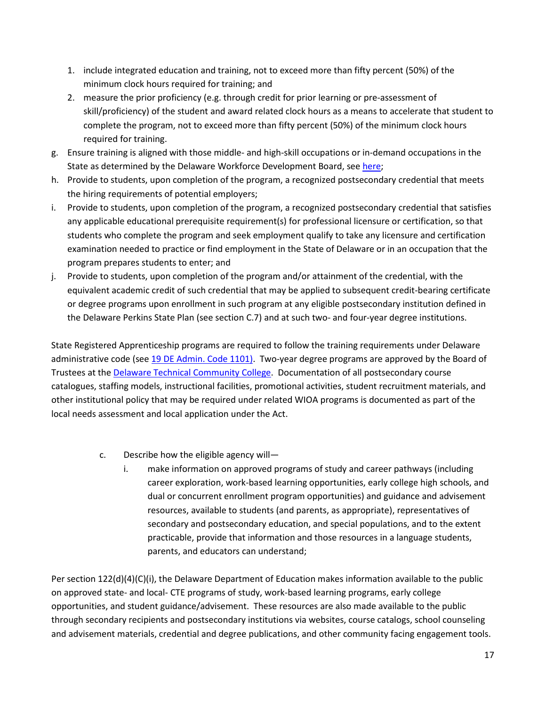- 1. include integrated education and training, not to exceed more than fifty percent (50%) of the minimum clock hours required for training; and
- 2. measure the prior proficiency (e.g. through credit for prior learning or pre-assessment of skill/proficiency) of the student and award related clock hours as a means to accelerate that student to complete the program, not to exceed more than fifty percent (50%) of the minimum clock hours required for training.
- g. Ensure training is aligned with those middle- and high-skill occupations or in-demand occupations in the State as determined by the Delaware Workforce Development Board, se[e here;](https://wib.delawareworks.com/)
- h. Provide to students, upon completion of the program, a recognized postsecondary credential that meets the hiring requirements of potential employers;
- i. Provide to students, upon completion of the program, a recognized postsecondary credential that satisfies any applicable educational prerequisite requirement(s) for professional licensure or certification, so that students who complete the program and seek employment qualify to take any licensure and certification examination needed to practice or find employment in the State of Delaware or in an occupation that the program prepares students to enter; and
- j. Provide to students, upon completion of the program and/or attainment of the credential, with the equivalent academic credit of such credential that may be applied to subsequent credit-bearing certificate or degree programs upon enrollment in such program at any eligible postsecondary institution defined in the Delaware Perkins State Plan (see section C.7) and at such two- and four-year degree institutions.

State Registered Apprenticeship programs are required to follow the training requirements under Delaware administrative code (see [19 DE Admin. Code 1101\)](http://regulations.delaware.gov/AdminCode/title19/1000/1100/1101.shtml). Two-year degree programs are approved by the Board of Trustees at the [Delaware Technical Community College.](https://www.dtcc.edu/) Documentation of all postsecondary course catalogues, staffing models, instructional facilities, promotional activities, student recruitment materials, and other institutional policy that may be required under related WIOA programs is documented as part of the local needs assessment and local application under the Act.

- c. Describe how the eligible agency will
	- i. make information on approved programs of study and career pathways (including career exploration, work-based learning opportunities, early college high schools, and dual or concurrent enrollment program opportunities) and guidance and advisement resources, available to students (and parents, as appropriate), representatives of secondary and postsecondary education, and special populations, and to the extent practicable, provide that information and those resources in a language students, parents, and educators can understand;

Per section 122(d)(4)(C)(i), the Delaware Department of Education makes information available to the public on approved state- and local- CTE programs of study, work-based learning programs, early college opportunities, and student guidance/advisement. These resources are also made available to the public through secondary recipients and postsecondary institutions via websites, course catalogs, school counseling and advisement materials, credential and degree publications, and other community facing engagement tools.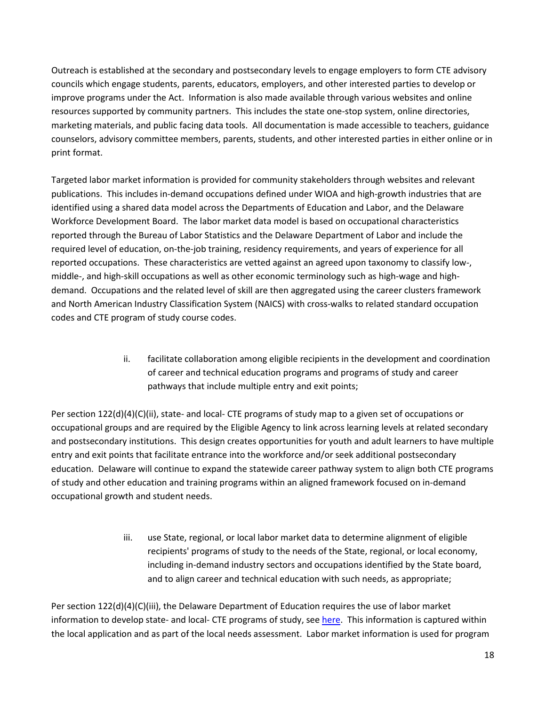Outreach is established at the secondary and postsecondary levels to engage employers to form CTE advisory councils which engage students, parents, educators, employers, and other interested parties to develop or improve programs under the Act. Information is also made available through various websites and online resources supported by community partners. This includes the state one-stop system, online directories, marketing materials, and public facing data tools. All documentation is made accessible to teachers, guidance counselors, advisory committee members, parents, students, and other interested parties in either online or in print format.

Targeted labor market information is provided for community stakeholders through websites and relevant publications. This includes in-demand occupations defined under WIOA and high-growth industries that are identified using a shared data model across the Departments of Education and Labor, and the Delaware Workforce Development Board. The labor market data model is based on occupational characteristics reported through the Bureau of Labor Statistics and the Delaware Department of Labor and include the required level of education, on-the-job training, residency requirements, and years of experience for all reported occupations. These characteristics are vetted against an agreed upon taxonomy to classify low-, middle-, and high-skill occupations as well as other economic terminology such as high-wage and highdemand. Occupations and the related level of skill are then aggregated using the career clusters framework and North American Industry Classification System (NAICS) with cross-walks to related standard occupation codes and CTE program of study course codes.

> ii. facilitate collaboration among eligible recipients in the development and coordination of career and technical education programs and programs of study and career pathways that include multiple entry and exit points;

Per section 122(d)(4)(C)(ii), state- and local- CTE programs of study map to a given set of occupations or occupational groups and are required by the Eligible Agency to link across learning levels at related secondary and postsecondary institutions. This design creates opportunities for youth and adult learners to have multiple entry and exit points that facilitate entrance into the workforce and/or seek additional postsecondary education. Delaware will continue to expand the statewide career pathway system to align both CTE programs of study and other education and training programs within an aligned framework focused on in-demand occupational growth and student needs.

> iii. use State, regional, or local labor market data to determine alignment of eligible recipients' programs of study to the needs of the State, regional, or local economy, including in-demand industry sectors and occupations identified by the State board, and to align career and technical education with such needs, as appropriate;

Per section 122(d)(4)(C)(iii), the Delaware Department of Education requires the use of labor market information to develop state- and local- CTE programs of study, see [here.](https://education.delaware.gov/educators/academic-support/career_and_technical_education/cte_educator_resources/) This information is captured within the local application and as part of the local needs assessment. Labor market information is used for program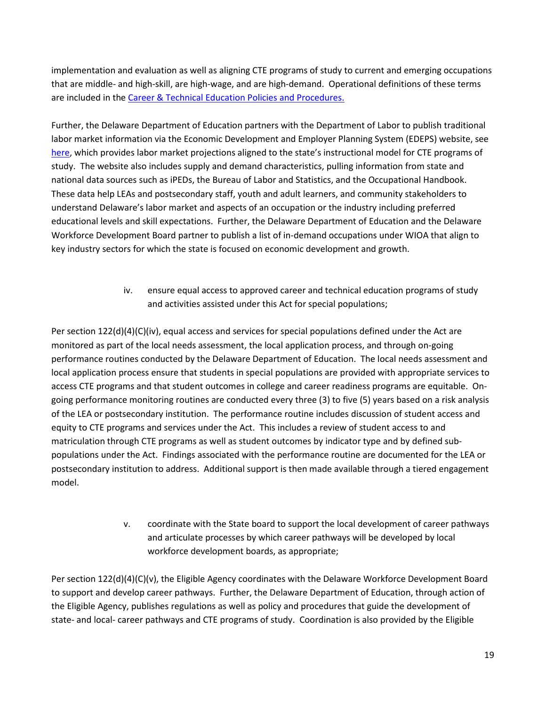implementation and evaluation as well as aligning CTE programs of study to current and emerging occupations that are middle- and high-skill, are high-wage, and are high-demand. Operational definitions of these terms are included in th[e Career & Technical Education Policies and Procedures.](http://education.delaware.gov/wp-content/uploads/2019/04/2017_08_de_cte_pos_policyandprocedures.pdf) 

Further, the Delaware Department of Education partners with the Department of Labor to publish traditional labor market information via the Economic Development and Employer Planning System (EDEPS) website, see [here,](https://www.edeps.org/) which provides labor market projections aligned to the state's instructional model for CTE programs of study. The website also includes supply and demand characteristics, pulling information from state and national data sources such as iPEDs, the Bureau of Labor and Statistics, and the Occupational Handbook. These data help LEAs and postsecondary staff, youth and adult learners, and community stakeholders to understand Delaware's labor market and aspects of an occupation or the industry including preferred educational levels and skill expectations. Further, the Delaware Department of Education and the Delaware Workforce Development Board partner to publish a list of in-demand occupations under WIOA that align to key industry sectors for which the state is focused on economic development and growth.

> iv. ensure equal access to approved career and technical education programs of study and activities assisted under this Act for special populations;

Per section 122(d)(4)(C)(iv), equal access and services for special populations defined under the Act are monitored as part of the local needs assessment, the local application process, and through on-going performance routines conducted by the Delaware Department of Education. The local needs assessment and local application process ensure that students in special populations are provided with appropriate services to access CTE programs and that student outcomes in college and career readiness programs are equitable. Ongoing performance monitoring routines are conducted every three (3) to five (5) years based on a risk analysis of the LEA or postsecondary institution. The performance routine includes discussion of student access and equity to CTE programs and services under the Act. This includes a review of student access to and matriculation through CTE programs as well as student outcomes by indicator type and by defined subpopulations under the Act. Findings associated with the performance routine are documented for the LEA or postsecondary institution to address. Additional support is then made available through a tiered engagement model.

> v. coordinate with the State board to support the local development of career pathways and articulate processes by which career pathways will be developed by local workforce development boards, as appropriate;

Per section 122(d)(4)(C)(v), the Eligible Agency coordinates with the Delaware Workforce Development Board to support and develop career pathways. Further, the Delaware Department of Education, through action of the Eligible Agency, publishes regulations as well as policy and procedures that guide the development of state- and local- career pathways and CTE programs of study. Coordination is also provided by the Eligible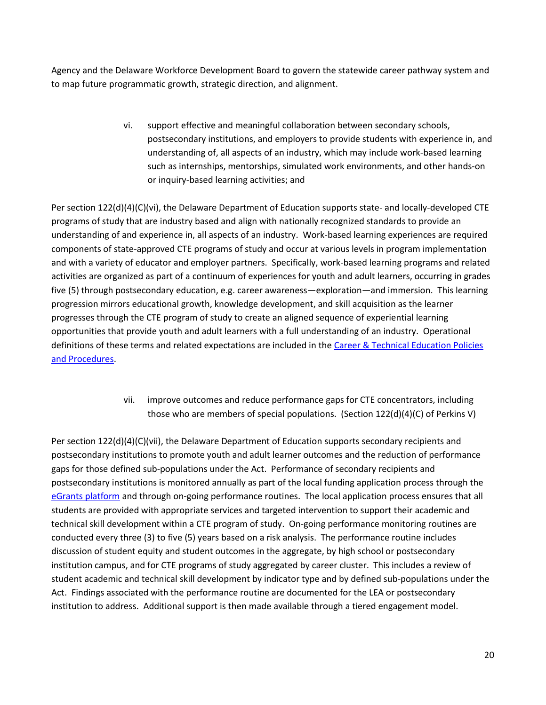Agency and the Delaware Workforce Development Board to govern the statewide career pathway system and to map future programmatic growth, strategic direction, and alignment.

> vi. support effective and meaningful collaboration between secondary schools, postsecondary institutions, and employers to provide students with experience in, and understanding of, all aspects of an industry, which may include work-based learning such as internships, mentorships, simulated work environments, and other hands-on or inquiry-based learning activities; and

Per section 122(d)(4)(C)(vi), the Delaware Department of Education supports state- and locally-developed CTE programs of study that are industry based and align with nationally recognized standards to provide an understanding of and experience in, all aspects of an industry. Work-based learning experiences are required components of state-approved CTE programs of study and occur at various levels in program implementation and with a variety of educator and employer partners. Specifically, work-based learning programs and related activities are organized as part of a continuum of experiences for youth and adult learners, occurring in grades five (5) through postsecondary education, e.g. career awareness—exploration—and immersion. This learning progression mirrors educational growth, knowledge development, and skill acquisition as the learner progresses through the CTE program of study to create an aligned sequence of experiential learning opportunities that provide youth and adult learners with a full understanding of an industry. Operational definitions of these terms and related expectations are included in th[e Career & Technical Education Policies](http://education.delaware.gov/wp-content/uploads/2019/04/2017_08_de_cte_pos_policyandprocedures.pdf)  [and Procedures.](http://education.delaware.gov/wp-content/uploads/2019/04/2017_08_de_cte_pos_policyandprocedures.pdf)

> vii. improve outcomes and reduce performance gaps for CTE concentrators, including those who are members of special populations. (Section 122(d)(4)(C) of Perkins V)

Per section 122(d)(4)(C)(vii), the Delaware Department of Education supports secondary recipients and postsecondary institutions to promote youth and adult learner outcomes and the reduction of performance gaps for those defined sub-populations under the Act. Performance of secondary recipients and postsecondary institutions is monitored annually as part of the local funding application process through the [eGrants platform](https://www.doe.k12.de.us/domain/477) and through on-going performance routines. The local application process ensures that all students are provided with appropriate services and targeted intervention to support their academic and technical skill development within a CTE program of study. On-going performance monitoring routines are conducted every three (3) to five (5) years based on a risk analysis. The performance routine includes discussion of student equity and student outcomes in the aggregate, by high school or postsecondary institution campus, and for CTE programs of study aggregated by career cluster. This includes a review of student academic and technical skill development by indicator type and by defined sub-populations under the Act. Findings associated with the performance routine are documented for the LEA or postsecondary institution to address. Additional support is then made available through a tiered engagement model.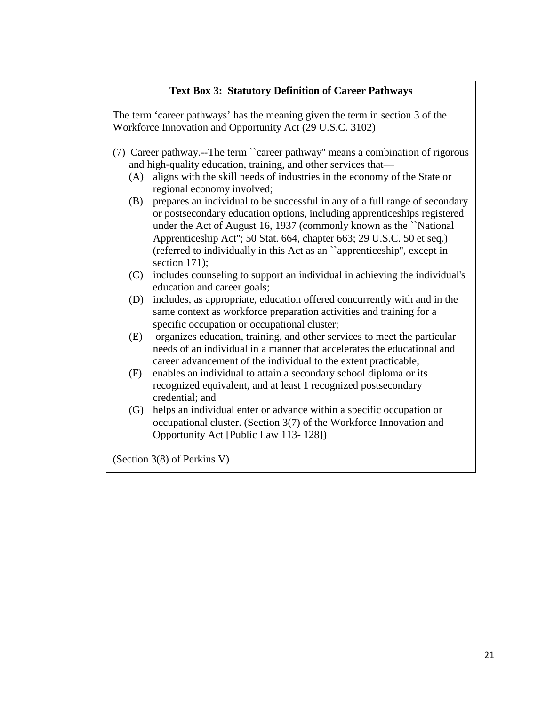# **Text Box 3: Statutory Definition of Career Pathways**

The term 'career pathways' has the meaning given the term in section 3 of the Workforce Innovation and Opportunity Act (29 U.S.C. 3102)

- (7) Career pathway.--The term ``career pathway'' means a combination of rigorous and high-quality education, training, and other services that—
	- (A) aligns with the skill needs of industries in the economy of the State or regional economy involved;
	- (B) prepares an individual to be successful in any of a full range of secondary or postsecondary education options, including apprenticeships registered under the Act of August 16, 1937 (commonly known as the ``National Apprenticeship Act''; 50 Stat. 664, chapter 663; 29 U.S.C. 50 et seq.) (referred to individually in this Act as an ``apprenticeship'', except in section 171);
	- (C) includes counseling to support an individual in achieving the individual's education and career goals;
	- (D) includes, as appropriate, education offered concurrently with and in the same context as workforce preparation activities and training for a specific occupation or occupational cluster;
	- (E) organizes education, training, and other services to meet the particular needs of an individual in a manner that accelerates the educational and career advancement of the individual to the extent practicable;
	- (F) enables an individual to attain a secondary school diploma or its recognized equivalent, and at least 1 recognized postsecondary credential; and
	- (G) helps an individual enter or advance within a specific occupation or occupational cluster. (Section 3(7) of the Workforce Innovation and Opportunity Act [Public Law 113- 128])

(Section 3(8) of Perkins V)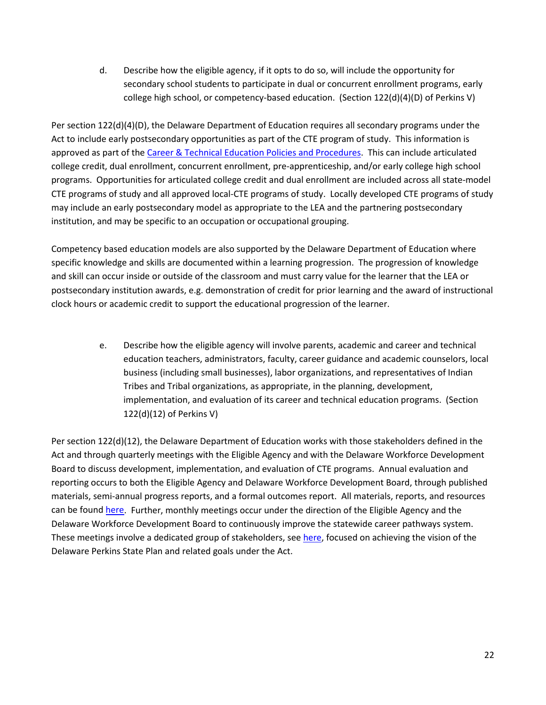d. Describe how the eligible agency, if it opts to do so, will include the opportunity for secondary school students to participate in dual or concurrent enrollment programs, early college high school, or competency-based education. (Section 122(d)(4)(D) of Perkins V)

Per section 122(d)(4)(D), the Delaware Department of Education requires all secondary programs under the Act to include early postsecondary opportunities as part of the CTE program of study. This information is approved as part of the [Career & Technical Education Policies and Procedures.](http://education.delaware.gov/wp-content/uploads/2019/04/2017_08_de_cte_pos_policyandprocedures.pdf) This can include articulated college credit, dual enrollment, concurrent enrollment, pre-apprenticeship, and/or early college high school programs. Opportunities for articulated college credit and dual enrollment are included across all state-model CTE programs of study and all approved local-CTE programs of study. Locally developed CTE programs of study may include an early postsecondary model as appropriate to the LEA and the partnering postsecondary institution, and may be specific to an occupation or occupational grouping.

Competency based education models are also supported by the Delaware Department of Education where specific knowledge and skills are documented within a learning progression. The progression of knowledge and skill can occur inside or outside of the classroom and must carry value for the learner that the LEA or postsecondary institution awards, e.g. demonstration of credit for prior learning and the award of instructional clock hours or academic credit to support the educational progression of the learner.

> e. Describe how the eligible agency will involve parents, academic and career and technical education teachers, administrators, faculty, career guidance and academic counselors, local business (including small businesses), labor organizations, and representatives of Indian Tribes and Tribal organizations, as appropriate, in the planning, development, implementation, and evaluation of its career and technical education programs. (Section 122(d)(12) of Perkins V)

Per section 122(d)(12), the Delaware Department of Education works with those stakeholders defined in the Act and through quarterly meetings with the Eligible Agency and with the Delaware Workforce Development Board to discuss development, implementation, and evaluation of CTE programs. Annual evaluation and reporting occurs to both the Eligible Agency and Delaware Workforce Development Board, through published materials, semi-annual progress reports, and a formal outcomes report. All materials, reports, and resources can be foun[d here.](https://delawarepathways.org/) Further, monthly meetings occur under the direction of the Eligible Agency and the Delaware Workforce Development Board to continuously improve the statewide career pathways system. These meetings involve a dedicated group of stakeholders, see [here,](https://delawarepathways.org/about/) focused on achieving the vision of the Delaware Perkins State Plan and related goals under the Act.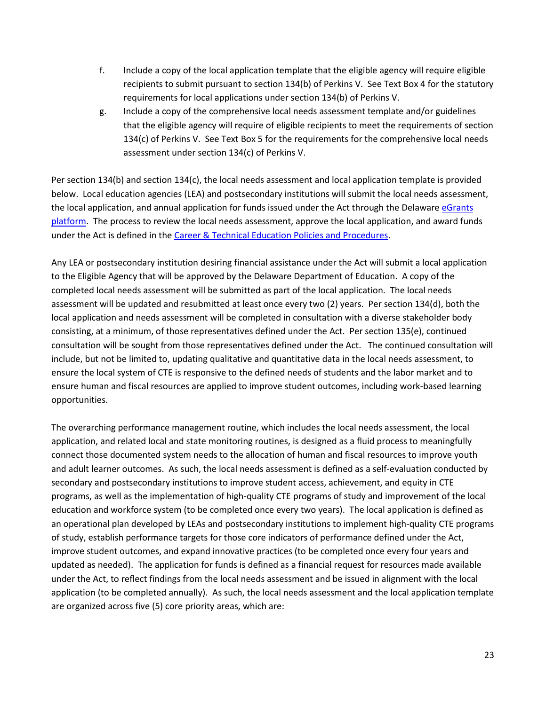- f. Include a copy of the local application template that the eligible agency will require eligible recipients to submit pursuant to section 134(b) of Perkins V. See Text Box 4 for the statutory requirements for local applications under section 134(b) of Perkins V.
- g. Include a copy of the comprehensive local needs assessment template and/or guidelines that the eligible agency will require of eligible recipients to meet the requirements of section 134(c) of Perkins V. See Text Box 5 for the requirements for the comprehensive local needs assessment under section 134(c) of Perkins V.

Per section 134(b) and section 134(c), the local needs assessment and local application template is provided below. Local education agencies (LEA) and postsecondary institutions will submit the local needs assessment, the local application, and annual application for funds issued under the Act through the Delaware eGrants [platform.](https://www.doe.k12.de.us/domain/477) The process to review the local needs assessment, approve the local application, and award funds under the Act is defined in th[e Career & Technical Education Policies and Procedures.](http://www.doe.k12.de.us/domain/384)

Any LEA or postsecondary institution desiring financial assistance under the Act will submit a local application to the Eligible Agency that will be approved by the Delaware Department of Education. A copy of the completed local needs assessment will be submitted as part of the local application. The local needs assessment will be updated and resubmitted at least once every two (2) years. Per section 134(d), both the local application and needs assessment will be completed in consultation with a diverse stakeholder body consisting, at a minimum, of those representatives defined under the Act. Per section 135(e), continued consultation will be sought from those representatives defined under the Act. The continued consultation will include, but not be limited to, updating qualitative and quantitative data in the local needs assessment, to ensure the local system of CTE is responsive to the defined needs of students and the labor market and to ensure human and fiscal resources are applied to improve student outcomes, including work-based learning opportunities.

The overarching performance management routine, which includes the local needs assessment, the local application, and related local and state monitoring routines, is designed as a fluid process to meaningfully connect those documented system needs to the allocation of human and fiscal resources to improve youth and adult learner outcomes. As such, the local needs assessment is defined as a self-evaluation conducted by secondary and postsecondary institutions to improve student access, achievement, and equity in CTE programs, as well as the implementation of high-quality CTE programs of study and improvement of the local education and workforce system (to be completed once every two years). The local application is defined as an operational plan developed by LEAs and postsecondary institutions to implement high-quality CTE programs of study, establish performance targets for those core indicators of performance defined under the Act, improve student outcomes, and expand innovative practices (to be completed once every four years and updated as needed). The application for funds is defined as a financial request for resources made available under the Act, to reflect findings from the local needs assessment and be issued in alignment with the local application (to be completed annually). As such, the local needs assessment and the local application template are organized across five (5) core priority areas, which are: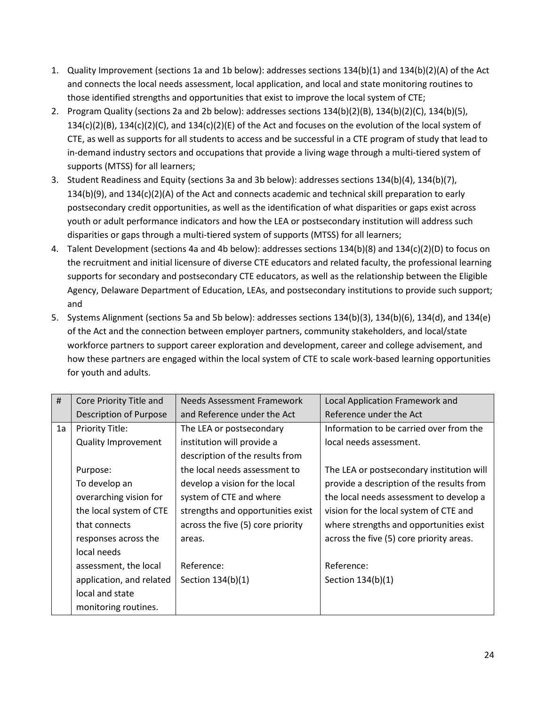- 1. Quality Improvement (sections 1a and 1b below): addresses sections 134(b)(1) and 134(b)(2)(A) of the Act and connects the local needs assessment, local application, and local and state monitoring routines to those identified strengths and opportunities that exist to improve the local system of CTE;
- 2. Program Quality (sections 2a and 2b below): addresses sections 134(b)(2)(B), 134(b)(2)(C), 134(b)(5), 134(c)(2)(B), 134(c)(2)(C), and 134(c)(2)(E) of the Act and focuses on the evolution of the local system of CTE, as well as supports for all students to access and be successful in a CTE program of study that lead to in-demand industry sectors and occupations that provide a living wage through a multi-tiered system of supports (MTSS) for all learners;
- 3. Student Readiness and Equity (sections 3a and 3b below): addresses sections 134(b)(4), 134(b)(7), 134(b)(9), and 134(c)(2)(A) of the Act and connects academic and technical skill preparation to early postsecondary credit opportunities, as well as the identification of what disparities or gaps exist across youth or adult performance indicators and how the LEA or postsecondary institution will address such disparities or gaps through a multi-tiered system of supports (MTSS) for all learners;
- 4. Talent Development (sections 4a and 4b below): addresses sections 134(b)(8) and 134(c)(2)(D) to focus on the recruitment and initial licensure of diverse CTE educators and related faculty, the professional learning supports for secondary and postsecondary CTE educators, as well as the relationship between the Eligible Agency, Delaware Department of Education, LEAs, and postsecondary institutions to provide such support; and
- 5. Systems Alignment (sections 5a and 5b below): addresses sections 134(b)(3), 134(b)(6), 134(d), and 134(e) of the Act and the connection between employer partners, community stakeholders, and local/state workforce partners to support career exploration and development, career and college advisement, and how these partners are engaged within the local system of CTE to scale work-based learning opportunities for youth and adults.

| #                       | Core Priority Title and    | Needs Assessment Framework        | Local Application Framework and           |  |
|-------------------------|----------------------------|-----------------------------------|-------------------------------------------|--|
|                         | Description of Purpose     | and Reference under the Act       | Reference under the Act                   |  |
| 1a                      | <b>Priority Title:</b>     | The LEA or postsecondary          | Information to be carried over from the   |  |
|                         | <b>Quality Improvement</b> | institution will provide a        | local needs assessment.                   |  |
|                         |                            | description of the results from   |                                           |  |
|                         | Purpose:                   | the local needs assessment to     | The LEA or postsecondary institution will |  |
|                         | To develop an              | develop a vision for the local    | provide a description of the results from |  |
| overarching vision for  |                            | system of CTE and where           | the local needs assessment to develop a   |  |
| the local system of CTE |                            | strengths and opportunities exist | vision for the local system of CTE and    |  |
|                         | that connects              | across the five (5) core priority | where strengths and opportunities exist   |  |
|                         | responses across the       | areas.                            | across the five (5) core priority areas.  |  |
|                         | local needs                |                                   |                                           |  |
|                         | assessment, the local      | Reference:                        | Reference:                                |  |
|                         | application, and related   | Section 134(b)(1)                 | Section 134(b)(1)                         |  |
|                         | local and state            |                                   |                                           |  |
|                         | monitoring routines.       |                                   |                                           |  |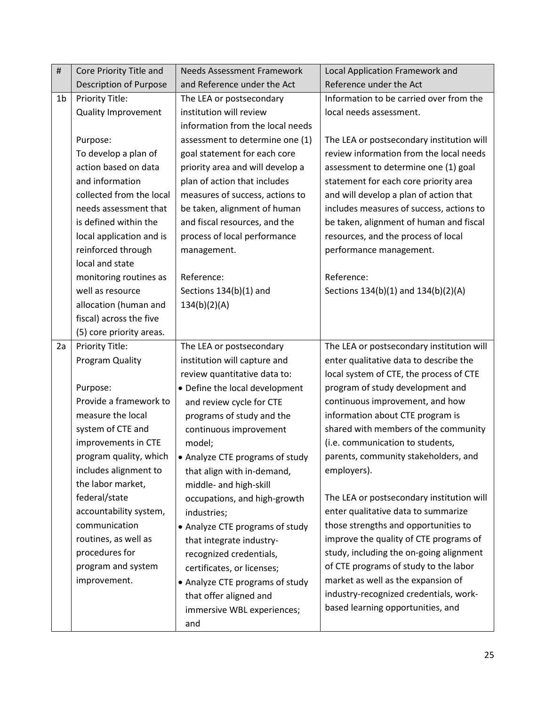| $\#$           | Core Priority Title and       | <b>Needs Assessment Framework</b> | Local Application Framework and           |  |
|----------------|-------------------------------|-----------------------------------|-------------------------------------------|--|
|                | <b>Description of Purpose</b> | and Reference under the Act       | Reference under the Act                   |  |
| 1 <sub>b</sub> | Priority Title:               | The LEA or postsecondary          | Information to be carried over from the   |  |
|                | <b>Quality Improvement</b>    | institution will review           | local needs assessment.                   |  |
|                |                               | information from the local needs  |                                           |  |
|                | Purpose:                      | assessment to determine one (1)   | The LEA or postsecondary institution will |  |
|                | To develop a plan of          | goal statement for each core      | review information from the local needs   |  |
|                | action based on data          | priority area and will develop a  | assessment to determine one (1) goal      |  |
|                | and information               | plan of action that includes      | statement for each core priority area     |  |
|                | collected from the local      | measures of success, actions to   | and will develop a plan of action that    |  |
|                | needs assessment that         | be taken, alignment of human      | includes measures of success, actions to  |  |
|                | is defined within the         | and fiscal resources, and the     | be taken, alignment of human and fiscal   |  |
|                | local application and is      | process of local performance      | resources, and the process of local       |  |
|                | reinforced through            | management.                       | performance management.                   |  |
|                | local and state               |                                   |                                           |  |
|                | monitoring routines as        | Reference:                        | Reference:                                |  |
|                | well as resource              | Sections 134(b)(1) and            | Sections 134(b)(1) and 134(b)(2)(A)       |  |
|                | allocation (human and         | 134(b)(2)(A)                      |                                           |  |
|                | fiscal) across the five       |                                   |                                           |  |
|                | (5) core priority areas.      |                                   |                                           |  |
| 2a             | Priority Title:               | The LEA or postsecondary          | The LEA or postsecondary institution will |  |
|                | Program Quality               | institution will capture and      | enter qualitative data to describe the    |  |
|                |                               | review quantitative data to:      | local system of CTE, the process of CTE   |  |
|                | Purpose:                      | • Define the local development    | program of study development and          |  |
|                | Provide a framework to        | and review cycle for CTE          | continuous improvement, and how           |  |
|                | measure the local             | programs of study and the         | information about CTE program is          |  |
|                | system of CTE and             | continuous improvement            | shared with members of the community      |  |
|                | improvements in CTE           | model;                            | (i.e. communication to students,          |  |
|                | program quality, which        | • Analyze CTE programs of study   | parents, community stakeholders, and      |  |
|                | includes alignment to         | that align with in-demand,        | employers).                               |  |
|                | the labor market,             | middle- and high-skill            |                                           |  |
|                | federal/state                 | occupations, and high-growth      | The LEA or postsecondary institution will |  |
|                | accountability system,        | industries;                       | enter qualitative data to summarize       |  |
|                | communication                 | • Analyze CTE programs of study   | those strengths and opportunities to      |  |
|                | routines, as well as          | that integrate industry-          | improve the quality of CTE programs of    |  |
|                | procedures for                | recognized credentials,           | study, including the on-going alignment   |  |
|                | program and system            | certificates, or licenses;        | of CTE programs of study to the labor     |  |
|                | improvement.                  | • Analyze CTE programs of study   | market as well as the expansion of        |  |
|                |                               | that offer aligned and            | industry-recognized credentials, work-    |  |
|                |                               | immersive WBL experiences;        | based learning opportunities, and         |  |
|                |                               | and                               |                                           |  |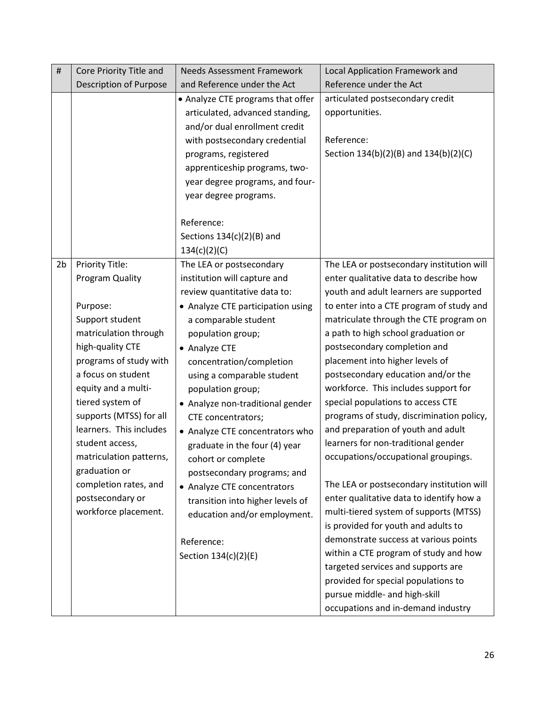| $\#$           | Core Priority Title and                                                                                                                                                                                                                                                                                                                           | <b>Needs Assessment Framework</b>                                                                                                                                                                                                                                                                                                                                                                                                                                     | Local Application Framework and                                                                                                                                                                                                                                                                                                                                                                                                                                                                                                                                                                                                                                                                                                                                               |  |
|----------------|---------------------------------------------------------------------------------------------------------------------------------------------------------------------------------------------------------------------------------------------------------------------------------------------------------------------------------------------------|-----------------------------------------------------------------------------------------------------------------------------------------------------------------------------------------------------------------------------------------------------------------------------------------------------------------------------------------------------------------------------------------------------------------------------------------------------------------------|-------------------------------------------------------------------------------------------------------------------------------------------------------------------------------------------------------------------------------------------------------------------------------------------------------------------------------------------------------------------------------------------------------------------------------------------------------------------------------------------------------------------------------------------------------------------------------------------------------------------------------------------------------------------------------------------------------------------------------------------------------------------------------|--|
|                | Description of Purpose                                                                                                                                                                                                                                                                                                                            | and Reference under the Act                                                                                                                                                                                                                                                                                                                                                                                                                                           | Reference under the Act                                                                                                                                                                                                                                                                                                                                                                                                                                                                                                                                                                                                                                                                                                                                                       |  |
|                |                                                                                                                                                                                                                                                                                                                                                   | • Analyze CTE programs that offer<br>articulated, advanced standing,<br>and/or dual enrollment credit<br>with postsecondary credential<br>programs, registered<br>apprenticeship programs, two-<br>year degree programs, and four-<br>year degree programs.<br>Reference:<br>Sections $134(c)(2)(B)$ and<br>134(c)(2)(C)                                                                                                                                              | articulated postsecondary credit<br>opportunities.<br>Reference:<br>Section 134(b)(2)(B) and 134(b)(2)(C)                                                                                                                                                                                                                                                                                                                                                                                                                                                                                                                                                                                                                                                                     |  |
| 2 <sub>b</sub> | Priority Title:                                                                                                                                                                                                                                                                                                                                   | The LEA or postsecondary                                                                                                                                                                                                                                                                                                                                                                                                                                              | The LEA or postsecondary institution will                                                                                                                                                                                                                                                                                                                                                                                                                                                                                                                                                                                                                                                                                                                                     |  |
|                | Program Quality                                                                                                                                                                                                                                                                                                                                   | institution will capture and<br>review quantitative data to:                                                                                                                                                                                                                                                                                                                                                                                                          | enter qualitative data to describe how<br>youth and adult learners are supported                                                                                                                                                                                                                                                                                                                                                                                                                                                                                                                                                                                                                                                                                              |  |
|                | Purpose:                                                                                                                                                                                                                                                                                                                                          | • Analyze CTE participation using                                                                                                                                                                                                                                                                                                                                                                                                                                     | to enter into a CTE program of study and                                                                                                                                                                                                                                                                                                                                                                                                                                                                                                                                                                                                                                                                                                                                      |  |
|                | Support student<br>matriculation through<br>high-quality CTE<br>programs of study with<br>a focus on student<br>equity and a multi-<br>tiered system of<br>supports (MTSS) for all<br>learners. This includes<br>student access,<br>matriculation patterns,<br>graduation or<br>completion rates, and<br>postsecondary or<br>workforce placement. | a comparable student<br>population group;<br>• Analyze CTE<br>concentration/completion<br>using a comparable student<br>population group;<br>• Analyze non-traditional gender<br>CTE concentrators;<br>• Analyze CTE concentrators who<br>graduate in the four (4) year<br>cohort or complete<br>postsecondary programs; and<br>• Analyze CTE concentrators<br>transition into higher levels of<br>education and/or employment.<br>Reference:<br>Section 134(c)(2)(E) | matriculate through the CTE program on<br>a path to high school graduation or<br>postsecondary completion and<br>placement into higher levels of<br>postsecondary education and/or the<br>workforce. This includes support for<br>special populations to access CTE<br>programs of study, discrimination policy,<br>and preparation of youth and adult<br>learners for non-traditional gender<br>occupations/occupational groupings.<br>The LEA or postsecondary institution will<br>enter qualitative data to identify how a<br>multi-tiered system of supports (MTSS)<br>is provided for youth and adults to<br>demonstrate success at various points<br>within a CTE program of study and how<br>targeted services and supports are<br>provided for special populations to |  |
|                |                                                                                                                                                                                                                                                                                                                                                   |                                                                                                                                                                                                                                                                                                                                                                                                                                                                       | pursue middle- and high-skill<br>occupations and in-demand industry                                                                                                                                                                                                                                                                                                                                                                                                                                                                                                                                                                                                                                                                                                           |  |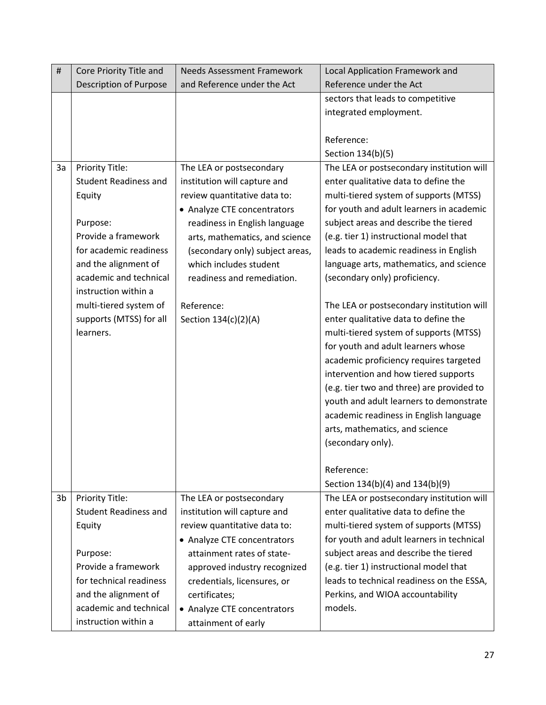| $\#$ | Core Priority Title and       | <b>Needs Assessment Framework</b> | Local Application Framework and           |  |
|------|-------------------------------|-----------------------------------|-------------------------------------------|--|
|      | <b>Description of Purpose</b> | and Reference under the Act       | Reference under the Act                   |  |
|      |                               |                                   | sectors that leads to competitive         |  |
|      |                               |                                   | integrated employment.                    |  |
|      |                               |                                   |                                           |  |
|      |                               |                                   | Reference:                                |  |
|      |                               |                                   | Section 134(b)(5)                         |  |
| 3a   | Priority Title:               | The LEA or postsecondary          | The LEA or postsecondary institution will |  |
|      | <b>Student Readiness and</b>  | institution will capture and      | enter qualitative data to define the      |  |
|      | Equity                        | review quantitative data to:      | multi-tiered system of supports (MTSS)    |  |
|      |                               | • Analyze CTE concentrators       | for youth and adult learners in academic  |  |
|      | Purpose:                      | readiness in English language     | subject areas and describe the tiered     |  |
|      | Provide a framework           | arts, mathematics, and science    | (e.g. tier 1) instructional model that    |  |
|      | for academic readiness        | (secondary only) subject areas,   | leads to academic readiness in English    |  |
|      | and the alignment of          | which includes student            | language arts, mathematics, and science   |  |
|      | academic and technical        | readiness and remediation.        | (secondary only) proficiency.             |  |
|      | instruction within a          |                                   |                                           |  |
|      | multi-tiered system of        | Reference:                        | The LEA or postsecondary institution will |  |
|      | supports (MTSS) for all       | Section 134(c)(2)(A)              | enter qualitative data to define the      |  |
|      | learners.                     |                                   | multi-tiered system of supports (MTSS)    |  |
|      |                               |                                   | for youth and adult learners whose        |  |
|      |                               |                                   | academic proficiency requires targeted    |  |
|      |                               |                                   | intervention and how tiered supports      |  |
|      |                               |                                   | (e.g. tier two and three) are provided to |  |
|      |                               |                                   | youth and adult learners to demonstrate   |  |
|      |                               |                                   | academic readiness in English language    |  |
|      |                               |                                   | arts, mathematics, and science            |  |
|      |                               |                                   | (secondary only).                         |  |
|      |                               |                                   | Reference:                                |  |
|      |                               |                                   | Section 134(b)(4) and 134(b)(9)           |  |
| 3b   | Priority Title:               | The LEA or postsecondary          | The LEA or postsecondary institution will |  |
|      | <b>Student Readiness and</b>  | institution will capture and      | enter qualitative data to define the      |  |
|      | Equity                        | review quantitative data to:      | multi-tiered system of supports (MTSS)    |  |
|      |                               | • Analyze CTE concentrators       | for youth and adult learners in technical |  |
|      | Purpose:                      | attainment rates of state-        | subject areas and describe the tiered     |  |
|      | Provide a framework           | approved industry recognized      | (e.g. tier 1) instructional model that    |  |
|      | for technical readiness       | credentials, licensures, or       | leads to technical readiness on the ESSA, |  |
|      | and the alignment of          | certificates;                     | Perkins, and WIOA accountability          |  |
|      | academic and technical        | • Analyze CTE concentrators       | models.                                   |  |
|      | instruction within a          | attainment of early               |                                           |  |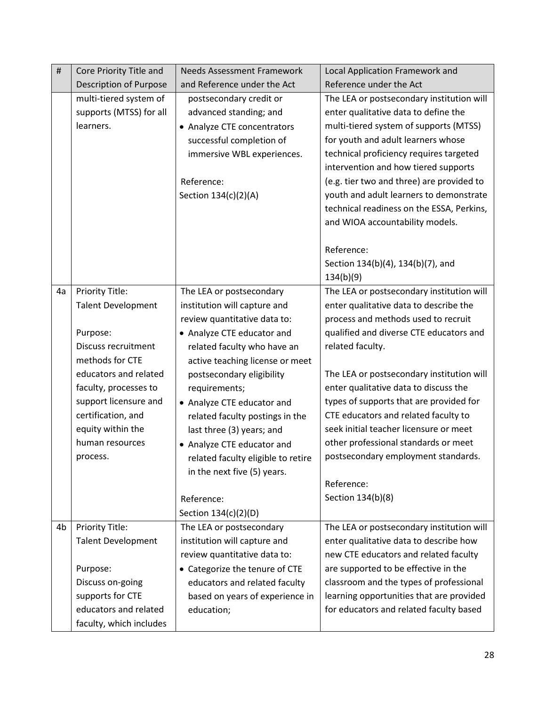| $\#$ | Core Priority Title and                                        | <b>Needs Assessment Framework</b><br><b>Local Application Framework and</b>                                                                                                      |                                                                                                                                                                                                                                                                                                                                                                                                                              |  |
|------|----------------------------------------------------------------|----------------------------------------------------------------------------------------------------------------------------------------------------------------------------------|------------------------------------------------------------------------------------------------------------------------------------------------------------------------------------------------------------------------------------------------------------------------------------------------------------------------------------------------------------------------------------------------------------------------------|--|
|      | <b>Description of Purpose</b>                                  | and Reference under the Act                                                                                                                                                      | Reference under the Act                                                                                                                                                                                                                                                                                                                                                                                                      |  |
|      | multi-tiered system of<br>supports (MTSS) for all<br>learners. | postsecondary credit or<br>advanced standing; and<br>• Analyze CTE concentrators<br>successful completion of<br>immersive WBL experiences.<br>Reference:<br>Section 134(c)(2)(A) | The LEA or postsecondary institution will<br>enter qualitative data to define the<br>multi-tiered system of supports (MTSS)<br>for youth and adult learners whose<br>technical proficiency requires targeted<br>intervention and how tiered supports<br>(e.g. tier two and three) are provided to<br>youth and adult learners to demonstrate<br>technical readiness on the ESSA, Perkins,<br>and WIOA accountability models. |  |
|      |                                                                |                                                                                                                                                                                  | Reference:<br>Section 134(b)(4), 134(b)(7), and<br>134(b)(9)                                                                                                                                                                                                                                                                                                                                                                 |  |
| 4a   | Priority Title:                                                | The LEA or postsecondary                                                                                                                                                         | The LEA or postsecondary institution will                                                                                                                                                                                                                                                                                                                                                                                    |  |
|      | <b>Talent Development</b>                                      | institution will capture and<br>review quantitative data to:                                                                                                                     | enter qualitative data to describe the<br>process and methods used to recruit                                                                                                                                                                                                                                                                                                                                                |  |
|      | Purpose:                                                       | • Analyze CTE educator and                                                                                                                                                       | qualified and diverse CTE educators and                                                                                                                                                                                                                                                                                                                                                                                      |  |
|      | Discuss recruitment<br>related faculty who have an             |                                                                                                                                                                                  | related faculty.                                                                                                                                                                                                                                                                                                                                                                                                             |  |
|      | methods for CTE                                                | active teaching license or meet                                                                                                                                                  |                                                                                                                                                                                                                                                                                                                                                                                                                              |  |
|      | educators and related                                          | postsecondary eligibility                                                                                                                                                        | The LEA or postsecondary institution will                                                                                                                                                                                                                                                                                                                                                                                    |  |
|      | faculty, processes to                                          | requirements;                                                                                                                                                                    | enter qualitative data to discuss the                                                                                                                                                                                                                                                                                                                                                                                        |  |
|      | support licensure and                                          | • Analyze CTE educator and                                                                                                                                                       | types of supports that are provided for                                                                                                                                                                                                                                                                                                                                                                                      |  |
|      | certification, and                                             | related faculty postings in the                                                                                                                                                  | CTE educators and related faculty to                                                                                                                                                                                                                                                                                                                                                                                         |  |
|      | equity within the                                              | last three (3) years; and                                                                                                                                                        | seek initial teacher licensure or meet                                                                                                                                                                                                                                                                                                                                                                                       |  |
|      | human resources                                                | • Analyze CTE educator and                                                                                                                                                       | other professional standards or meet                                                                                                                                                                                                                                                                                                                                                                                         |  |
|      | process.                                                       | related faculty eligible to retire                                                                                                                                               | postsecondary employment standards.                                                                                                                                                                                                                                                                                                                                                                                          |  |
|      |                                                                | in the next five (5) years.                                                                                                                                                      | Reference:                                                                                                                                                                                                                                                                                                                                                                                                                   |  |
|      |                                                                | Reference:                                                                                                                                                                       | Section 134(b)(8)                                                                                                                                                                                                                                                                                                                                                                                                            |  |
|      |                                                                | Section 134(c)(2)(D)                                                                                                                                                             |                                                                                                                                                                                                                                                                                                                                                                                                                              |  |
| 4b   | Priority Title:                                                | The LEA or postsecondary                                                                                                                                                         | The LEA or postsecondary institution will                                                                                                                                                                                                                                                                                                                                                                                    |  |
|      | <b>Talent Development</b>                                      | institution will capture and                                                                                                                                                     | enter qualitative data to describe how                                                                                                                                                                                                                                                                                                                                                                                       |  |
|      |                                                                | review quantitative data to:                                                                                                                                                     | new CTE educators and related faculty                                                                                                                                                                                                                                                                                                                                                                                        |  |
|      | Purpose:                                                       | • Categorize the tenure of CTE                                                                                                                                                   | are supported to be effective in the                                                                                                                                                                                                                                                                                                                                                                                         |  |
|      | Discuss on-going                                               | educators and related faculty                                                                                                                                                    | classroom and the types of professional                                                                                                                                                                                                                                                                                                                                                                                      |  |
|      | supports for CTE                                               | based on years of experience in                                                                                                                                                  | learning opportunities that are provided                                                                                                                                                                                                                                                                                                                                                                                     |  |
|      | educators and related                                          | education;                                                                                                                                                                       | for educators and related faculty based                                                                                                                                                                                                                                                                                                                                                                                      |  |
|      | faculty, which includes                                        |                                                                                                                                                                                  |                                                                                                                                                                                                                                                                                                                                                                                                                              |  |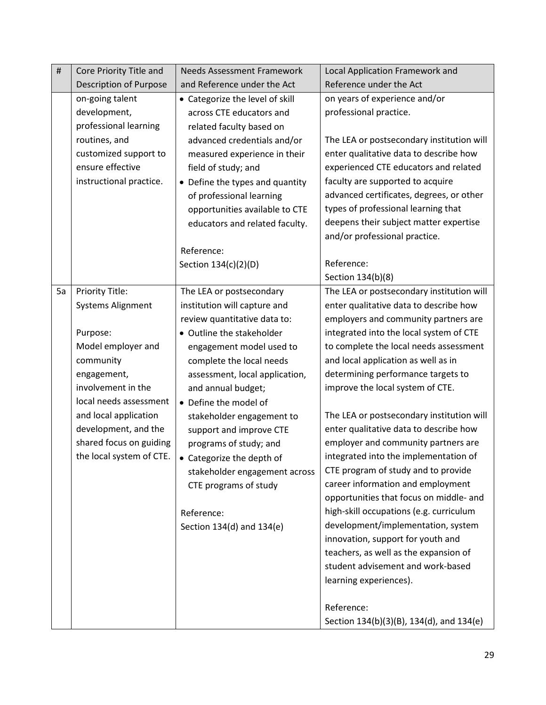| $\#$ | Core Priority Title and               | <b>Needs Assessment Framework</b> | <b>Local Application Framework and</b>    |  |
|------|---------------------------------------|-----------------------------------|-------------------------------------------|--|
|      | Description of Purpose                | and Reference under the Act       | Reference under the Act                   |  |
|      | on-going talent                       | • Categorize the level of skill   | on years of experience and/or             |  |
|      | development,                          | across CTE educators and          | professional practice.                    |  |
|      | professional learning                 | related faculty based on          |                                           |  |
|      | routines, and                         | advanced credentials and/or       | The LEA or postsecondary institution will |  |
|      | customized support to                 | measured experience in their      | enter qualitative data to describe how    |  |
|      | ensure effective                      | field of study; and               | experienced CTE educators and related     |  |
|      | instructional practice.               | • Define the types and quantity   | faculty are supported to acquire          |  |
|      |                                       | of professional learning          | advanced certificates, degrees, or other  |  |
|      |                                       | opportunities available to CTE    | types of professional learning that       |  |
|      |                                       | educators and related faculty.    | deepens their subject matter expertise    |  |
|      |                                       |                                   | and/or professional practice.             |  |
|      |                                       | Reference:                        |                                           |  |
|      |                                       | Section 134(c)(2)(D)              | Reference:                                |  |
|      |                                       |                                   | Section 134(b)(8)                         |  |
| 5a   | Priority Title:                       | The LEA or postsecondary          | The LEA or postsecondary institution will |  |
|      | <b>Systems Alignment</b>              | institution will capture and      | enter qualitative data to describe how    |  |
|      | review quantitative data to:          |                                   | employers and community partners are      |  |
|      | Purpose:<br>• Outline the stakeholder |                                   | integrated into the local system of CTE   |  |
|      | Model employer and                    | engagement model used to          | to complete the local needs assessment    |  |
|      | community                             | complete the local needs          | and local application as well as in       |  |
|      | engagement,                           | assessment, local application,    | determining performance targets to        |  |
|      | involvement in the                    | and annual budget;                | improve the local system of CTE.          |  |
|      | local needs assessment                | • Define the model of             |                                           |  |
|      | and local application                 | stakeholder engagement to         | The LEA or postsecondary institution will |  |
|      | development, and the                  | support and improve CTE           | enter qualitative data to describe how    |  |
|      | shared focus on guiding               | programs of study; and            | employer and community partners are       |  |
|      | the local system of CTE.              | • Categorize the depth of         | integrated into the implementation of     |  |
|      |                                       | stakeholder engagement across     | CTE program of study and to provide       |  |
|      |                                       | CTE programs of study             | career information and employment         |  |
|      |                                       |                                   | opportunities that focus on middle- and   |  |
|      |                                       | Reference:                        | high-skill occupations (e.g. curriculum   |  |
|      |                                       | Section 134(d) and 134(e)         | development/implementation, system        |  |
|      |                                       |                                   | innovation, support for youth and         |  |
|      |                                       |                                   | teachers, as well as the expansion of     |  |
|      |                                       |                                   | student advisement and work-based         |  |
|      |                                       |                                   | learning experiences).                    |  |
|      |                                       |                                   |                                           |  |
|      |                                       |                                   | Reference:                                |  |
|      |                                       |                                   | Section 134(b)(3)(B), 134(d), and 134(e)  |  |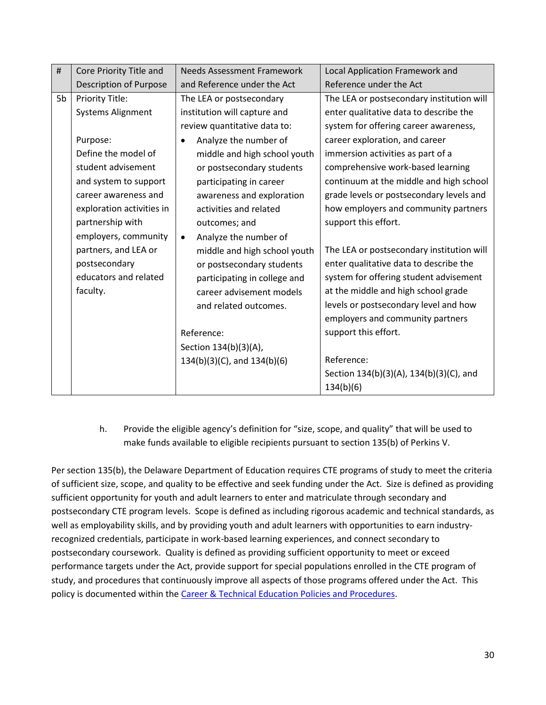| #  | Core Priority Title and       | <b>Needs Assessment Framework</b><br>Local Application Framework and      |
|----|-------------------------------|---------------------------------------------------------------------------|
|    | <b>Description of Purpose</b> | Reference under the Act<br>and Reference under the Act                    |
| 5b | Priority Title:               | The LEA or postsecondary institution will<br>The LEA or postsecondary     |
|    | <b>Systems Alignment</b>      | institution will capture and<br>enter qualitative data to describe the    |
|    |                               | system for offering career awareness,<br>review quantitative data to:     |
|    | Purpose:                      | career exploration, and career<br>Analyze the number of<br>$\bullet$      |
|    | Define the model of           | immersion activities as part of a<br>middle and high school youth         |
|    | student advisement            | comprehensive work-based learning<br>or postsecondary students            |
|    | and system to support         | continuum at the middle and high school<br>participating in career        |
|    | career awareness and          | grade levels or postsecondary levels and<br>awareness and exploration     |
|    | exploration activities in     | how employers and community partners<br>activities and related            |
|    | partnership with              | support this effort.<br>outcomes; and                                     |
|    | employers, community          | Analyze the number of<br>$\bullet$                                        |
|    | partners, and LEA or          | The LEA or postsecondary institution will<br>middle and high school youth |
|    | postsecondary                 | enter qualitative data to describe the<br>or postsecondary students       |
|    | educators and related         | system for offering student advisement<br>participating in college and    |
|    | faculty.                      | at the middle and high school grade<br>career advisement models           |
|    |                               | levels or postsecondary level and how<br>and related outcomes.            |
|    |                               | employers and community partners                                          |
|    |                               | support this effort.<br>Reference:                                        |
|    |                               | Section 134(b)(3)(A),                                                     |
|    |                               | Reference:<br>$134(b)(3)(C)$ , and $134(b)(6)$                            |
|    |                               | Section 134(b)(3)(A), 134(b)(3)(C), and                                   |
|    |                               | 134(b)(6)                                                                 |

h. Provide the eligible agency's definition for "size, scope, and quality" that will be used to make funds available to eligible recipients pursuant to section 135(b) of Perkins V.

Per section 135(b), the Delaware Department of Education requires CTE programs of study to meet the criteria of sufficient size, scope, and quality to be effective and seek funding under the Act. Size is defined as providing sufficient opportunity for youth and adult learners to enter and matriculate through secondary and postsecondary CTE program levels. Scope is defined as including rigorous academic and technical standards, as well as employability skills, and by providing youth and adult learners with opportunities to earn industryrecognized credentials, participate in work-based learning experiences, and connect secondary to postsecondary coursework. Quality is defined as providing sufficient opportunity to meet or exceed performance targets under the Act, provide support for special populations enrolled in the CTE program of study, and procedures that continuously improve all aspects of those programs offered under the Act. This policy is documented within the [Career & Technical Education Policies and Procedures.](http://www.doe.k12.de.us/domain/384)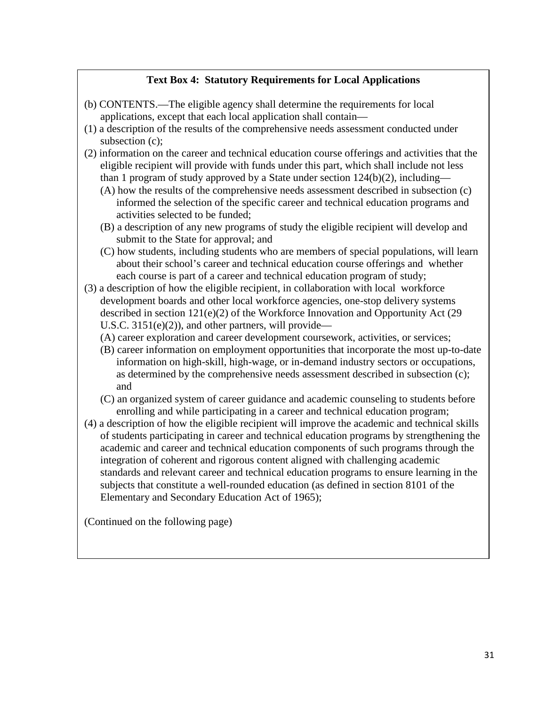# **Text Box 4: Statutory Requirements for Local Applications**

- (b) CONTENTS.—The eligible agency shall determine the requirements for local applications, except that each local application shall contain—
- (1) a description of the results of the comprehensive needs assessment conducted under subsection (c);
- (2) information on the career and technical education course offerings and activities that the eligible recipient will provide with funds under this part, which shall include not less than 1 program of study approved by a State under section  $124(b)(2)$ , including—
	- (A) how the results of the comprehensive needs assessment described in subsection (c) informed the selection of the specific career and technical education programs and activities selected to be funded;
	- (B) a description of any new programs of study the eligible recipient will develop and submit to the State for approval; and
	- (C) how students, including students who are members of special populations, will learn about their school's career and technical education course offerings and whether each course is part of a career and technical education program of study;
- (3) a description of how the eligible recipient, in collaboration with local workforce development boards and other local workforce agencies, one-stop delivery systems described in section 121(e)(2) of the Workforce Innovation and Opportunity Act (29 U.S.C.  $3151(e)(2)$ , and other partners, will provide—
	- (A) career exploration and career development coursework, activities, or services;
	- (B) career information on employment opportunities that incorporate the most up-to-date information on high-skill, high-wage, or in-demand industry sectors or occupations, as determined by the comprehensive needs assessment described in subsection (c); and
	- (C) an organized system of career guidance and academic counseling to students before enrolling and while participating in a career and technical education program;
- (4) a description of how the eligible recipient will improve the academic and technical skills of students participating in career and technical education programs by strengthening the academic and career and technical education components of such programs through the integration of coherent and rigorous content aligned with challenging academic standards and relevant career and technical education programs to ensure learning in the subjects that constitute a well-rounded education (as defined in section 8101 of the Elementary and Secondary Education Act of 1965);

(Continued on the following page)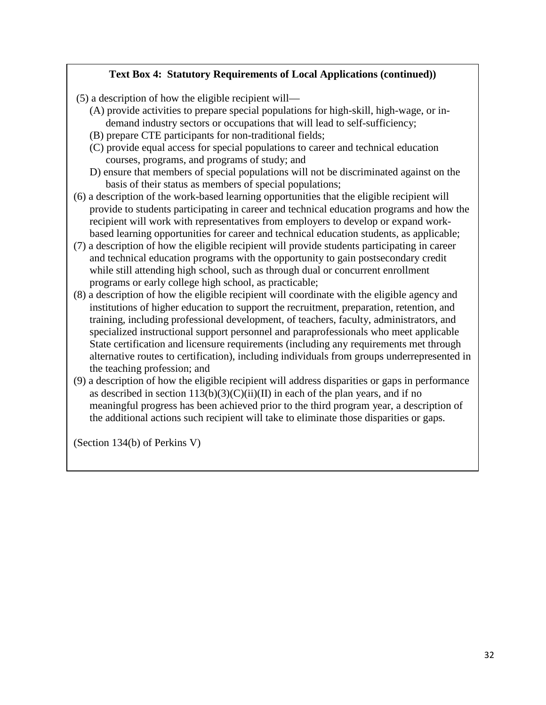# **Text Box 4: Statutory Requirements of Local Applications (continued))**

- (5) a description of how the eligible recipient will—
	- (A) provide activities to prepare special populations for high-skill, high-wage, or indemand industry sectors or occupations that will lead to self-sufficiency;
	- (B) prepare CTE participants for non-traditional fields;
	- (C) provide equal access for special populations to career and technical education courses, programs, and programs of study; and
	- D) ensure that members of special populations will not be discriminated against on the basis of their status as members of special populations;
- (6) a description of the work-based learning opportunities that the eligible recipient will provide to students participating in career and technical education programs and how the recipient will work with representatives from employers to develop or expand workbased learning opportunities for career and technical education students, as applicable;
- (7) a description of how the eligible recipient will provide students participating in career and technical education programs with the opportunity to gain postsecondary credit while still attending high school, such as through dual or concurrent enrollment programs or early college high school, as practicable;
- (8) a description of how the eligible recipient will coordinate with the eligible agency and institutions of higher education to support the recruitment, preparation, retention, and training, including professional development, of teachers, faculty, administrators, and specialized instructional support personnel and paraprofessionals who meet applicable State certification and licensure requirements (including any requirements met through alternative routes to certification), including individuals from groups underrepresented in the teaching profession; and
- (9) a description of how the eligible recipient will address disparities or gaps in performance as described in section  $113(b)(3)(C)(ii)(II)$  in each of the plan years, and if no meaningful progress has been achieved prior to the third program year, a description of the additional actions such recipient will take to eliminate those disparities or gaps.

(Section 134(b) of Perkins V)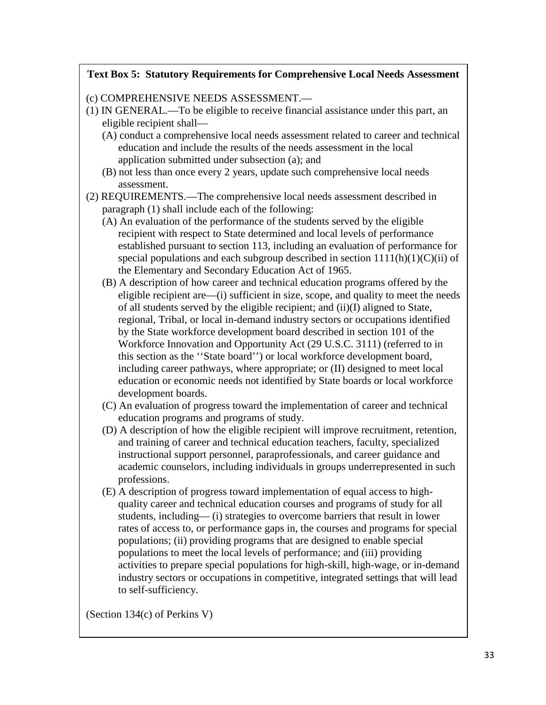## **Text Box 5: Statutory Requirements for Comprehensive Local Needs Assessment**

(c) COMPREHENSIVE NEEDS ASSESSMENT.—

- (1) IN GENERAL.—To be eligible to receive financial assistance under this part, an eligible recipient shall—
	- (A) conduct a comprehensive local needs assessment related to career and technical education and include the results of the needs assessment in the local application submitted under subsection (a); and
	- (B) not less than once every 2 years, update such comprehensive local needs assessment.
- (2) REQUIREMENTS.—The comprehensive local needs assessment described in paragraph (1) shall include each of the following:
	- (A) An evaluation of the performance of the students served by the eligible recipient with respect to State determined and local levels of performance established pursuant to section 113, including an evaluation of performance for special populations and each subgroup described in section  $1111(h)(1)(C)(ii)$  of the Elementary and Secondary Education Act of 1965.
	- (B) A description of how career and technical education programs offered by the eligible recipient are—(i) sufficient in size, scope, and quality to meet the needs of all students served by the eligible recipient; and (ii)(I) aligned to State, regional, Tribal, or local in-demand industry sectors or occupations identified by the State workforce development board described in section 101 of the Workforce Innovation and Opportunity Act (29 U.S.C. 3111) (referred to in this section as the ''State board'') or local workforce development board, including career pathways, where appropriate; or (II) designed to meet local education or economic needs not identified by State boards or local workforce development boards.
	- (C) An evaluation of progress toward the implementation of career and technical education programs and programs of study.
	- (D) A description of how the eligible recipient will improve recruitment, retention, and training of career and technical education teachers, faculty, specialized instructional support personnel, paraprofessionals, and career guidance and academic counselors, including individuals in groups underrepresented in such professions.
	- (E) A description of progress toward implementation of equal access to highquality career and technical education courses and programs of study for all students, including— (i) strategies to overcome barriers that result in lower rates of access to, or performance gaps in, the courses and programs for special populations; (ii) providing programs that are designed to enable special populations to meet the local levels of performance; and (iii) providing activities to prepare special populations for high-skill, high-wage, or in-demand industry sectors or occupations in competitive, integrated settings that will lead to self-sufficiency.

(Section 134(c) of Perkins V)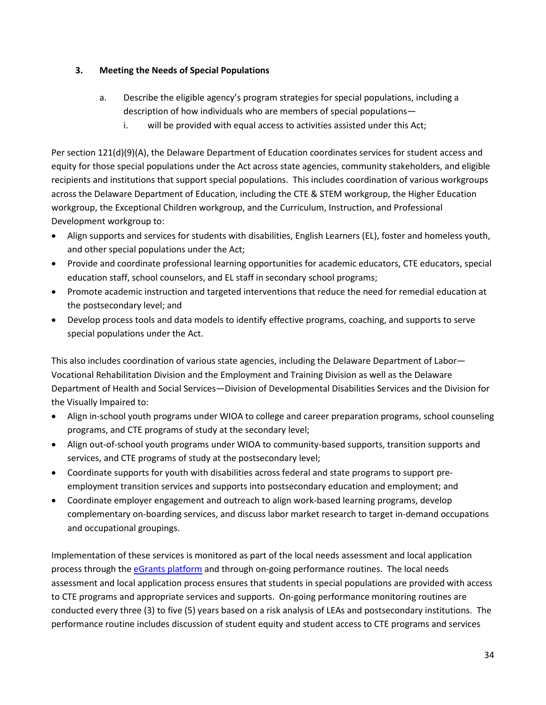## **3. Meeting the Needs of Special Populations**

- a. Describe the eligible agency's program strategies for special populations, including a description of how individuals who are members of special populations
	- i. will be provided with equal access to activities assisted under this Act;

Per section 121(d)(9)(A), the Delaware Department of Education coordinates services for student access and equity for those special populations under the Act across state agencies, community stakeholders, and eligible recipients and institutions that support special populations. This includes coordination of various workgroups across the Delaware Department of Education, including the CTE & STEM workgroup, the Higher Education workgroup, the Exceptional Children workgroup, and the Curriculum, Instruction, and Professional Development workgroup to:

- Align supports and services for students with disabilities, English Learners (EL), foster and homeless youth, and other special populations under the Act;
- Provide and coordinate professional learning opportunities for academic educators, CTE educators, special education staff, school counselors, and EL staff in secondary school programs;
- Promote academic instruction and targeted interventions that reduce the need for remedial education at the postsecondary level; and
- Develop process tools and data models to identify effective programs, coaching, and supports to serve special populations under the Act.

This also includes coordination of various state agencies, including the Delaware Department of Labor— Vocational Rehabilitation Division and the Employment and Training Division as well as the Delaware Department of Health and Social Services—Division of Developmental Disabilities Services and the Division for the Visually Impaired to:

- Align in-school youth programs under WIOA to college and career preparation programs, school counseling programs, and CTE programs of study at the secondary level;
- Align out-of-school youth programs under WIOA to community-based supports, transition supports and services, and CTE programs of study at the postsecondary level;
- Coordinate supports for youth with disabilities across federal and state programs to support preemployment transition services and supports into postsecondary education and employment; and
- Coordinate employer engagement and outreach to align work-based learning programs, develop complementary on-boarding services, and discuss labor market research to target in-demand occupations and occupational groupings.

Implementation of these services is monitored as part of the local needs assessment and local application process through the [eGrants platform](https://www.doe.k12.de.us/domain/477) and through on-going performance routines. The local needs assessment and local application process ensures that students in special populations are provided with access to CTE programs and appropriate services and supports. On-going performance monitoring routines are conducted every three (3) to five (5) years based on a risk analysis of LEAs and postsecondary institutions. The performance routine includes discussion of student equity and student access to CTE programs and services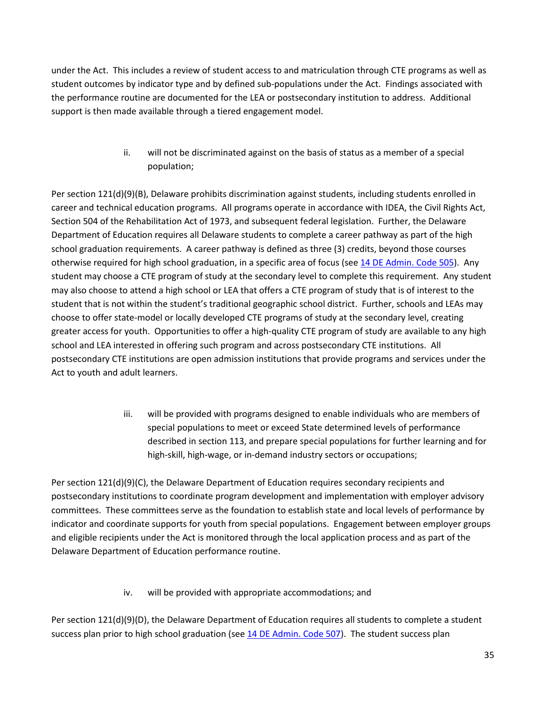under the Act. This includes a review of student access to and matriculation through CTE programs as well as student outcomes by indicator type and by defined sub-populations under the Act. Findings associated with the performance routine are documented for the LEA or postsecondary institution to address. Additional support is then made available through a tiered engagement model.

> ii. will not be discriminated against on the basis of status as a member of a special population;

Per section 121(d)(9)(B), Delaware prohibits discrimination against students, including students enrolled in career and technical education programs. All programs operate in accordance with IDEA, the Civil Rights Act, Section 504 of the Rehabilitation Act of 1973, and subsequent federal legislation. Further, the Delaware Department of Education requires all Delaware students to complete a career pathway as part of the high school graduation requirements. A career pathway is defined as three (3) credits, beyond those courses otherwise required for high school graduation, in a specific area of focus (see [14 DE Admin. Code 505\)](http://regulations.delaware.gov/AdminCode/title14/500/505.shtml#TopOfPage). Any student may choose a CTE program of study at the secondary level to complete this requirement. Any student may also choose to attend a high school or LEA that offers a CTE program of study that is of interest to the student that is not within the student's traditional geographic school district. Further, schools and LEAs may choose to offer state-model or locally developed CTE programs of study at the secondary level, creating greater access for youth. Opportunities to offer a high-quality CTE program of study are available to any high school and LEA interested in offering such program and across postsecondary CTE institutions. All postsecondary CTE institutions are open admission institutions that provide programs and services under the Act to youth and adult learners.

> iii. will be provided with programs designed to enable individuals who are members of special populations to meet or exceed State determined levels of performance described in section 113, and prepare special populations for further learning and for high-skill, high-wage, or in-demand industry sectors or occupations;

Per section 121(d)(9)(C), the Delaware Department of Education requires secondary recipients and postsecondary institutions to coordinate program development and implementation with employer advisory committees. These committees serve as the foundation to establish state and local levels of performance by indicator and coordinate supports for youth from special populations. Engagement between employer groups and eligible recipients under the Act is monitored through the local application process and as part of the Delaware Department of Education performance routine.

iv. will be provided with appropriate accommodations; and

Per section 121(d)(9)(D), the Delaware Department of Education requires all students to complete a student success plan prior to high school graduation (see [14 DE Admin. Code 507\)](http://regulations.delaware.gov/AdminCode/title14/500/507.shtml#TopOfPage). The student success plan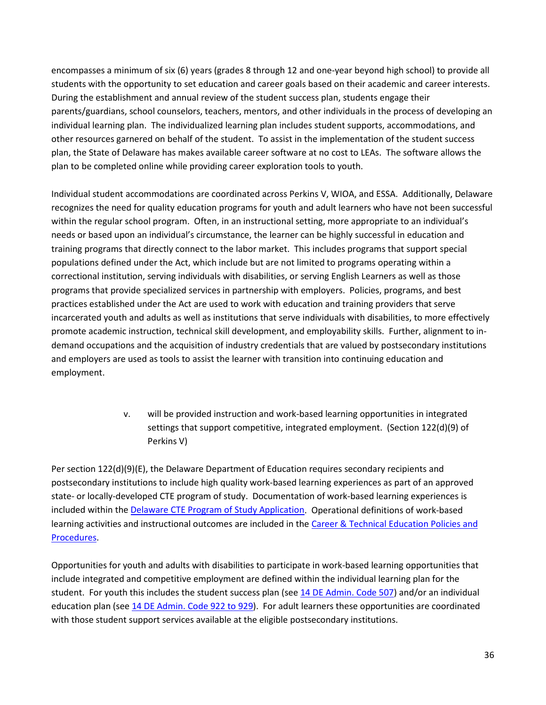encompasses a minimum of six (6) years (grades 8 through 12 and one-year beyond high school) to provide all students with the opportunity to set education and career goals based on their academic and career interests. During the establishment and annual review of the student success plan, students engage their parents/guardians, school counselors, teachers, mentors, and other individuals in the process of developing an individual learning plan. The individualized learning plan includes student supports, accommodations, and other resources garnered on behalf of the student. To assist in the implementation of the student success plan, the State of Delaware has makes available career software at no cost to LEAs. The software allows the plan to be completed online while providing career exploration tools to youth.

Individual student accommodations are coordinated across Perkins V, WIOA, and ESSA. Additionally, Delaware recognizes the need for quality education programs for youth and adult learners who have not been successful within the regular school program. Often, in an instructional setting, more appropriate to an individual's needs or based upon an individual's circumstance, the learner can be highly successful in education and training programs that directly connect to the labor market. This includes programs that support special populations defined under the Act, which include but are not limited to programs operating within a correctional institution, serving individuals with disabilities, or serving English Learners as well as those programs that provide specialized services in partnership with employers. Policies, programs, and best practices established under the Act are used to work with education and training providers that serve incarcerated youth and adults as well as institutions that serve individuals with disabilities, to more effectively promote academic instruction, technical skill development, and employability skills. Further, alignment to indemand occupations and the acquisition of industry credentials that are valued by postsecondary institutions and employers are used as tools to assist the learner with transition into continuing education and employment.

> v. will be provided instruction and work-based learning opportunities in integrated settings that support competitive, integrated employment. (Section 122(d)(9) of Perkins V)

Per section 122(d)(9)(E), the Delaware Department of Education requires secondary recipients and postsecondary institutions to include high quality work-based learning experiences as part of an approved state- or locally-developed CTE program of study. Documentation of work-based learning experiences is included within th[e Delaware CTE Program of Study Application.](https://education.delaware.gov/educators/academic-support/career_and_technical_education/cte_educator_resources/) Operational definitions of work-based learning activities and instructional outcomes are included in the [Career & Technical Education Policies and](http://education.delaware.gov/wp-content/uploads/2019/04/2017_08_de_cte_pos_policyandprocedures.pdf)  [Procedures.](http://education.delaware.gov/wp-content/uploads/2019/04/2017_08_de_cte_pos_policyandprocedures.pdf)

Opportunities for youth and adults with disabilities to participate in work-based learning opportunities that include integrated and competitive employment are defined within the individual learning plan for the student. For youth this includes the student success plan (see [14 DE Admin. Code 507\)](http://regulations.delaware.gov/AdminCode/title14/500/507.shtml#TopOfPage) and/or an individual education plan (se[e 14 DE Admin. Code 922 to 929\)](http://regulations.delaware.gov/AdminCode/title14/900/index.shtml#TopOfPage). For adult learners these opportunities are coordinated with those student support services available at the eligible postsecondary institutions.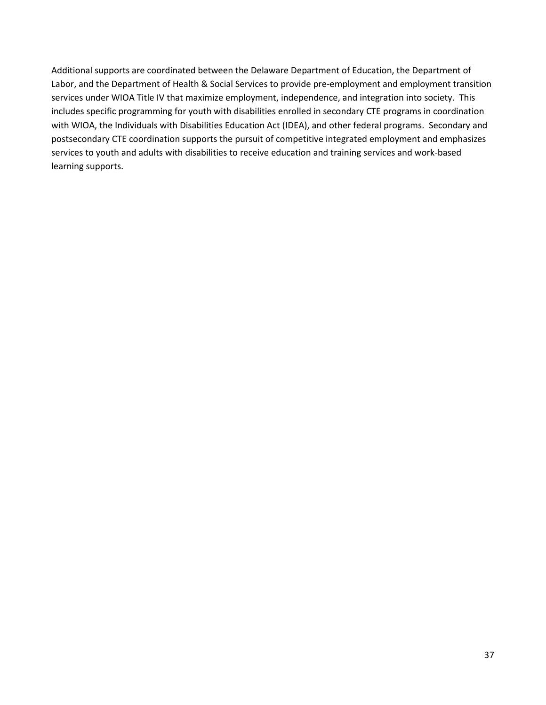Additional supports are coordinated between the Delaware Department of Education, the Department of Labor, and the Department of Health & Social Services to provide pre-employment and employment transition services under WIOA Title IV that maximize employment, independence, and integration into society. This includes specific programming for youth with disabilities enrolled in secondary CTE programs in coordination with WIOA, the Individuals with Disabilities Education Act (IDEA), and other federal programs. Secondary and postsecondary CTE coordination supports the pursuit of competitive integrated employment and emphasizes services to youth and adults with disabilities to receive education and training services and work-based learning supports.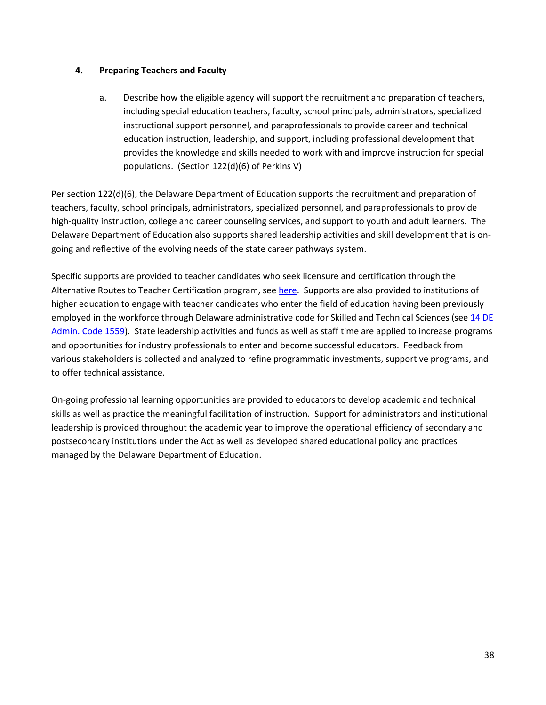### **4. Preparing Teachers and Faculty**

a. Describe how the eligible agency will support the recruitment and preparation of teachers, including special education teachers, faculty, school principals, administrators, specialized instructional support personnel, and paraprofessionals to provide career and technical education instruction, leadership, and support, including professional development that provides the knowledge and skills needed to work with and improve instruction for special populations. (Section 122(d)(6) of Perkins V)

Per section 122(d)(6), the Delaware Department of Education supports the recruitment and preparation of teachers, faculty, school principals, administrators, specialized personnel, and paraprofessionals to provide high-quality instruction, college and career counseling services, and support to youth and adult learners. The Delaware Department of Education also supports shared leadership activities and skill development that is ongoing and reflective of the evolving needs of the state career pathways system.

Specific supports are provided to teacher candidates who seek licensure and certification through the Alternative Routes to Teacher Certification program, se[e here.](http://www.artc.udel.edu/) Supports are also provided to institutions of higher education to engage with teacher candidates who enter the field of education having been previously employed in the workforce through Delaware administrative code for Skilled and Technical Sciences (see 14 DE [Admin. Code 1559\)](http://regulations.delaware.gov/AdminCode/title14/1500/1559.shtml#TopOfPage). State leadership activities and funds as well as staff time are applied to increase programs and opportunities for industry professionals to enter and become successful educators. Feedback from various stakeholders is collected and analyzed to refine programmatic investments, supportive programs, and to offer technical assistance.

On-going professional learning opportunities are provided to educators to develop academic and technical skills as well as practice the meaningful facilitation of instruction. Support for administrators and institutional leadership is provided throughout the academic year to improve the operational efficiency of secondary and postsecondary institutions under the Act as well as developed shared educational policy and practices managed by the Delaware Department of Education.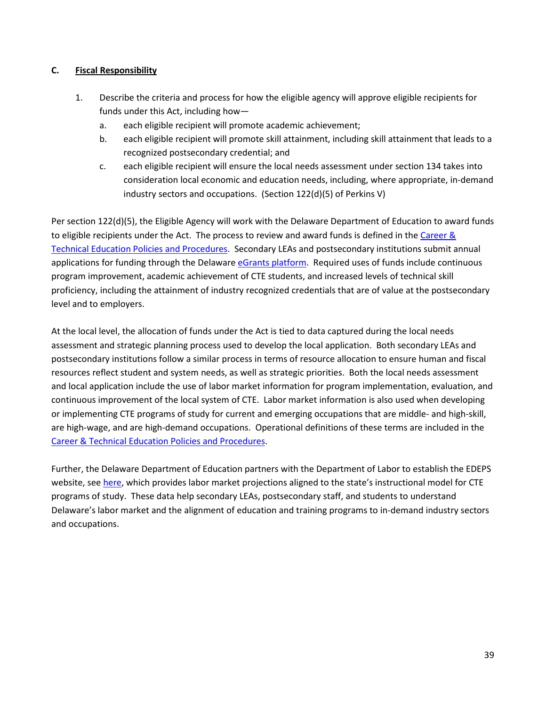## **C. Fiscal Responsibility**

- 1. Describe the criteria and process for how the eligible agency will approve eligible recipients for funds under this Act, including how
	- a. each eligible recipient will promote academic achievement;
	- b. each eligible recipient will promote skill attainment, including skill attainment that leads to a recognized postsecondary credential; and
	- c. each eligible recipient will ensure the local needs assessment under section 134 takes into consideration local economic and education needs, including, where appropriate, in-demand industry sectors and occupations. (Section 122(d)(5) of Perkins V)

Per section 122(d)(5), the Eligible Agency will work with the Delaware Department of Education to award funds to eligible recipients under the Act. The process to review and award funds is defined in the Career  $\&$ [Technical Education Policies and Procedures.](http://www.doe.k12.de.us/domain/384) Secondary LEAs and postsecondary institutions submit annual applications for funding through the Delaware [eGrants platform.](https://www.doe.k12.de.us/domain/477) Required uses of funds include continuous program improvement, academic achievement of CTE students, and increased levels of technical skill proficiency, including the attainment of industry recognized credentials that are of value at the postsecondary level and to employers.

At the local level, the allocation of funds under the Act is tied to data captured during the local needs assessment and strategic planning process used to develop the local application. Both secondary LEAs and postsecondary institutions follow a similar process in terms of resource allocation to ensure human and fiscal resources reflect student and system needs, as well as strategic priorities. Both the local needs assessment and local application include the use of labor market information for program implementation, evaluation, and continuous improvement of the local system of CTE. Labor market information is also used when developing or implementing CTE programs of study for current and emerging occupations that are middle- and high-skill, are high-wage, and are high-demand occupations. Operational definitions of these terms are included in the [Career & Technical Education Policies and Procedures.](http://www.doe.k12.de.us/domain/384)

Further, the Delaware Department of Education partners with the Department of Labor to establish the EDEPS website, se[e here,](https://www.edeps.org/) which provides labor market projections aligned to the state's instructional model for CTE programs of study. These data help secondary LEAs, postsecondary staff, and students to understand Delaware's labor market and the alignment of education and training programs to in-demand industry sectors and occupations.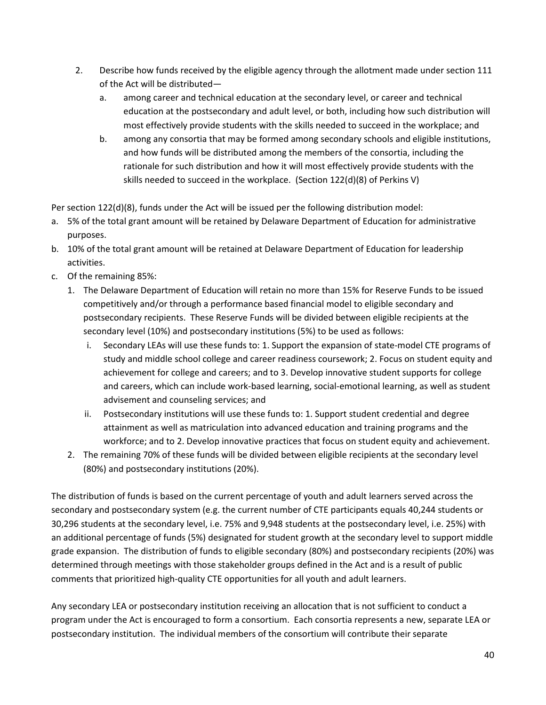- 2. Describe how funds received by the eligible agency through the allotment made under section 111 of the Act will be distributed
	- a. among career and technical education at the secondary level, or career and technical education at the postsecondary and adult level, or both, including how such distribution will most effectively provide students with the skills needed to succeed in the workplace; and
	- b. among any consortia that may be formed among secondary schools and eligible institutions, and how funds will be distributed among the members of the consortia, including the rationale for such distribution and how it will most effectively provide students with the skills needed to succeed in the workplace. (Section 122(d)(8) of Perkins V)

Per section 122(d)(8), funds under the Act will be issued per the following distribution model:

- a. 5% of the total grant amount will be retained by Delaware Department of Education for administrative purposes.
- b. 10% of the total grant amount will be retained at Delaware Department of Education for leadership activities.
- c. Of the remaining 85%:
	- 1. The Delaware Department of Education will retain no more than 15% for Reserve Funds to be issued competitively and/or through a performance based financial model to eligible secondary and postsecondary recipients. These Reserve Funds will be divided between eligible recipients at the secondary level (10%) and postsecondary institutions (5%) to be used as follows:
		- i. Secondary LEAs will use these funds to: 1. Support the expansion of state-model CTE programs of study and middle school college and career readiness coursework; 2. Focus on student equity and achievement for college and careers; and to 3. Develop innovative student supports for college and careers, which can include work-based learning, social-emotional learning, as well as student advisement and counseling services; and
		- ii. Postsecondary institutions will use these funds to: 1. Support student credential and degree attainment as well as matriculation into advanced education and training programs and the workforce; and to 2. Develop innovative practices that focus on student equity and achievement.
	- 2. The remaining 70% of these funds will be divided between eligible recipients at the secondary level (80%) and postsecondary institutions (20%).

The distribution of funds is based on the current percentage of youth and adult learners served across the secondary and postsecondary system (e.g. the current number of CTE participants equals 40,244 students or 30,296 students at the secondary level, i.e. 75% and 9,948 students at the postsecondary level, i.e. 25%) with an additional percentage of funds (5%) designated for student growth at the secondary level to support middle grade expansion. The distribution of funds to eligible secondary (80%) and postsecondary recipients (20%) was determined through meetings with those stakeholder groups defined in the Act and is a result of public comments that prioritized high-quality CTE opportunities for all youth and adult learners.

Any secondary LEA or postsecondary institution receiving an allocation that is not sufficient to conduct a program under the Act is encouraged to form a consortium. Each consortia represents a new, separate LEA or postsecondary institution. The individual members of the consortium will contribute their separate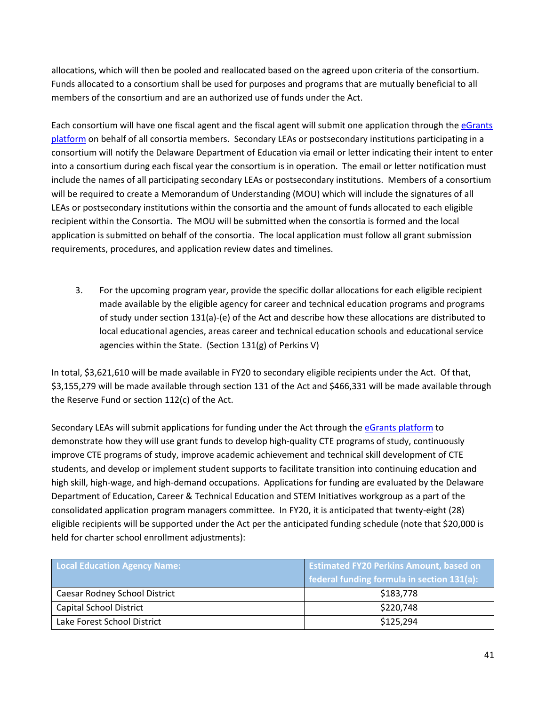allocations, which will then be pooled and reallocated based on the agreed upon criteria of the consortium. Funds allocated to a consortium shall be used for purposes and programs that are mutually beneficial to all members of the consortium and are an authorized use of funds under the Act.

Each consortium will have one fiscal agent and the fiscal agent will submit one application through the [eGrants](https://www.doe.k12.de.us/domain/477)  [platform](https://www.doe.k12.de.us/domain/477) on behalf of all consortia members. Secondary LEAs or postsecondary institutions participating in a consortium will notify the Delaware Department of Education via email or letter indicating their intent to enter into a consortium during each fiscal year the consortium is in operation. The email or letter notification must include the names of all participating secondary LEAs or postsecondary institutions. Members of a consortium will be required to create a Memorandum of Understanding (MOU) which will include the signatures of all LEAs or postsecondary institutions within the consortia and the amount of funds allocated to each eligible recipient within the Consortia. The MOU will be submitted when the consortia is formed and the local application is submitted on behalf of the consortia. The local application must follow all grant submission requirements, procedures, and application review dates and timelines.

3. For the upcoming program year, provide the specific dollar allocations for each eligible recipient made available by the eligible agency for career and technical education programs and programs of study under section 131(a)-(e) of the Act and describe how these allocations are distributed to local educational agencies, areas career and technical education schools and educational service agencies within the State. (Section 131(g) of Perkins V)

In total, \$3,621,610 will be made available in FY20 to secondary eligible recipients under the Act. Of that, \$3,155,279 will be made available through section 131 of the Act and \$466,331 will be made available through the Reserve Fund or section 112(c) of the Act.

Secondary LEAs will submit applications for funding under the Act through the [eGrants platform](https://www.doe.k12.de.us/domain/477) to demonstrate how they will use grant funds to develop high-quality CTE programs of study, continuously improve CTE programs of study, improve academic achievement and technical skill development of CTE students, and develop or implement student supports to facilitate transition into continuing education and high skill, high-wage, and high-demand occupations. Applications for funding are evaluated by the Delaware Department of Education, Career & Technical Education and STEM Initiatives workgroup as a part of the consolidated application program managers committee. In FY20, it is anticipated that twenty-eight (28) eligible recipients will be supported under the Act per the anticipated funding schedule (note that \$20,000 is held for charter school enrollment adjustments):

| <b>Local Education Agency Name:</b> | <b>Estimated FY20 Perkins Amount, based on</b> |  |
|-------------------------------------|------------------------------------------------|--|
|                                     | federal funding formula in section 131(a):     |  |
| Caesar Rodney School District       | \$183,778                                      |  |
| <b>Capital School District</b>      | \$220,748                                      |  |
| Lake Forest School District         | \$125,294                                      |  |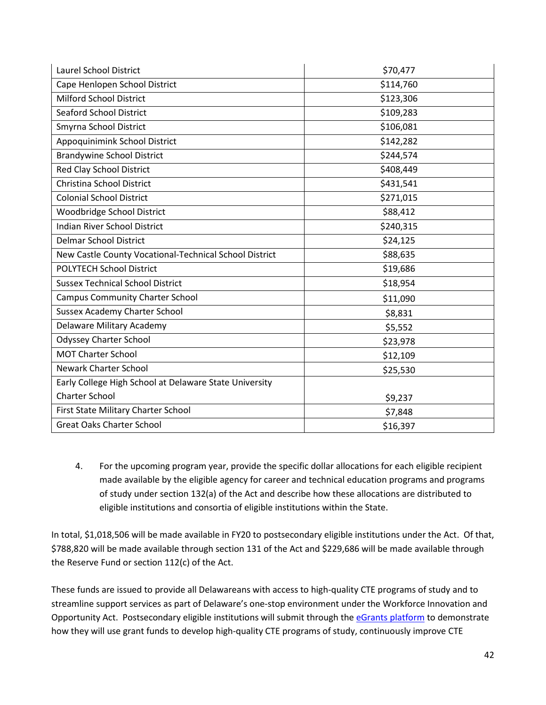| Laurel School District                                 | \$70,477  |
|--------------------------------------------------------|-----------|
| Cape Henlopen School District                          | \$114,760 |
| Milford School District                                | \$123,306 |
| <b>Seaford School District</b>                         | \$109,283 |
| Smyrna School District                                 | \$106,081 |
| Appoquinimink School District                          | \$142,282 |
| <b>Brandywine School District</b>                      | \$244,574 |
| Red Clay School District                               | \$408,449 |
| Christina School District                              | \$431,541 |
| <b>Colonial School District</b>                        | \$271,015 |
| Woodbridge School District                             | \$88,412  |
| <b>Indian River School District</b>                    | \$240,315 |
| <b>Delmar School District</b>                          | \$24,125  |
| New Castle County Vocational-Technical School District | \$88,635  |
| <b>POLYTECH School District</b>                        | \$19,686  |
| <b>Sussex Technical School District</b>                | \$18,954  |
| <b>Campus Community Charter School</b>                 | \$11,090  |
| Sussex Academy Charter School                          | \$8,831   |
| Delaware Military Academy                              | \$5,552   |
| <b>Odyssey Charter School</b>                          | \$23,978  |
| <b>MOT Charter School</b>                              | \$12,109  |
| <b>Newark Charter School</b>                           | \$25,530  |
| Early College High School at Delaware State University |           |
| <b>Charter School</b>                                  | \$9,237   |
| First State Military Charter School                    | \$7,848   |
| <b>Great Oaks Charter School</b>                       | \$16,397  |

4. For the upcoming program year, provide the specific dollar allocations for each eligible recipient made available by the eligible agency for career and technical education programs and programs of study under section 132(a) of the Act and describe how these allocations are distributed to eligible institutions and consortia of eligible institutions within the State.

In total, \$1,018,506 will be made available in FY20 to postsecondary eligible institutions under the Act. Of that, \$788,820 will be made available through section 131 of the Act and \$229,686 will be made available through the Reserve Fund or section 112(c) of the Act.

These funds are issued to provide all Delawareans with access to high-quality CTE programs of study and to streamline support services as part of Delaware's one-stop environment under the Workforce Innovation and Opportunity Act. Postsecondary eligible institutions will submit through th[e eGrants platform](https://www.doe.k12.de.us/domain/477) to demonstrate how they will use grant funds to develop high-quality CTE programs of study, continuously improve CTE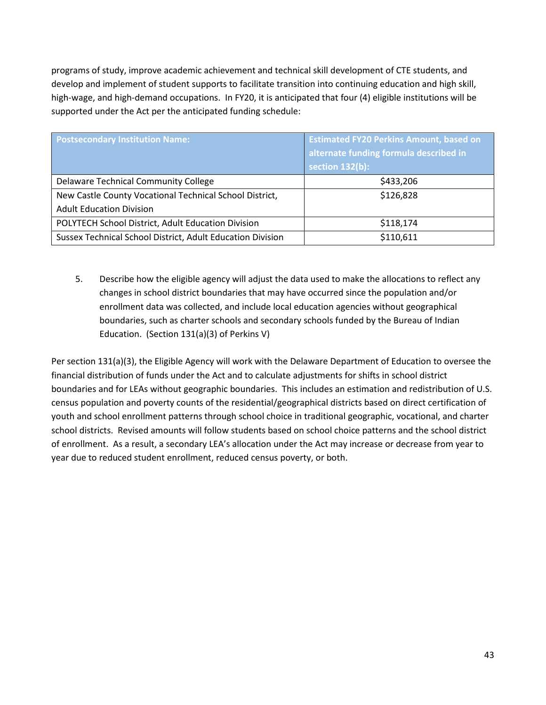programs of study, improve academic achievement and technical skill development of CTE students, and develop and implement of student supports to facilitate transition into continuing education and high skill, high-wage, and high-demand occupations. In FY20, it is anticipated that four (4) eligible institutions will be supported under the Act per the anticipated funding schedule:

| <b>Postsecondary Institution Name:</b>                     | <b>Estimated FY20 Perkins Amount, based on</b><br>alternate funding formula described in<br>section 132(b): |  |
|------------------------------------------------------------|-------------------------------------------------------------------------------------------------------------|--|
| Delaware Technical Community College                       | \$433,206                                                                                                   |  |
| New Castle County Vocational Technical School District,    | \$126,828                                                                                                   |  |
| <b>Adult Education Division</b>                            |                                                                                                             |  |
| POLYTECH School District, Adult Education Division         | \$118,174                                                                                                   |  |
| Sussex Technical School District, Adult Education Division | \$110,611                                                                                                   |  |

5. Describe how the eligible agency will adjust the data used to make the allocations to reflect any changes in school district boundaries that may have occurred since the population and/or enrollment data was collected, and include local education agencies without geographical boundaries, such as charter schools and secondary schools funded by the Bureau of Indian Education. (Section 131(a)(3) of Perkins V)

Per section 131(a)(3), the Eligible Agency will work with the Delaware Department of Education to oversee the financial distribution of funds under the Act and to calculate adjustments for shifts in school district boundaries and for LEAs without geographic boundaries. This includes an estimation and redistribution of U.S. census population and poverty counts of the residential/geographical districts based on direct certification of youth and school enrollment patterns through school choice in traditional geographic, vocational, and charter school districts. Revised amounts will follow students based on school choice patterns and the school district of enrollment. As a result, a secondary LEA's allocation under the Act may increase or decrease from year to year due to reduced student enrollment, reduced census poverty, or both.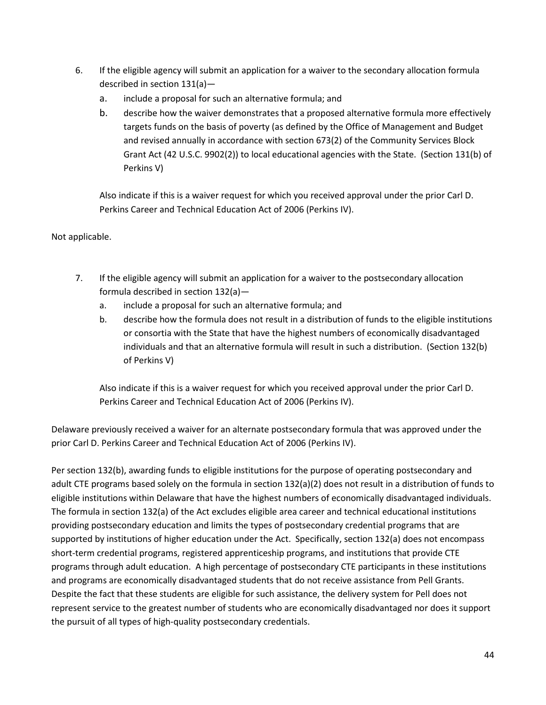- 6. If the eligible agency will submit an application for a waiver to the secondary allocation formula described in section 131(a)
	- a. include a proposal for such an alternative formula; and
	- b. describe how the waiver demonstrates that a proposed alternative formula more effectively targets funds on the basis of poverty (as defined by the Office of Management and Budget and revised annually in accordance with section 673(2) of the Community Services Block Grant Act (42 U.S.C. 9902(2)) to local educational agencies with the State. (Section 131(b) of Perkins V)

Also indicate if this is a waiver request for which you received approval under the prior Carl D. Perkins Career and Technical Education Act of 2006 (Perkins IV).

## Not applicable.

- 7. If the eligible agency will submit an application for a waiver to the postsecondary allocation formula described in section 132(a)
	- a. include a proposal for such an alternative formula; and
	- b. describe how the formula does not result in a distribution of funds to the eligible institutions or consortia with the State that have the highest numbers of economically disadvantaged individuals and that an alternative formula will result in such a distribution. (Section 132(b) of Perkins V)

Also indicate if this is a waiver request for which you received approval under the prior Carl D. Perkins Career and Technical Education Act of 2006 (Perkins IV).

Delaware previously received a waiver for an alternate postsecondary formula that was approved under the prior Carl D. Perkins Career and Technical Education Act of 2006 (Perkins IV).

Per section 132(b), awarding funds to eligible institutions for the purpose of operating postsecondary and adult CTE programs based solely on the formula in section 132(a)(2) does not result in a distribution of funds to eligible institutions within Delaware that have the highest numbers of economically disadvantaged individuals. The formula in section 132(a) of the Act excludes eligible area career and technical educational institutions providing postsecondary education and limits the types of postsecondary credential programs that are supported by institutions of higher education under the Act. Specifically, section 132(a) does not encompass short-term credential programs, registered apprenticeship programs, and institutions that provide CTE programs through adult education. A high percentage of postsecondary CTE participants in these institutions and programs are economically disadvantaged students that do not receive assistance from Pell Grants. Despite the fact that these students are eligible for such assistance, the delivery system for Pell does not represent service to the greatest number of students who are economically disadvantaged nor does it support the pursuit of all types of high-quality postsecondary credentials.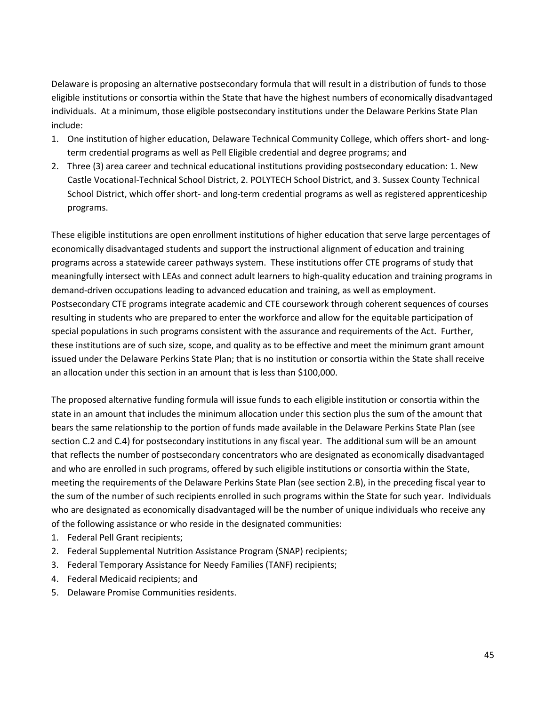Delaware is proposing an alternative postsecondary formula that will result in a distribution of funds to those eligible institutions or consortia within the State that have the highest numbers of economically disadvantaged individuals. At a minimum, those eligible postsecondary institutions under the Delaware Perkins State Plan include:

- 1. One institution of higher education, Delaware Technical Community College, which offers short- and longterm credential programs as well as Pell Eligible credential and degree programs; and
- 2. Three (3) area career and technical educational institutions providing postsecondary education: 1. New Castle Vocational-Technical School District, 2. POLYTECH School District, and 3. Sussex County Technical School District, which offer short- and long-term credential programs as well as registered apprenticeship programs.

These eligible institutions are open enrollment institutions of higher education that serve large percentages of economically disadvantaged students and support the instructional alignment of education and training programs across a statewide career pathways system. These institutions offer CTE programs of study that meaningfully intersect with LEAs and connect adult learners to high-quality education and training programs in demand-driven occupations leading to advanced education and training, as well as employment. Postsecondary CTE programs integrate academic and CTE coursework through coherent sequences of courses resulting in students who are prepared to enter the workforce and allow for the equitable participation of special populations in such programs consistent with the assurance and requirements of the Act. Further, these institutions are of such size, scope, and quality as to be effective and meet the minimum grant amount issued under the Delaware Perkins State Plan; that is no institution or consortia within the State shall receive an allocation under this section in an amount that is less than \$100,000.

The proposed alternative funding formula will issue funds to each eligible institution or consortia within the state in an amount that includes the minimum allocation under this section plus the sum of the amount that bears the same relationship to the portion of funds made available in the Delaware Perkins State Plan (see section C.2 and C.4) for postsecondary institutions in any fiscal year. The additional sum will be an amount that reflects the number of postsecondary concentrators who are designated as economically disadvantaged and who are enrolled in such programs, offered by such eligible institutions or consortia within the State, meeting the requirements of the Delaware Perkins State Plan (see section 2.B), in the preceding fiscal year to the sum of the number of such recipients enrolled in such programs within the State for such year. Individuals who are designated as economically disadvantaged will be the number of unique individuals who receive any of the following assistance or who reside in the designated communities:

- 1. Federal Pell Grant recipients;
- 2. Federal Supplemental Nutrition Assistance Program (SNAP) recipients;
- 3. Federal Temporary Assistance for Needy Families (TANF) recipients;
- 4. Federal Medicaid recipients; and
- 5. Delaware Promise Communities residents.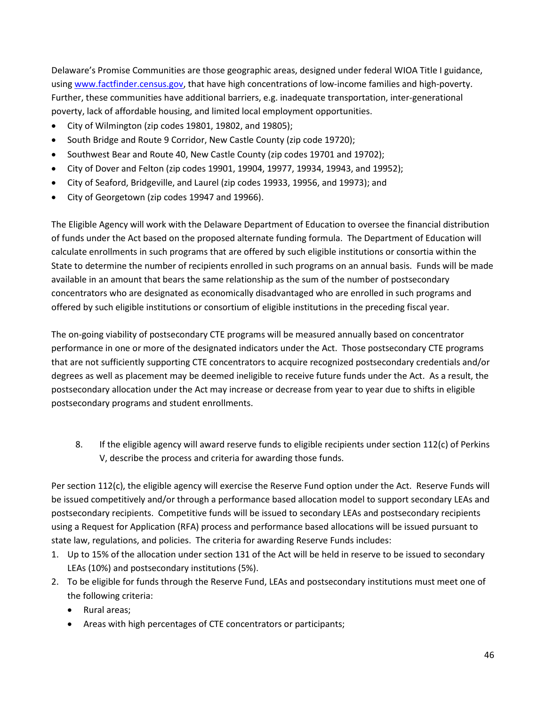Delaware's Promise Communities are those geographic areas, designed under federal WIOA Title I guidance, usin[g www.factfinder.census.gov,](http://www.factfinder.census.gov/) that have high concentrations of low-income families and high-poverty. Further, these communities have additional barriers, e.g. inadequate transportation, inter-generational poverty, lack of affordable housing, and limited local employment opportunities.

- City of Wilmington (zip codes 19801, 19802, and 19805);
- South Bridge and Route 9 Corridor, New Castle County (zip code 19720);
- Southwest Bear and Route 40, New Castle County (zip codes 19701 and 19702);
- City of Dover and Felton (zip codes 19901, 19904, 19977, 19934, 19943, and 19952);
- City of Seaford, Bridgeville, and Laurel (zip codes 19933, 19956, and 19973); and
- City of Georgetown (zip codes 19947 and 19966).

The Eligible Agency will work with the Delaware Department of Education to oversee the financial distribution of funds under the Act based on the proposed alternate funding formula. The Department of Education will calculate enrollments in such programs that are offered by such eligible institutions or consortia within the State to determine the number of recipients enrolled in such programs on an annual basis. Funds will be made available in an amount that bears the same relationship as the sum of the number of postsecondary concentrators who are designated as economically disadvantaged who are enrolled in such programs and offered by such eligible institutions or consortium of eligible institutions in the preceding fiscal year.

The on-going viability of postsecondary CTE programs will be measured annually based on concentrator performance in one or more of the designated indicators under the Act. Those postsecondary CTE programs that are not sufficiently supporting CTE concentrators to acquire recognized postsecondary credentials and/or degrees as well as placement may be deemed ineligible to receive future funds under the Act. As a result, the postsecondary allocation under the Act may increase or decrease from year to year due to shifts in eligible postsecondary programs and student enrollments.

8. If the eligible agency will award reserve funds to eligible recipients under section 112(c) of Perkins V, describe the process and criteria for awarding those funds.

Per section 112(c), the eligible agency will exercise the Reserve Fund option under the Act. Reserve Funds will be issued competitively and/or through a performance based allocation model to support secondary LEAs and postsecondary recipients. Competitive funds will be issued to secondary LEAs and postsecondary recipients using a Request for Application (RFA) process and performance based allocations will be issued pursuant to state law, regulations, and policies. The criteria for awarding Reserve Funds includes:

- 1. Up to 15% of the allocation under section 131 of the Act will be held in reserve to be issued to secondary LEAs (10%) and postsecondary institutions (5%).
- 2. To be eligible for funds through the Reserve Fund, LEAs and postsecondary institutions must meet one of the following criteria:
	- Rural areas;
	- Areas with high percentages of CTE concentrators or participants;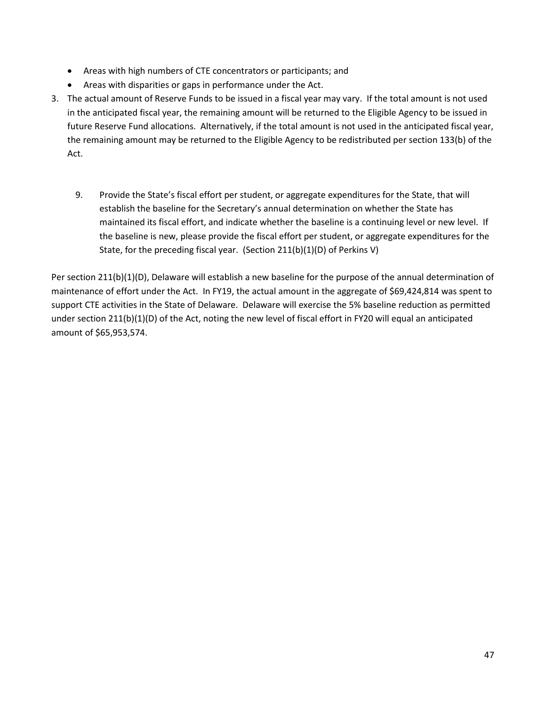- Areas with high numbers of CTE concentrators or participants; and
- Areas with disparities or gaps in performance under the Act.
- 3. The actual amount of Reserve Funds to be issued in a fiscal year may vary. If the total amount is not used in the anticipated fiscal year, the remaining amount will be returned to the Eligible Agency to be issued in future Reserve Fund allocations. Alternatively, if the total amount is not used in the anticipated fiscal year, the remaining amount may be returned to the Eligible Agency to be redistributed per section 133(b) of the Act.
	- 9. Provide the State's fiscal effort per student, or aggregate expenditures for the State, that will establish the baseline for the Secretary's annual determination on whether the State has maintained its fiscal effort, and indicate whether the baseline is a continuing level or new level. If the baseline is new, please provide the fiscal effort per student, or aggregate expenditures for the State, for the preceding fiscal year. (Section 211(b)(1)(D) of Perkins V)

Per section 211(b)(1)(D), Delaware will establish a new baseline for the purpose of the annual determination of maintenance of effort under the Act. In FY19, the actual amount in the aggregate of \$69,424,814 was spent to support CTE activities in the State of Delaware. Delaware will exercise the 5% baseline reduction as permitted under section 211(b)(1)(D) of the Act, noting the new level of fiscal effort in FY20 will equal an anticipated amount of \$65,953,574.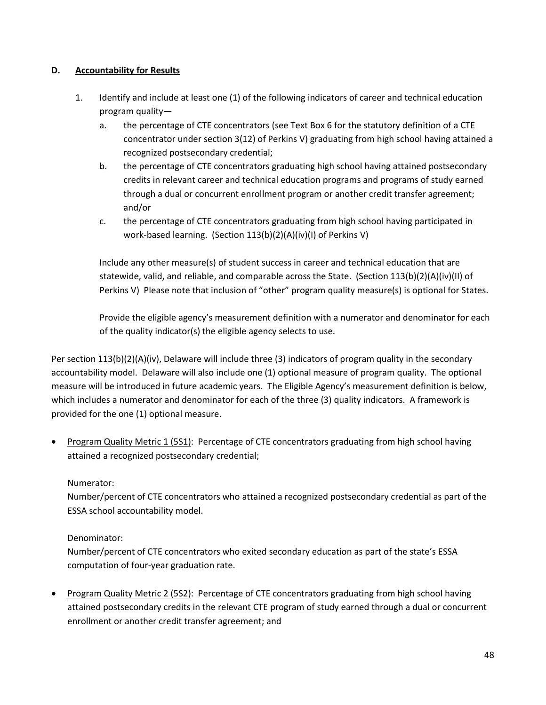## **D. Accountability for Results**

- 1. Identify and include at least one (1) of the following indicators of career and technical education program quality
	- a. the percentage of CTE concentrators (see Text Box 6 for the statutory definition of a CTE concentrator under section 3(12) of Perkins V) graduating from high school having attained a recognized postsecondary credential;
	- b. the percentage of CTE concentrators graduating high school having attained postsecondary credits in relevant career and technical education programs and programs of study earned through a dual or concurrent enrollment program or another credit transfer agreement; and/or
	- c. the percentage of CTE concentrators graduating from high school having participated in work-based learning. (Section 113(b)(2)(A)(iv)(I) of Perkins V)

Include any other measure(s) of student success in career and technical education that are statewide, valid, and reliable, and comparable across the State. (Section 113(b)(2)(A)(iv)(II) of Perkins V) Please note that inclusion of "other" program quality measure(s) is optional for States.

Provide the eligible agency's measurement definition with a numerator and denominator for each of the quality indicator(s) the eligible agency selects to use.

Per section 113(b)(2)(A)(iv), Delaware will include three (3) indicators of program quality in the secondary accountability model. Delaware will also include one (1) optional measure of program quality. The optional measure will be introduced in future academic years. The Eligible Agency's measurement definition is below, which includes a numerator and denominator for each of the three (3) quality indicators. A framework is provided for the one (1) optional measure.

• Program Quality Metric 1 (5S1): Percentage of CTE concentrators graduating from high school having attained a recognized postsecondary credential;

## Numerator:

Number/percent of CTE concentrators who attained a recognized postsecondary credential as part of the ESSA school accountability model.

#### Denominator:

Number/percent of CTE concentrators who exited secondary education as part of the state's ESSA computation of four-year graduation rate.

• Program Quality Metric 2 (5S2): Percentage of CTE concentrators graduating from high school having attained postsecondary credits in the relevant CTE program of study earned through a dual or concurrent enrollment or another credit transfer agreement; and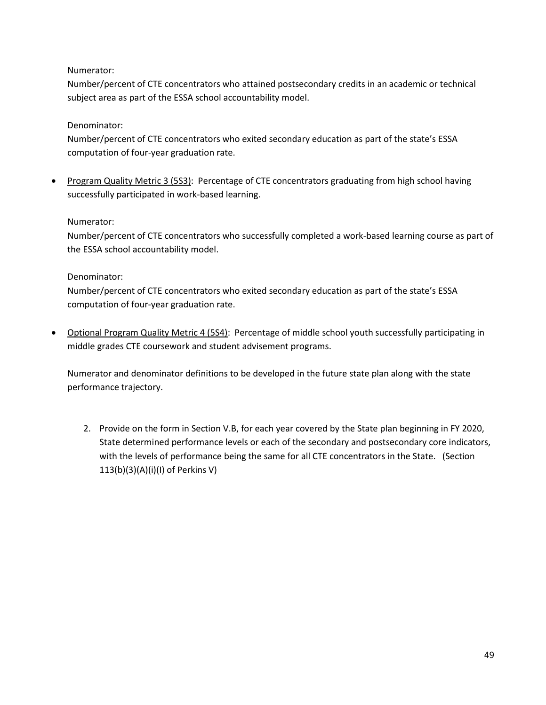## Numerator:

Number/percent of CTE concentrators who attained postsecondary credits in an academic or technical subject area as part of the ESSA school accountability model.

## Denominator:

Number/percent of CTE concentrators who exited secondary education as part of the state's ESSA computation of four-year graduation rate.

• Program Quality Metric 3 (5S3): Percentage of CTE concentrators graduating from high school having successfully participated in work-based learning.

## Numerator:

Number/percent of CTE concentrators who successfully completed a work-based learning course as part of the ESSA school accountability model.

## Denominator:

Number/percent of CTE concentrators who exited secondary education as part of the state's ESSA computation of four-year graduation rate.

• Optional Program Quality Metric 4 (5S4): Percentage of middle school youth successfully participating in middle grades CTE coursework and student advisement programs.

Numerator and denominator definitions to be developed in the future state plan along with the state performance trajectory.

2. Provide on the form in Section V.B, for each year covered by the State plan beginning in FY 2020, State determined performance levels or each of the secondary and postsecondary core indicators, with the levels of performance being the same for all CTE concentrators in the State. (Section 113(b)(3)(A)(i)(I) of Perkins V)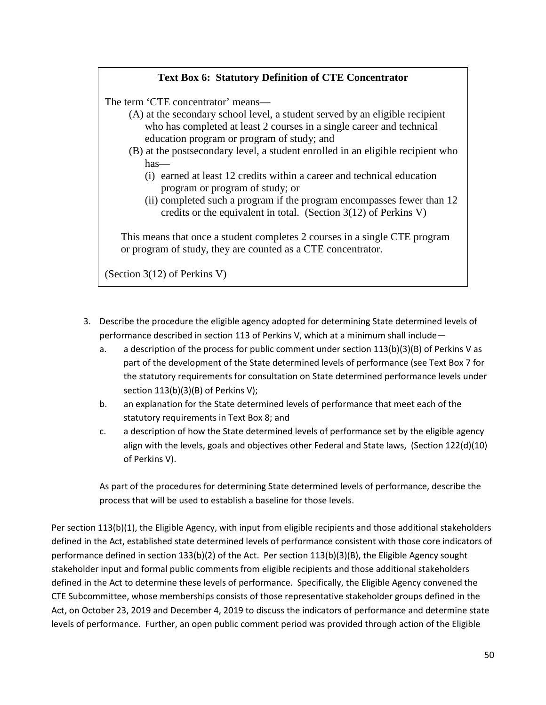## **Text Box 6: Statutory Definition of CTE Concentrator**

The term 'CTE concentrator' means—

- (A) at the secondary school level, a student served by an eligible recipient who has completed at least 2 courses in a single career and technical education program or program of study; and
- (B) at the postsecondary level, a student enrolled in an eligible recipient who has—
	- (i) earned at least 12 credits within a career and technical education program or program of study; or
	- (ii) completed such a program if the program encompasses fewer than 12 credits or the equivalent in total. (Section 3(12) of Perkins V)

This means that once a student completes 2 courses in a single CTE program or program of study, they are counted as a CTE concentrator.

(Section 3(12) of Perkins V)

- 3. Describe the procedure the eligible agency adopted for determining State determined levels of performance described in section 113 of Perkins V, which at a minimum shall include
	- a. a description of the process for public comment under section 113(b)(3)(B) of Perkins V as part of the development of the State determined levels of performance (see Text Box 7 for the statutory requirements for consultation on State determined performance levels under section 113(b)(3)(B) of Perkins V);
	- b. an explanation for the State determined levels of performance that meet each of the statutory requirements in Text Box 8; and
	- c. a description of how the State determined levels of performance set by the eligible agency align with the levels, goals and objectives other Federal and State laws, (Section 122(d)(10) of Perkins V).

As part of the procedures for determining State determined levels of performance, describe the process that will be used to establish a baseline for those levels.

Per section 113(b)(1), the Eligible Agency, with input from eligible recipients and those additional stakeholders defined in the Act, established state determined levels of performance consistent with those core indicators of performance defined in section 133(b)(2) of the Act. Per section 113(b)(3)(B), the Eligible Agency sought stakeholder input and formal public comments from eligible recipients and those additional stakeholders defined in the Act to determine these levels of performance. Specifically, the Eligible Agency convened the CTE Subcommittee, whose memberships consists of those representative stakeholder groups defined in the Act, on October 23, 2019 and December 4, 2019 to discuss the indicators of performance and determine state levels of performance. Further, an open public comment period was provided through action of the Eligible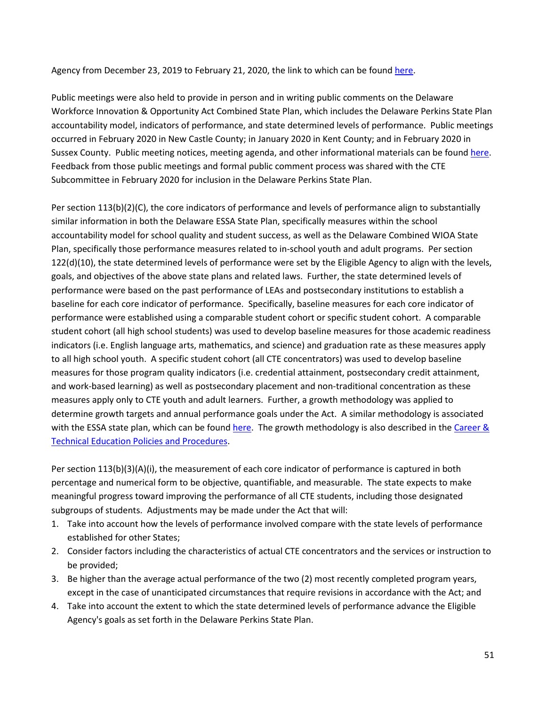Agency from December 23, 2019 to February 21, 2020, the link to which can be found [here.](https://www.doe.k12.de.us/Page/3855)

Public meetings were also held to provide in person and in writing public comments on the Delaware Workforce Innovation & Opportunity Act Combined State Plan, which includes the Delaware Perkins State Plan accountability model, indicators of performance, and state determined levels of performance. Public meetings occurred in February 2020 in New Castle County; in January 2020 in Kent County; and in February 2020 in Sussex County. Public meeting notices, meeting agenda, and other informational materials can be found [here.](https://www.doe.k12.de.us/Page/3855) Feedback from those public meetings and formal public comment process was shared with the CTE Subcommittee in February 2020 for inclusion in the Delaware Perkins State Plan.

Per section 113(b)(2)(C), the core indicators of performance and levels of performance align to substantially similar information in both the Delaware ESSA State Plan, specifically measures within the school accountability model for school quality and student success, as well as the Delaware Combined WIOA State Plan, specifically those performance measures related to in-school youth and adult programs. Per section 122(d)(10), the state determined levels of performance were set by the Eligible Agency to align with the levels, goals, and objectives of the above state plans and related laws. Further, the state determined levels of performance were based on the past performance of LEAs and postsecondary institutions to establish a baseline for each core indicator of performance. Specifically, baseline measures for each core indicator of performance were established using a comparable student cohort or specific student cohort. A comparable student cohort (all high school students) was used to develop baseline measures for those academic readiness indicators (i.e. English language arts, mathematics, and science) and graduation rate as these measures apply to all high school youth. A specific student cohort (all CTE concentrators) was used to develop baseline measures for those program quality indicators (i.e. credential attainment, postsecondary credit attainment, and work-based learning) as well as postsecondary placement and non-traditional concentration as these measures apply only to CTE youth and adult learners. Further, a growth methodology was applied to determine growth targets and annual performance goals under the Act. A similar methodology is associated with the ESSA state plan, which can be found [here.](https://www.doe.k12.de.us/cms/lib/DE01922744/Centricity/domain/208/essa/de_consolidatedstateplan.final_clean_190610.pdf) The growth methodology is also described in the Career & [Technical Education Policies and Procedures.](http://education.delaware.gov/wp-content/uploads/2019/04/2017_08_de_cte_pos_policyandprocedures.pdf)

Per section 113(b)(3)(A)(i), the measurement of each core indicator of performance is captured in both percentage and numerical form to be objective, quantifiable, and measurable. The state expects to make meaningful progress toward improving the performance of all CTE students, including those designated subgroups of students. Adjustments may be made under the Act that will:

- 1. Take into account how the levels of performance involved compare with the state levels of performance established for other States;
- 2. Consider factors including the characteristics of actual CTE concentrators and the services or instruction to be provided;
- 3. Be higher than the average actual performance of the two (2) most recently completed program years, except in the case of unanticipated circumstances that require revisions in accordance with the Act; and
- 4. Take into account the extent to which the state determined levels of performance advance the Eligible Agency's goals as set forth in the Delaware Perkins State Plan.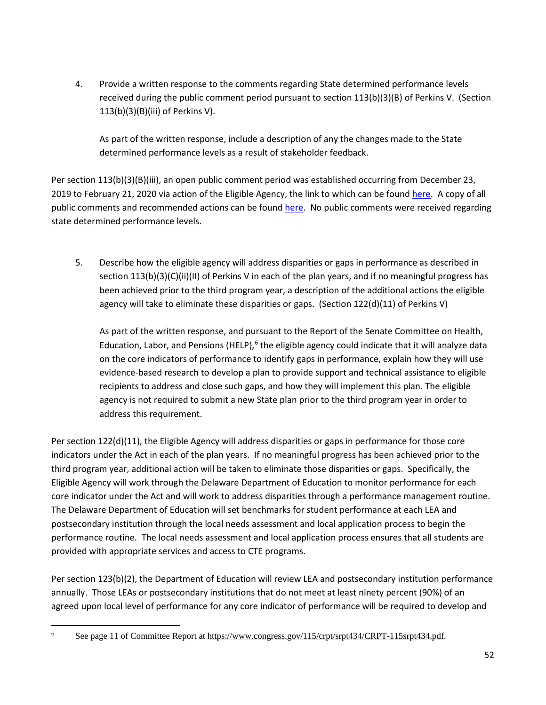4. Provide a written response to the comments regarding State determined performance levels received during the public comment period pursuant to section 113(b)(3)(B) of Perkins V. (Section 113(b)(3)(B)(iii) of Perkins V).

As part of the written response, include a description of any the changes made to the State determined performance levels as a result of stakeholder feedback.

Per section 113(b)(3)(B)(iii), an open public comment period was established occurring from December 23, 2019 to February 21, 2020 via action of the Eligible Agency, the link to which can be found [here.](https://www.doe.k12.de.us/Page/3855) A copy of all public comments and recommended actions can be foun[d here.](https://www.doe.k12.de.us/cms/lib/DE01922744/Centricity/Domain/170/draft_state_plan_public_comment_final.pdf) No public comments were received regarding state determined performance levels.

5. Describe how the eligible agency will address disparities or gaps in performance as described in section 113(b)(3)(C)(ii)(II) of Perkins V in each of the plan years, and if no meaningful progress has been achieved prior to the third program year, a description of the additional actions the eligible agency will take to eliminate these disparities or gaps. (Section 122(d)(11) of Perkins V)

As part of the written response, and pursuant to the Report of the Senate Committee on Health, Education, Labor, and Pensions (HELP),<sup>[6](#page-52-0)</sup> the eligible agency could indicate that it will analyze data on the core indicators of performance to identify gaps in performance, explain how they will use evidence-based research to develop a plan to provide support and technical assistance to eligible recipients to address and close such gaps, and how they will implement this plan. The eligible agency is not required to submit a new State plan prior to the third program year in order to address this requirement.

Per section 122(d)(11), the Eligible Agency will address disparities or gaps in performance for those core indicators under the Act in each of the plan years. If no meaningful progress has been achieved prior to the third program year, additional action will be taken to eliminate those disparities or gaps. Specifically, the Eligible Agency will work through the Delaware Department of Education to monitor performance for each core indicator under the Act and will work to address disparities through a performance management routine. The Delaware Department of Education will set benchmarks for student performance at each LEA and postsecondary institution through the local needs assessment and local application process to begin the performance routine. The local needs assessment and local application process ensures that all students are provided with appropriate services and access to CTE programs.

Per section 123(b)(2), the Department of Education will review LEA and postsecondary institution performance annually. Those LEAs or postsecondary institutions that do not meet at least ninety percent (90%) of an agreed upon local level of performance for any core indicator of performance will be required to develop and

<span id="page-52-0"></span><sup>&</sup>lt;sup>6</sup> See page 11 of Committee Report a[t https://www.congress.gov/115/crpt/srpt434/CRPT-115srpt434.pdf.](https://www.congress.gov/115/crpt/srpt434/CRPT-115srpt434.pdf)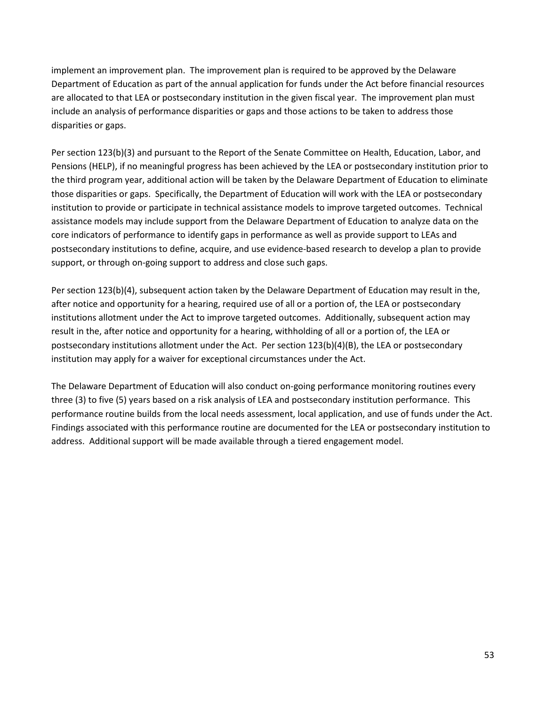implement an improvement plan. The improvement plan is required to be approved by the Delaware Department of Education as part of the annual application for funds under the Act before financial resources are allocated to that LEA or postsecondary institution in the given fiscal year. The improvement plan must include an analysis of performance disparities or gaps and those actions to be taken to address those disparities or gaps.

Per section 123(b)(3) and pursuant to the Report of the Senate Committee on Health, Education, Labor, and Pensions (HELP), if no meaningful progress has been achieved by the LEA or postsecondary institution prior to the third program year, additional action will be taken by the Delaware Department of Education to eliminate those disparities or gaps. Specifically, the Department of Education will work with the LEA or postsecondary institution to provide or participate in technical assistance models to improve targeted outcomes. Technical assistance models may include support from the Delaware Department of Education to analyze data on the core indicators of performance to identify gaps in performance as well as provide support to LEAs and postsecondary institutions to define, acquire, and use evidence-based research to develop a plan to provide support, or through on-going support to address and close such gaps.

Per section 123(b)(4), subsequent action taken by the Delaware Department of Education may result in the, after notice and opportunity for a hearing, required use of all or a portion of, the LEA or postsecondary institutions allotment under the Act to improve targeted outcomes. Additionally, subsequent action may result in the, after notice and opportunity for a hearing, withholding of all or a portion of, the LEA or postsecondary institutions allotment under the Act. Per section 123(b)(4)(B), the LEA or postsecondary institution may apply for a waiver for exceptional circumstances under the Act.

The Delaware Department of Education will also conduct on-going performance monitoring routines every three (3) to five (5) years based on a risk analysis of LEA and postsecondary institution performance. This performance routine builds from the local needs assessment, local application, and use of funds under the Act. Findings associated with this performance routine are documented for the LEA or postsecondary institution to address. Additional support will be made available through a tiered engagement model.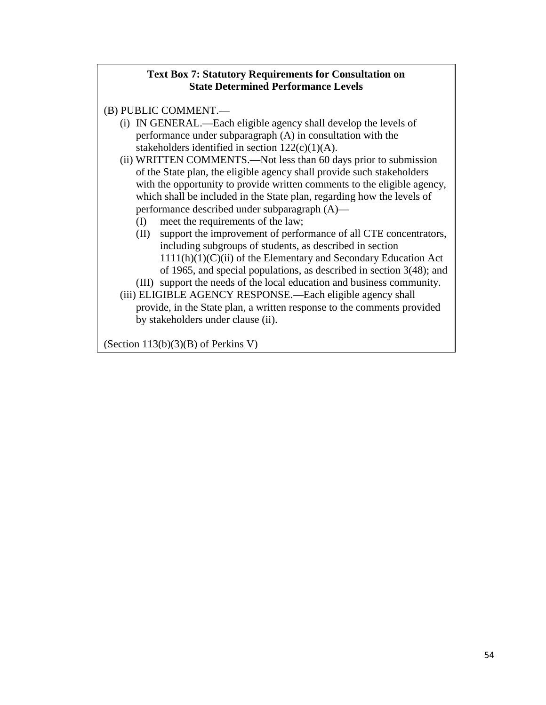## **Text Box 7: Statutory Requirements for Consultation on State Determined Performance Levels**

- (B) PUBLIC COMMENT.—
	- (i) IN GENERAL.—Each eligible agency shall develop the levels of performance under subparagraph (A) in consultation with the stakeholders identified in section  $122(c)(1)(A)$ .
	- (ii) WRITTEN COMMENTS.—Not less than 60 days prior to submission of the State plan, the eligible agency shall provide such stakeholders with the opportunity to provide written comments to the eligible agency, which shall be included in the State plan, regarding how the levels of performance described under subparagraph (A)—
		- (I) meet the requirements of the law;
		- (II) support the improvement of performance of all CTE concentrators, including subgroups of students, as described in section  $1111(h)(1)(C)(ii)$  of the Elementary and Secondary Education Act of 1965, and special populations, as described in section 3(48); and
		- (III) support the needs of the local education and business community.
	- (iii) ELIGIBLE AGENCY RESPONSE.—Each eligible agency shall provide, in the State plan, a written response to the comments provided by stakeholders under clause (ii).

(Section 113(b)(3)(B) of Perkins V)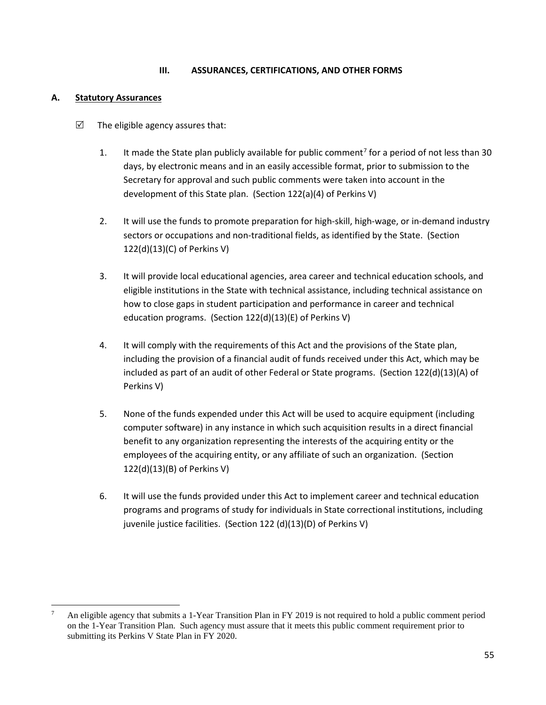### **III. ASSURANCES, CERTIFICATIONS, AND OTHER FORMS**

## **A. Statutory Assurances**

- $\triangledown$  The eligible agency assures that:
	- 1. It made the State plan publicly available for public comment<sup>[7](#page-55-0)</sup> for a period of not less than 30 days, by electronic means and in an easily accessible format, prior to submission to the Secretary for approval and such public comments were taken into account in the development of this State plan. (Section 122(a)(4) of Perkins V)
	- 2. It will use the funds to promote preparation for high-skill, high-wage, or in-demand industry sectors or occupations and non-traditional fields, as identified by the State. (Section 122(d)(13)(C) of Perkins V)
	- 3. It will provide local educational agencies, area career and technical education schools, and eligible institutions in the State with technical assistance, including technical assistance on how to close gaps in student participation and performance in career and technical education programs. (Section 122(d)(13)(E) of Perkins V)
	- 4. It will comply with the requirements of this Act and the provisions of the State plan, including the provision of a financial audit of funds received under this Act, which may be included as part of an audit of other Federal or State programs. (Section 122(d)(13)(A) of Perkins V)
	- 5. None of the funds expended under this Act will be used to acquire equipment (including computer software) in any instance in which such acquisition results in a direct financial benefit to any organization representing the interests of the acquiring entity or the employees of the acquiring entity, or any affiliate of such an organization. (Section 122(d)(13)(B) of Perkins V)
	- 6. It will use the funds provided under this Act to implement career and technical education programs and programs of study for individuals in State correctional institutions, including juvenile justice facilities. (Section 122 (d)(13)(D) of Perkins V)

<span id="page-55-0"></span> <sup>7</sup> An eligible agency that submits a 1-Year Transition Plan in FY 2019 is not required to hold a public comment period on the 1-Year Transition Plan. Such agency must assure that it meets this public comment requirement prior to submitting its Perkins V State Plan in FY 2020.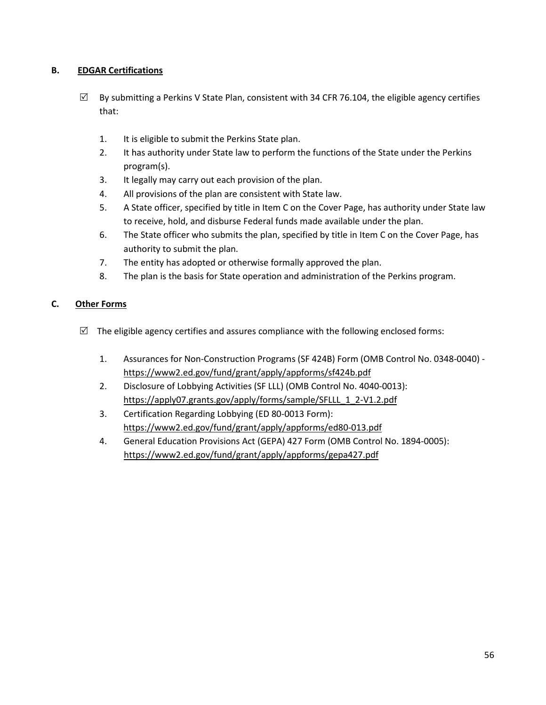## **B. EDGAR Certifications**

- $\boxtimes$  By submitting a Perkins V State Plan, consistent with 34 CFR 76.104, the eligible agency certifies that:
	- 1. It is eligible to submit the Perkins State plan.
	- 2. It has authority under State law to perform the functions of the State under the Perkins program(s).
	- 3. It legally may carry out each provision of the plan.
	- 4. All provisions of the plan are consistent with State law.
	- 5. A State officer, specified by title in Item C on the Cover Page, has authority under State law to receive, hold, and disburse Federal funds made available under the plan.
	- 6. The State officer who submits the plan, specified by title in Item C on the Cover Page, has authority to submit the plan.
	- 7. The entity has adopted or otherwise formally approved the plan.
	- 8. The plan is the basis for State operation and administration of the Perkins program.

## **C. Other Forms**

- $\boxtimes$  The eligible agency certifies and assures compliance with the following enclosed forms:
	- 1. Assurances for Non-Construction Programs (SF 424B) Form (OMB Control No. 0348-0040) <https://www2.ed.gov/fund/grant/apply/appforms/sf424b.pdf>
	- 2. Disclosure of Lobbying Activities (SF LLL) (OMB Control No. 4040-0013): https://apply07.grants.gov/apply/forms/sample/SFLLL\_1\_2-V1.2.pdf
	- 3. Certification Regarding Lobbying (ED 80-0013 Form): <https://www2.ed.gov/fund/grant/apply/appforms/ed80-013.pdf>
	- 4. General Education Provisions Act (GEPA) 427 Form (OMB Control No. 1894-0005): <https://www2.ed.gov/fund/grant/apply/appforms/gepa427.pdf>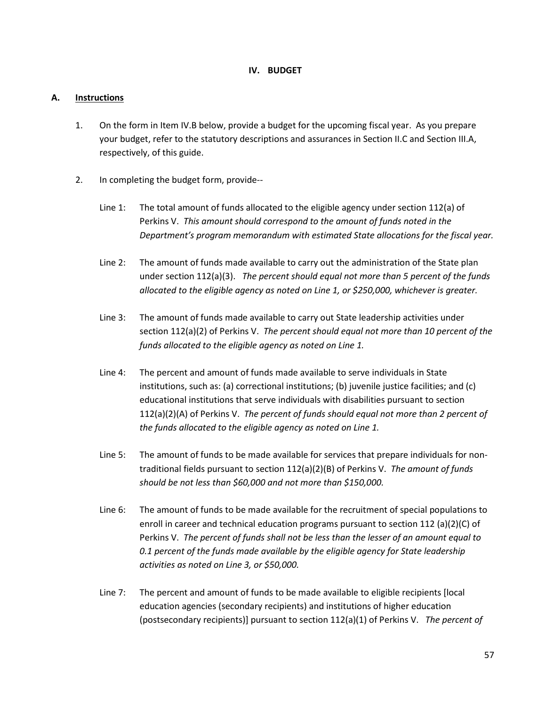### **IV. BUDGET**

#### **A. Instructions**

- 1. On the form in Item IV.B below, provide a budget for the upcoming fiscal year. As you prepare your budget, refer to the statutory descriptions and assurances in Section II.C and Section III.A, respectively, of this guide.
- 2. In completing the budget form, provide--
	- Line 1: The total amount of funds allocated to the eligible agency under section 112(a) of Perkins V. *This amount should correspond to the amount of funds noted in the Department's program memorandum with estimated State allocations for the fiscal year.*
	- Line 2: The amount of funds made available to carry out the administration of the State plan under section 112(a)(3). *The percent should equal not more than 5 percent of the funds allocated to the eligible agency as noted on Line 1, or \$250,000, whichever is greater.*
	- Line 3: The amount of funds made available to carry out State leadership activities under section 112(a)(2) of Perkins V. *The percent should equal not more than 10 percent of the funds allocated to the eligible agency as noted on Line 1.*
	- Line 4: The percent and amount of funds made available to serve individuals in State institutions, such as: (a) correctional institutions; (b) juvenile justice facilities; and (c) educational institutions that serve individuals with disabilities pursuant to section 112(a)(2)(A) of Perkins V. *The percent of funds should equal not more than 2 percent of the funds allocated to the eligible agency as noted on Line 1.*
	- Line 5: The amount of funds to be made available for services that prepare individuals for nontraditional fields pursuant to section 112(a)(2)(B) of Perkins V. *The amount of funds should be not less than \$60,000 and not more than \$150,000.*
	- Line 6: The amount of funds to be made available for the recruitment of special populations to enroll in career and technical education programs pursuant to section 112 (a)(2)(C) of Perkins V. *The percent of funds shall not be less than the lesser of an amount equal to 0.1 percent of the funds made available by the eligible agency for State leadership activities as noted on Line 3, or \$50,000.*
	- Line 7: The percent and amount of funds to be made available to eligible recipients [local education agencies (secondary recipients) and institutions of higher education (postsecondary recipients)] pursuant to section 112(a)(1) of Perkins V. *The percent of*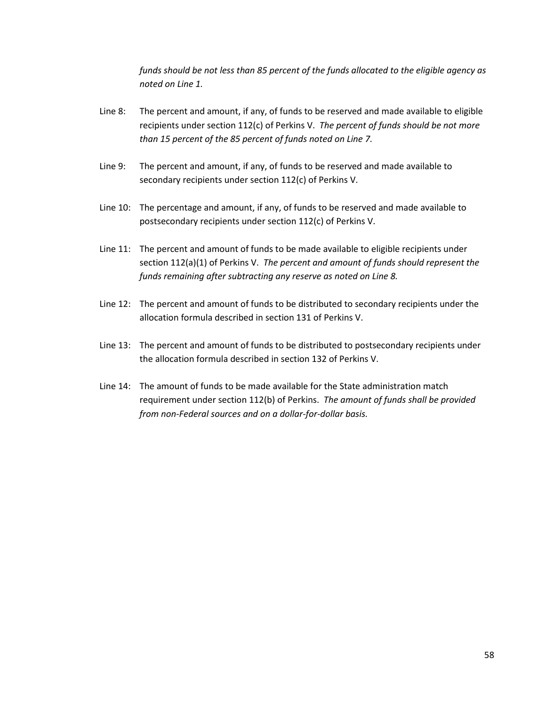*funds should be not less than 85 percent of the funds allocated to the eligible agency as noted on Line 1.*

- Line 8: The percent and amount, if any, of funds to be reserved and made available to eligible recipients under section 112(c) of Perkins V. *The percent of funds should be not more than 15 percent of the 85 percent of funds noted on Line 7.*
- Line 9: The percent and amount, if any, of funds to be reserved and made available to secondary recipients under section 112(c) of Perkins V.
- Line 10: The percentage and amount, if any, of funds to be reserved and made available to postsecondary recipients under section 112(c) of Perkins V.
- Line 11: The percent and amount of funds to be made available to eligible recipients under section 112(a)(1) of Perkins V. *The percent and amount of funds should represent the funds remaining after subtracting any reserve as noted on Line 8.*
- Line 12: The percent and amount of funds to be distributed to secondary recipients under the allocation formula described in section 131 of Perkins V.
- Line 13: The percent and amount of funds to be distributed to postsecondary recipients under the allocation formula described in section 132 of Perkins V.
- Line 14: The amount of funds to be made available for the State administration match requirement under section 112(b) of Perkins. *The amount of funds shall be provided from non-Federal sources and on a dollar-for-dollar basis.*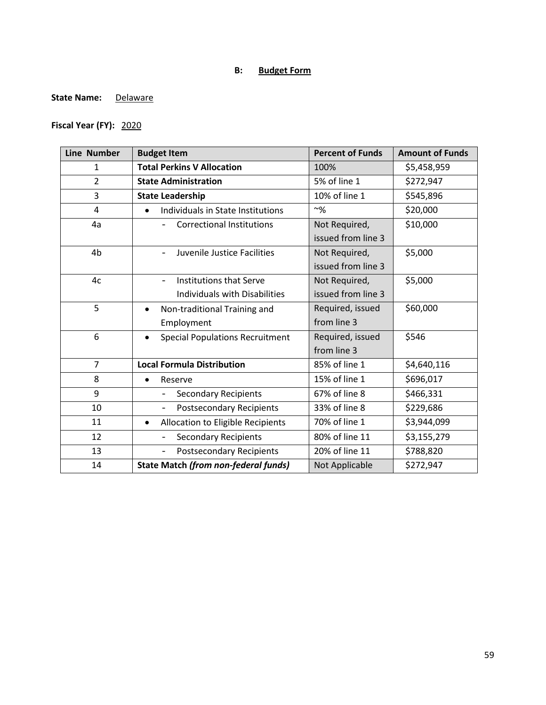# **B: Budget Form**

### State Name: **Delaware**

# **Fiscal Year (FY):** 2020

| <b>Line Number</b> | <b>Budget Item</b>                                   | <b>Percent of Funds</b> | <b>Amount of Funds</b> |
|--------------------|------------------------------------------------------|-------------------------|------------------------|
| $\mathbf{1}$       | <b>Total Perkins V Allocation</b>                    | 100%                    | \$5,458,959            |
| $\overline{2}$     | <b>State Administration</b>                          | 5% of line 1            | \$272,947              |
| 3                  | <b>State Leadership</b>                              | 10% of line 1           | \$545,896              |
| 4                  | Individuals in State Institutions<br>$\bullet$       | $~\sim~9/6$             | \$20,000               |
| 4a                 | <b>Correctional Institutions</b>                     | Not Required,           | \$10,000               |
|                    |                                                      | issued from line 3      |                        |
| 4 <sub>b</sub>     | Juvenile Justice Facilities                          | Not Required,           | \$5,000                |
|                    |                                                      | issued from line 3      |                        |
| 4c                 | Institutions that Serve<br>$\qquad \qquad -$         | Not Required,           | \$5,000                |
|                    | Individuals with Disabilities                        | issued from line 3      |                        |
| 5                  | Non-traditional Training and<br>$\bullet$            | Required, issued        | \$60,000               |
|                    | Employment                                           | from line 3             |                        |
| 6                  | <b>Special Populations Recruitment</b><br>$\bullet$  | Required, issued        | \$546                  |
|                    |                                                      | from line 3             |                        |
| $\overline{7}$     | <b>Local Formula Distribution</b>                    | 85% of line 1           | \$4,640,116            |
| 8                  | Reserve<br>$\bullet$                                 | 15% of line 1           | \$696,017              |
| 9                  | <b>Secondary Recipients</b>                          | 67% of line 8           | \$466,331              |
| 10                 | <b>Postsecondary Recipients</b>                      | 33% of line 8           | \$229,686              |
| 11                 | Allocation to Eligible Recipients<br>$\bullet$       | 70% of line 1           | \$3,944,099            |
| 12                 | <b>Secondary Recipients</b>                          | 80% of line 11          | \$3,155,279            |
| 13                 | <b>Postsecondary Recipients</b><br>$\qquad \qquad -$ | 20% of line 11          | \$788,820              |
| 14                 | <b>State Match (from non-federal funds)</b>          | Not Applicable          | \$272,947              |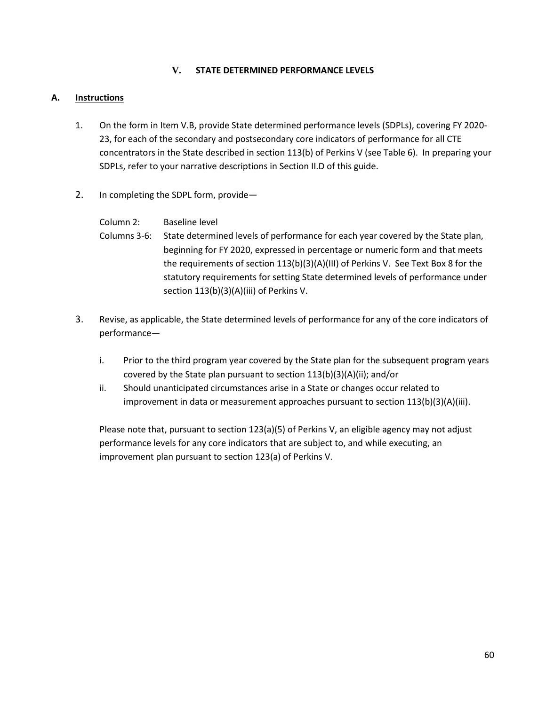## **V. STATE DETERMINED PERFORMANCE LEVELS**

### **A. Instructions**

- 1. On the form in Item V.B, provide State determined performance levels (SDPLs), covering FY 2020- 23, for each of the secondary and postsecondary core indicators of performance for all CTE concentrators in the State described in section 113(b) of Perkins V (see Table 6). In preparing your SDPLs, refer to your narrative descriptions in Section II.D of this guide.
- 2. In completing the SDPL form, provide—

| Column 2:      | Baseline level                                                                     |
|----------------|------------------------------------------------------------------------------------|
| Columns 3-6: I | State determined levels of performance for each year covered by the State plan,    |
|                | beginning for FY 2020, expressed in percentage or numeric form and that meets      |
|                | the requirements of section 113(b)(3)(A)(III) of Perkins V. See Text Box 8 for the |
|                | statutory requirements for setting State determined levels of performance under    |
|                | section 113(b)(3)(A)(iii) of Perkins V.                                            |

- 3. Revise, as applicable, the State determined levels of performance for any of the core indicators of performance
	- i. Prior to the third program year covered by the State plan for the subsequent program years covered by the State plan pursuant to section 113(b)(3)(A)(ii); and/or
	- ii. Should unanticipated circumstances arise in a State or changes occur related to improvement in data or measurement approaches pursuant to section 113(b)(3)(A)(iii).

Please note that, pursuant to section 123(a)(5) of Perkins V, an eligible agency may not adjust performance levels for any core indicators that are subject to, and while executing, an improvement plan pursuant to section 123(a) of Perkins V.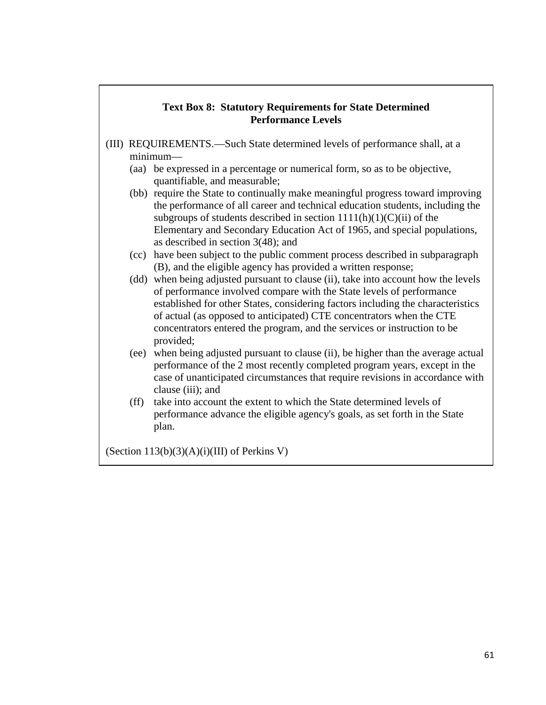## **Text Box 8: Statutory Requirements for State Determined Performance Levels**

- (III) REQUIREMENTS.—Such State determined levels of performance shall, at a minimum—
	- (aa) be expressed in a percentage or numerical form, so as to be objective, quantifiable, and measurable;
	- (bb) require the State to continually make meaningful progress toward improving the performance of all career and technical education students, including the subgroups of students described in section  $1111(h)(1)(C(ii))$  of the Elementary and Secondary Education Act of 1965, and special populations, as described in section 3(48); and
	- (cc) have been subject to the public comment process described in subparagraph (B), and the eligible agency has provided a written response;
	- (dd) when being adjusted pursuant to clause (ii), take into account how the levels of performance involved compare with the State levels of performance established for other States, considering factors including the characteristics of actual (as opposed to anticipated) CTE concentrators when the CTE concentrators entered the program, and the services or instruction to be provided;
	- (ee) when being adjusted pursuant to clause (ii), be higher than the average actual performance of the 2 most recently completed program years, except in the case of unanticipated circumstances that require revisions in accordance with clause (iii); and
	- (ff) take into account the extent to which the State determined levels of performance advance the eligible agency's goals, as set forth in the State plan.

(Section  $113(b)(3)(A)(i)(III)$  of Perkins V)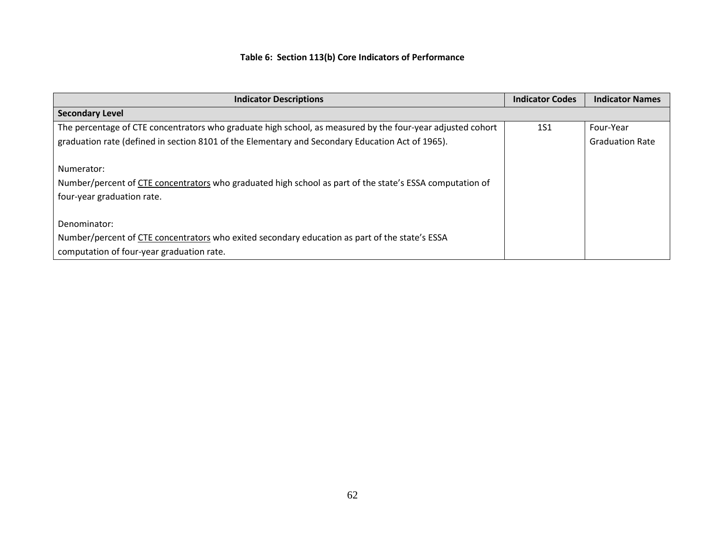# **Table 6: Section 113(b) Core Indicators of Performance**

| <b>Indicator Descriptions</b>                                                                              | <b>Indicator Codes</b> | <b>Indicator Names</b> |
|------------------------------------------------------------------------------------------------------------|------------------------|------------------------|
| <b>Secondary Level</b>                                                                                     |                        |                        |
| The percentage of CTE concentrators who graduate high school, as measured by the four-year adjusted cohort | <b>1S1</b>             | Four-Year              |
| graduation rate (defined in section 8101 of the Elementary and Secondary Education Act of 1965).           |                        | <b>Graduation Rate</b> |
|                                                                                                            |                        |                        |
| Numerator:                                                                                                 |                        |                        |
| Number/percent of CTE concentrators who graduated high school as part of the state's ESSA computation of   |                        |                        |
| four-year graduation rate.                                                                                 |                        |                        |
|                                                                                                            |                        |                        |
| Denominator:                                                                                               |                        |                        |
| Number/percent of CTE concentrators who exited secondary education as part of the state's ESSA             |                        |                        |
| computation of four-year graduation rate.                                                                  |                        |                        |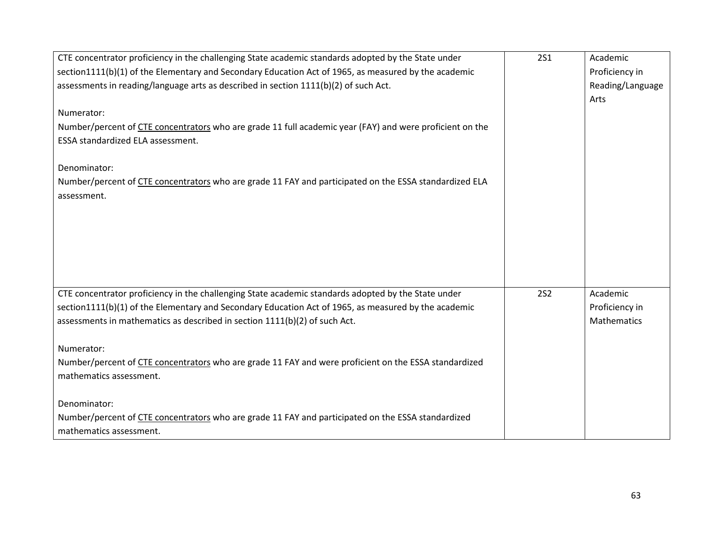| CTE concentrator proficiency in the challenging State academic standards adopted by the State under      | <b>2S1</b> | Academic         |
|----------------------------------------------------------------------------------------------------------|------------|------------------|
| section1111(b)(1) of the Elementary and Secondary Education Act of 1965, as measured by the academic     |            | Proficiency in   |
| assessments in reading/language arts as described in section 1111(b)(2) of such Act.                     |            | Reading/Language |
|                                                                                                          |            | Arts             |
| Numerator:                                                                                               |            |                  |
| Number/percent of CTE concentrators who are grade 11 full academic year (FAY) and were proficient on the |            |                  |
| ESSA standardized ELA assessment.                                                                        |            |                  |
|                                                                                                          |            |                  |
| Denominator:                                                                                             |            |                  |
| Number/percent of CTE concentrators who are grade 11 FAY and participated on the ESSA standardized ELA   |            |                  |
| assessment.                                                                                              |            |                  |
|                                                                                                          |            |                  |
|                                                                                                          |            |                  |
|                                                                                                          |            |                  |
|                                                                                                          |            |                  |
|                                                                                                          |            |                  |
|                                                                                                          |            |                  |
| CTE concentrator proficiency in the challenging State academic standards adopted by the State under      | <b>2S2</b> | Academic         |
| section1111(b)(1) of the Elementary and Secondary Education Act of 1965, as measured by the academic     |            | Proficiency in   |
| assessments in mathematics as described in section 1111(b)(2) of such Act.                               |            | Mathematics      |
|                                                                                                          |            |                  |
| Numerator:                                                                                               |            |                  |
| Number/percent of CTE concentrators who are grade 11 FAY and were proficient on the ESSA standardized    |            |                  |
| mathematics assessment.                                                                                  |            |                  |
|                                                                                                          |            |                  |
| Denominator:                                                                                             |            |                  |
| Number/percent of CTE concentrators who are grade 11 FAY and participated on the ESSA standardized       |            |                  |
| mathematics assessment.                                                                                  |            |                  |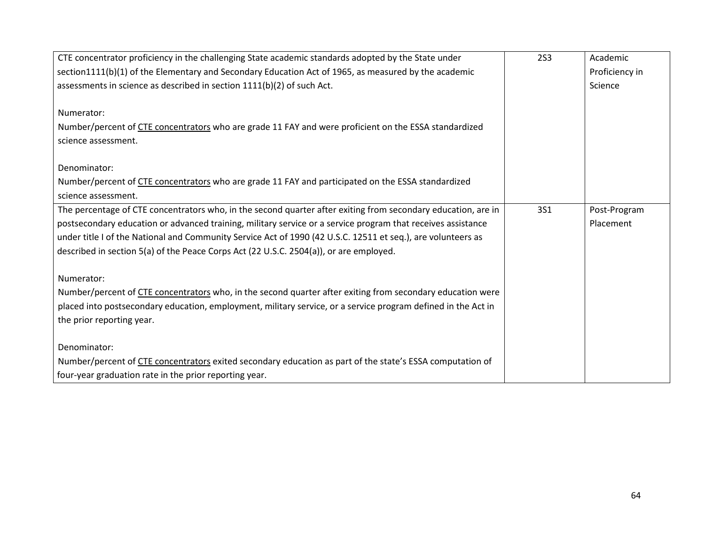| CTE concentrator proficiency in the challenging State academic standards adopted by the State under           | <b>2S3</b> | Academic       |
|---------------------------------------------------------------------------------------------------------------|------------|----------------|
| section1111(b)(1) of the Elementary and Secondary Education Act of 1965, as measured by the academic          |            | Proficiency in |
| assessments in science as described in section 1111(b)(2) of such Act.                                        |            | Science        |
|                                                                                                               |            |                |
| Numerator:                                                                                                    |            |                |
| Number/percent of CTE concentrators who are grade 11 FAY and were proficient on the ESSA standardized         |            |                |
| science assessment.                                                                                           |            |                |
|                                                                                                               |            |                |
| Denominator:                                                                                                  |            |                |
| Number/percent of CTE concentrators who are grade 11 FAY and participated on the ESSA standardized            |            |                |
| science assessment.                                                                                           |            |                |
| The percentage of CTE concentrators who, in the second quarter after exiting from secondary education, are in | <b>3S1</b> | Post-Program   |
| postsecondary education or advanced training, military service or a service program that receives assistance  |            | Placement      |
| under title I of the National and Community Service Act of 1990 (42 U.S.C. 12511 et seq.), are volunteers as  |            |                |
| described in section 5(a) of the Peace Corps Act (22 U.S.C. 2504(a)), or are employed.                        |            |                |
|                                                                                                               |            |                |
| Numerator:                                                                                                    |            |                |
| Number/percent of CTE concentrators who, in the second quarter after exiting from secondary education were    |            |                |
| placed into postsecondary education, employment, military service, or a service program defined in the Act in |            |                |
| the prior reporting year.                                                                                     |            |                |
|                                                                                                               |            |                |
| Denominator:                                                                                                  |            |                |
| Number/percent of CTE concentrators exited secondary education as part of the state's ESSA computation of     |            |                |
| four-year graduation rate in the prior reporting year.                                                        |            |                |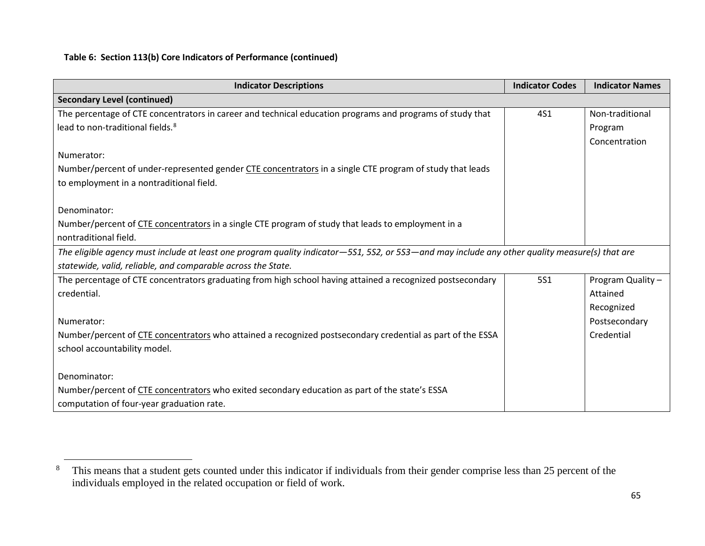## <span id="page-65-0"></span>**Table 6: Section 113(b) Core Indicators of Performance (continued)**

| <b>Indicator Descriptions</b>                                                                                                                  | <b>Indicator Codes</b> | <b>Indicator Names</b> |
|------------------------------------------------------------------------------------------------------------------------------------------------|------------------------|------------------------|
| <b>Secondary Level (continued)</b>                                                                                                             |                        |                        |
| The percentage of CTE concentrators in career and technical education programs and programs of study that                                      | <b>4S1</b>             | Non-traditional        |
| lead to non-traditional fields. <sup>8</sup>                                                                                                   |                        | Program                |
|                                                                                                                                                |                        | Concentration          |
| Numerator:                                                                                                                                     |                        |                        |
| Number/percent of under-represented gender CTE concentrators in a single CTE program of study that leads                                       |                        |                        |
| to employment in a nontraditional field.                                                                                                       |                        |                        |
|                                                                                                                                                |                        |                        |
| Denominator:                                                                                                                                   |                        |                        |
| Number/percent of CTE concentrators in a single CTE program of study that leads to employment in a                                             |                        |                        |
| nontraditional field.                                                                                                                          |                        |                        |
| The eligible agency must include at least one program quality indicator-5S1, 5S2, or 5S3-and may include any other quality measure(s) that are |                        |                        |
| statewide, valid, reliable, and comparable across the State.                                                                                   |                        |                        |
| The percentage of CTE concentrators graduating from high school having attained a recognized postsecondary                                     | <b>5S1</b>             | Program Quality -      |
| credential.                                                                                                                                    |                        | Attained               |
|                                                                                                                                                |                        | Recognized             |
| Numerator:                                                                                                                                     |                        | Postsecondary          |
| Number/percent of CTE concentrators who attained a recognized postsecondary credential as part of the ESSA                                     |                        | Credential             |
| school accountability model.                                                                                                                   |                        |                        |
|                                                                                                                                                |                        |                        |
| Denominator:                                                                                                                                   |                        |                        |
| Number/percent of CTE concentrators who exited secondary education as part of the state's ESSA                                                 |                        |                        |
| computation of four-year graduation rate.                                                                                                      |                        |                        |

<sup>&</sup>lt;sup>8</sup> This means that a student gets counted under this indicator if individuals from their gender comprise less than 25 percent of the individuals employed in the related occupation or field of work.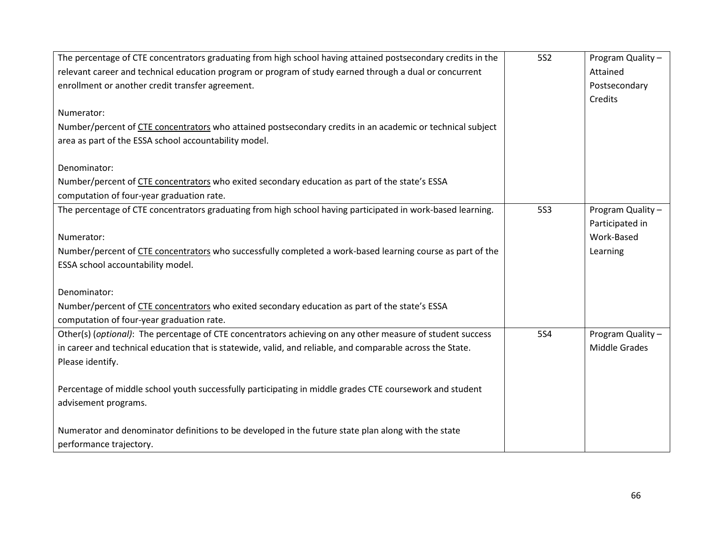| The percentage of CTE concentrators graduating from high school having attained postsecondary credits in the | <b>5S2</b> | Program Quality - |
|--------------------------------------------------------------------------------------------------------------|------------|-------------------|
| relevant career and technical education program or program of study earned through a dual or concurrent      |            | Attained          |
| enrollment or another credit transfer agreement.                                                             |            | Postsecondary     |
|                                                                                                              |            | Credits           |
| Numerator:                                                                                                   |            |                   |
| Number/percent of CTE concentrators who attained postsecondary credits in an academic or technical subject   |            |                   |
| area as part of the ESSA school accountability model.                                                        |            |                   |
|                                                                                                              |            |                   |
| Denominator:                                                                                                 |            |                   |
| Number/percent of CTE concentrators who exited secondary education as part of the state's ESSA               |            |                   |
| computation of four-year graduation rate.                                                                    |            |                   |
| The percentage of CTE concentrators graduating from high school having participated in work-based learning.  | <b>5S3</b> | Program Quality - |
|                                                                                                              |            | Participated in   |
| Numerator:                                                                                                   |            | Work-Based        |
| Number/percent of CTE concentrators who successfully completed a work-based learning course as part of the   |            | Learning          |
| ESSA school accountability model.                                                                            |            |                   |
|                                                                                                              |            |                   |
| Denominator:                                                                                                 |            |                   |
| Number/percent of CTE concentrators who exited secondary education as part of the state's ESSA               |            |                   |
| computation of four-year graduation rate.                                                                    |            |                   |
| Other(s) (optional): The percentage of CTE concentrators achieving on any other measure of student success   | <b>5S4</b> | Program Quality - |
| in career and technical education that is statewide, valid, and reliable, and comparable across the State.   |            | Middle Grades     |
| Please identify.                                                                                             |            |                   |
|                                                                                                              |            |                   |
| Percentage of middle school youth successfully participating in middle grades CTE coursework and student     |            |                   |
| advisement programs.                                                                                         |            |                   |
|                                                                                                              |            |                   |
| Numerator and denominator definitions to be developed in the future state plan along with the state          |            |                   |
| performance trajectory.                                                                                      |            |                   |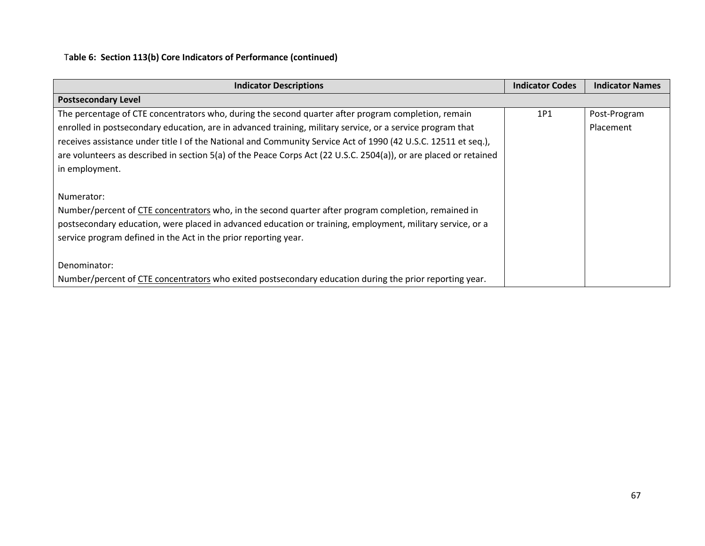# T**able 6: Section 113(b) Core Indicators of Performance (continued)**

| <b>Indicator Descriptions</b>                                                                                     | <b>Indicator Codes</b> | <b>Indicator Names</b> |
|-------------------------------------------------------------------------------------------------------------------|------------------------|------------------------|
| <b>Postsecondary Level</b>                                                                                        |                        |                        |
| The percentage of CTE concentrators who, during the second quarter after program completion, remain               | 1P1                    | Post-Program           |
| enrolled in postsecondary education, are in advanced training, military service, or a service program that        |                        | Placement              |
| receives assistance under title I of the National and Community Service Act of 1990 (42 U.S.C. 12511 et seq.),    |                        |                        |
| are volunteers as described in section 5(a) of the Peace Corps Act (22 U.S.C. 2504(a)), or are placed or retained |                        |                        |
| in employment.                                                                                                    |                        |                        |
|                                                                                                                   |                        |                        |
| Numerator:                                                                                                        |                        |                        |
| Number/percent of CTE concentrators who, in the second quarter after program completion, remained in              |                        |                        |
| postsecondary education, were placed in advanced education or training, employment, military service, or a        |                        |                        |
| service program defined in the Act in the prior reporting year.                                                   |                        |                        |
|                                                                                                                   |                        |                        |
| Denominator:                                                                                                      |                        |                        |
| Number/percent of CTE concentrators who exited postsecondary education during the prior reporting year.           |                        |                        |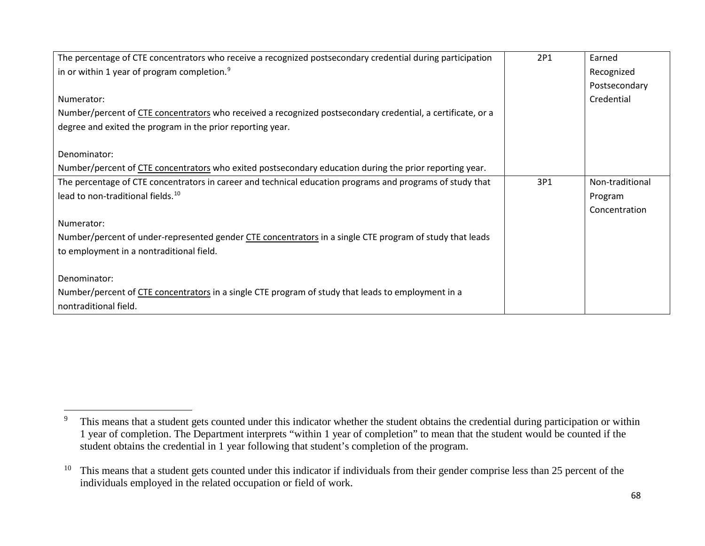<span id="page-68-1"></span><span id="page-68-0"></span>

| The percentage of CTE concentrators who receive a recognized postsecondary credential during participation  | 2P1 | Earned          |
|-------------------------------------------------------------------------------------------------------------|-----|-----------------|
| in or within 1 year of program completion. $9$                                                              |     | Recognized      |
|                                                                                                             |     | Postsecondary   |
| Numerator:                                                                                                  |     | Credential      |
| Number/percent of CTE concentrators who received a recognized postsecondary credential, a certificate, or a |     |                 |
| degree and exited the program in the prior reporting year.                                                  |     |                 |
|                                                                                                             |     |                 |
| Denominator:                                                                                                |     |                 |
| Number/percent of CTE concentrators who exited postsecondary education during the prior reporting year.     |     |                 |
| The percentage of CTE concentrators in career and technical education programs and programs of study that   | 3P1 | Non-traditional |
| lead to non-traditional fields. <sup>10</sup>                                                               |     | Program         |
|                                                                                                             |     | Concentration   |
| Numerator:                                                                                                  |     |                 |
| Number/percent of under-represented gender CTE concentrators in a single CTE program of study that leads    |     |                 |
| to employment in a nontraditional field.                                                                    |     |                 |
|                                                                                                             |     |                 |
| Denominator:                                                                                                |     |                 |
| Number/percent of CTE concentrators in a single CTE program of study that leads to employment in a          |     |                 |
| nontraditional field.                                                                                       |     |                 |

<sup>&</sup>lt;sup>9</sup> This means that a student gets counted under this indicator whether the student obtains the credential during participation or within 1 year of completion. The Department interprets "within 1 year of completion" to mean that the student would be counted if the student obtains the credential in 1 year following that student's completion of the program.

 $10$  This means that a student gets counted under this indicator if individuals from their gender comprise less than 25 percent of the individuals employed in the related occupation or field of work.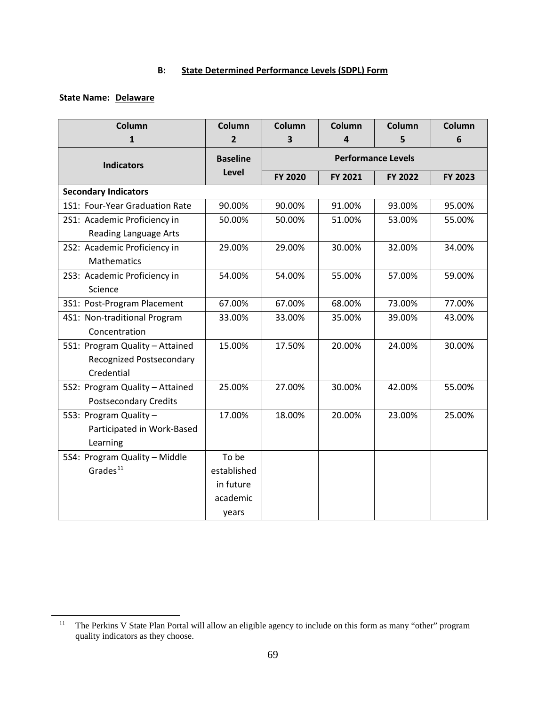## **B: State Determined Performance Levels (SDPL) Form**

## **State Name: Delaware**

| Column                          | Column          | Column                    | Column                  | Column         | Column         |
|---------------------------------|-----------------|---------------------------|-------------------------|----------------|----------------|
| 1                               | $\overline{2}$  | 3                         | $\overline{\mathbf{4}}$ | 5              | 6              |
| <b>Indicators</b>               | <b>Baseline</b> | <b>Performance Levels</b> |                         |                |                |
|                                 | Level           | <b>FY 2020</b>            | FY 2021                 | <b>FY 2022</b> | <b>FY 2023</b> |
| <b>Secondary Indicators</b>     |                 |                           |                         |                |                |
| 1S1: Four-Year Graduation Rate  | 90.00%          | 90.00%                    | 91.00%                  | 93.00%         | 95.00%         |
| 2S1: Academic Proficiency in    | 50.00%          | 50.00%                    | 51.00%                  | 53.00%         | 55.00%         |
| <b>Reading Language Arts</b>    |                 |                           |                         |                |                |
| 2S2: Academic Proficiency in    | 29.00%          | 29.00%                    | 30.00%                  | 32.00%         | 34.00%         |
| <b>Mathematics</b>              |                 |                           |                         |                |                |
| 2S3: Academic Proficiency in    | 54.00%          | 54.00%                    | 55.00%                  | 57.00%         | 59.00%         |
| Science                         |                 |                           |                         |                |                |
| 3S1: Post-Program Placement     | 67.00%          | 67.00%                    | 68.00%                  | 73.00%         | 77.00%         |
| 4S1: Non-traditional Program    | 33.00%          | 33.00%                    | 35.00%                  | 39.00%         | 43.00%         |
| Concentration                   |                 |                           |                         |                |                |
| 5S1: Program Quality - Attained | 15.00%          | 17.50%                    | 20.00%                  | 24.00%         | 30.00%         |
| Recognized Postsecondary        |                 |                           |                         |                |                |
| Credential                      |                 |                           |                         |                |                |
| 5S2: Program Quality - Attained | 25.00%          | 27.00%                    | 30.00%                  | 42.00%         | 55.00%         |
| <b>Postsecondary Credits</b>    |                 |                           |                         |                |                |
| 5S3: Program Quality -          | 17.00%          | 18.00%                    | 20.00%                  | 23.00%         | 25.00%         |
| Participated in Work-Based      |                 |                           |                         |                |                |
| Learning                        |                 |                           |                         |                |                |
| 5S4: Program Quality - Middle   | To be           |                           |                         |                |                |
| Grades <sup>11</sup>            | established     |                           |                         |                |                |
|                                 | in future       |                           |                         |                |                |
|                                 | academic        |                           |                         |                |                |
|                                 | years           |                           |                         |                |                |

<span id="page-69-0"></span><sup>&</sup>lt;sup>11</sup> The Perkins V State Plan Portal will allow an eligible agency to include on this form as many "other" program quality indicators as they choose.